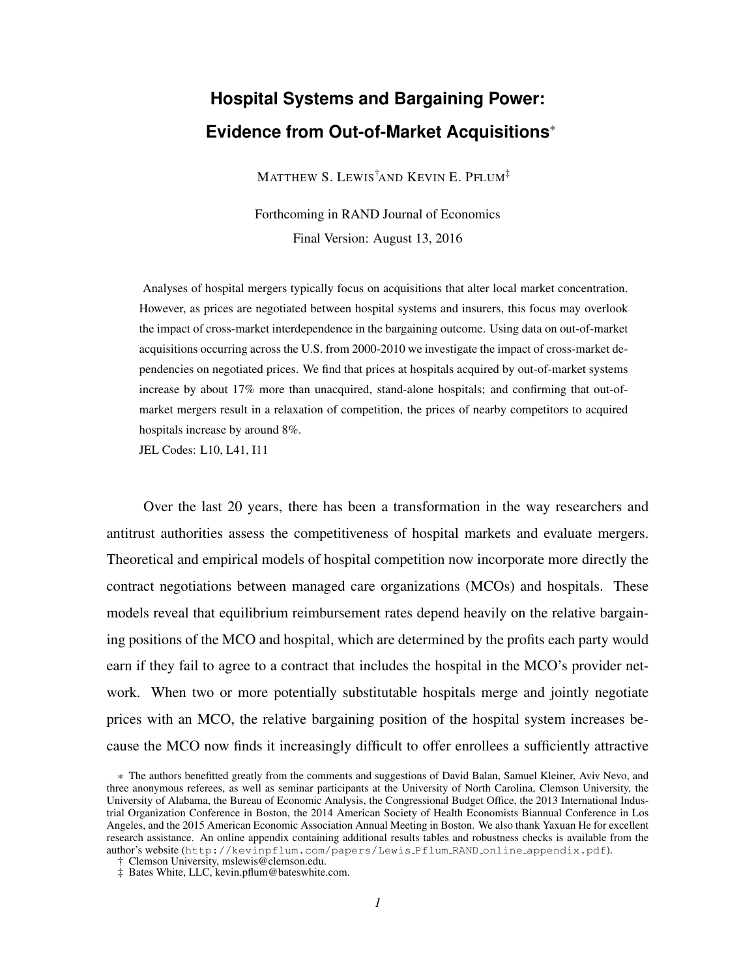# **Hospital Systems and Bargaining Power: Evidence from Out-of-Market Acquisitions**\*

MATTHEW S. LEWIS†AND KEVIN E. PFLUM‡

Forthcoming in RAND Journal of Economics Final Version: August 13, 2016

Analyses of hospital mergers typically focus on acquisitions that alter local market concentration. However, as prices are negotiated between hospital systems and insurers, this focus may overlook the impact of cross-market interdependence in the bargaining outcome. Using data on out-of-market acquisitions occurring across the U.S. from 2000-2010 we investigate the impact of cross-market dependencies on negotiated prices. We find that prices at hospitals acquired by out-of-market systems increase by about 17% more than unacquired, stand-alone hospitals; and confirming that out-ofmarket mergers result in a relaxation of competition, the prices of nearby competitors to acquired hospitals increase by around 8%.

JEL Codes: L10, L41, I11

Over the last 20 years, there has been a transformation in the way researchers and antitrust authorities assess the competitiveness of hospital markets and evaluate mergers. Theoretical and empirical models of hospital competition now incorporate more directly the contract negotiations between managed care organizations (MCOs) and hospitals. These models reveal that equilibrium reimbursement rates depend heavily on the relative bargaining positions of the MCO and hospital, which are determined by the profits each party would earn if they fail to agree to a contract that includes the hospital in the MCO's provider network. When two or more potentially substitutable hospitals merge and jointly negotiate prices with an MCO, the relative bargaining position of the hospital system increases because the MCO now finds it increasingly difficult to offer enrollees a sufficiently attractive

<sup>\*</sup> The authors benefitted greatly from the comments and suggestions of David Balan, Samuel Kleiner, Aviv Nevo, and three anonymous referees, as well as seminar participants at the University of North Carolina, Clemson University, the University of Alabama, the Bureau of Economic Analysis, the Congressional Budget Office, the 2013 International Industrial Organization Conference in Boston, the 2014 American Society of Health Economists Biannual Conference in Los Angeles, and the 2015 American Economic Association Annual Meeting in Boston. We also thank Yaxuan He for excellent research assistance. An online appendix containing additional results tables and robustness checks is available from the author's website (http://kevinpflum.com/papers/Lewis Pflum RAND online appendix.pdf).

<sup>†</sup> Clemson University, mslewis@clemson.edu.

<sup>‡</sup> Bates White, LLC, kevin.pflum@bateswhite.com.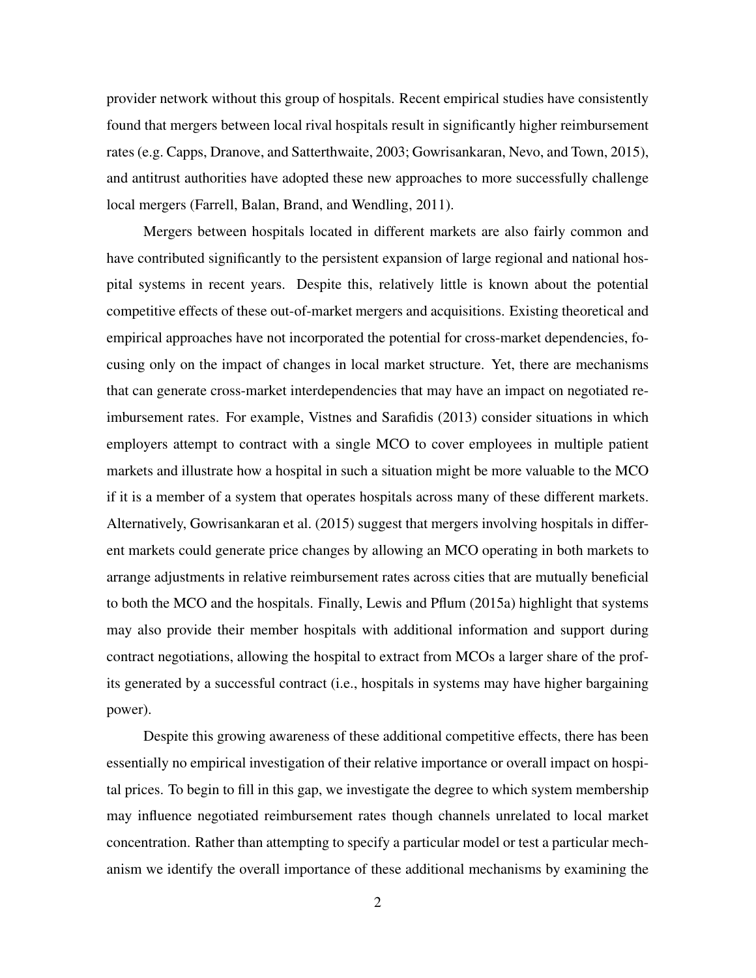provider network without this group of hospitals. Recent empirical studies have consistently found that mergers between local rival hospitals result in significantly higher reimbursement rates (e.g. Capps, Dranove, and Satterthwaite, 2003; Gowrisankaran, Nevo, and Town, 2015), and antitrust authorities have adopted these new approaches to more successfully challenge local mergers (Farrell, Balan, Brand, and Wendling, 2011).

Mergers between hospitals located in different markets are also fairly common and have contributed significantly to the persistent expansion of large regional and national hospital systems in recent years. Despite this, relatively little is known about the potential competitive effects of these out-of-market mergers and acquisitions. Existing theoretical and empirical approaches have not incorporated the potential for cross-market dependencies, focusing only on the impact of changes in local market structure. Yet, there are mechanisms that can generate cross-market interdependencies that may have an impact on negotiated reimbursement rates. For example, Vistnes and Sarafidis (2013) consider situations in which employers attempt to contract with a single MCO to cover employees in multiple patient markets and illustrate how a hospital in such a situation might be more valuable to the MCO if it is a member of a system that operates hospitals across many of these different markets. Alternatively, Gowrisankaran et al. (2015) suggest that mergers involving hospitals in different markets could generate price changes by allowing an MCO operating in both markets to arrange adjustments in relative reimbursement rates across cities that are mutually beneficial to both the MCO and the hospitals. Finally, Lewis and Pflum (2015a) highlight that systems may also provide their member hospitals with additional information and support during contract negotiations, allowing the hospital to extract from MCOs a larger share of the profits generated by a successful contract (i.e., hospitals in systems may have higher bargaining power).

Despite this growing awareness of these additional competitive effects, there has been essentially no empirical investigation of their relative importance or overall impact on hospital prices. To begin to fill in this gap, we investigate the degree to which system membership may influence negotiated reimbursement rates though channels unrelated to local market concentration. Rather than attempting to specify a particular model or test a particular mechanism we identify the overall importance of these additional mechanisms by examining the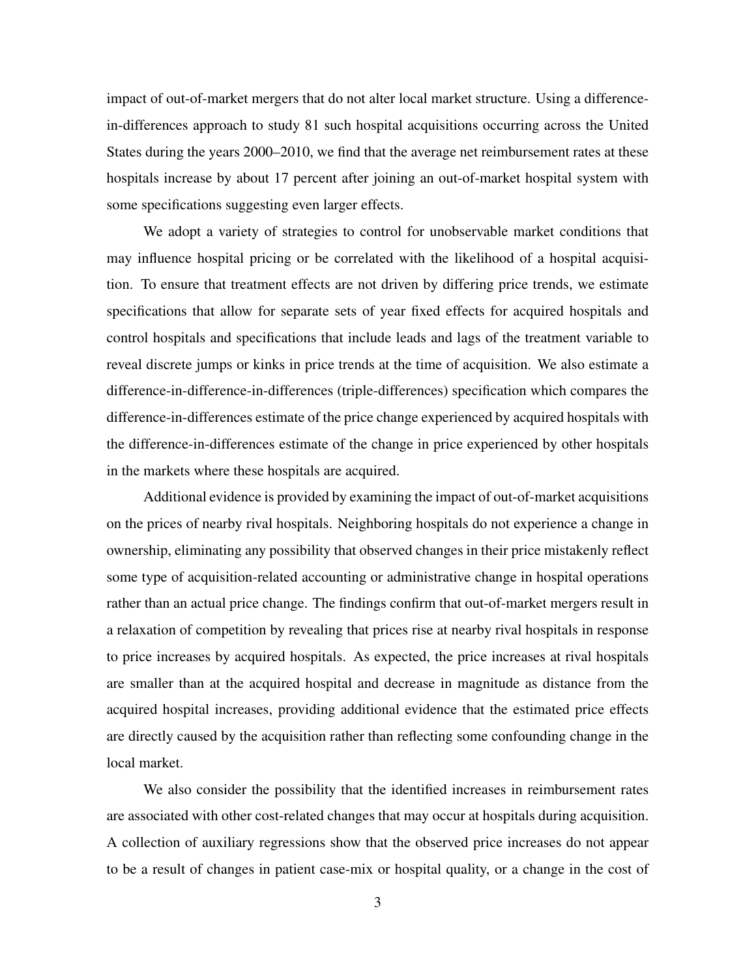impact of out-of-market mergers that do not alter local market structure. Using a differencein-differences approach to study 81 such hospital acquisitions occurring across the United States during the years 2000–2010, we find that the average net reimbursement rates at these hospitals increase by about 17 percent after joining an out-of-market hospital system with some specifications suggesting even larger effects.

We adopt a variety of strategies to control for unobservable market conditions that may influence hospital pricing or be correlated with the likelihood of a hospital acquisition. To ensure that treatment effects are not driven by differing price trends, we estimate specifications that allow for separate sets of year fixed effects for acquired hospitals and control hospitals and specifications that include leads and lags of the treatment variable to reveal discrete jumps or kinks in price trends at the time of acquisition. We also estimate a difference-in-difference-in-differences (triple-differences) specification which compares the difference-in-differences estimate of the price change experienced by acquired hospitals with the difference-in-differences estimate of the change in price experienced by other hospitals in the markets where these hospitals are acquired.

Additional evidence is provided by examining the impact of out-of-market acquisitions on the prices of nearby rival hospitals. Neighboring hospitals do not experience a change in ownership, eliminating any possibility that observed changes in their price mistakenly reflect some type of acquisition-related accounting or administrative change in hospital operations rather than an actual price change. The findings confirm that out-of-market mergers result in a relaxation of competition by revealing that prices rise at nearby rival hospitals in response to price increases by acquired hospitals. As expected, the price increases at rival hospitals are smaller than at the acquired hospital and decrease in magnitude as distance from the acquired hospital increases, providing additional evidence that the estimated price effects are directly caused by the acquisition rather than reflecting some confounding change in the local market.

We also consider the possibility that the identified increases in reimbursement rates are associated with other cost-related changes that may occur at hospitals during acquisition. A collection of auxiliary regressions show that the observed price increases do not appear to be a result of changes in patient case-mix or hospital quality, or a change in the cost of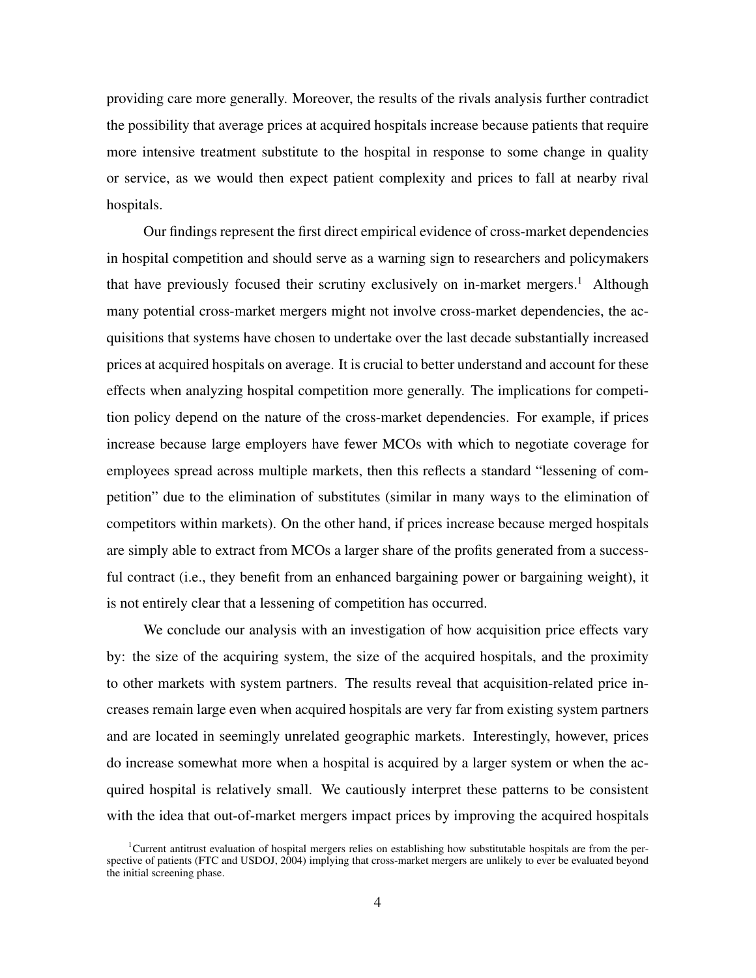providing care more generally. Moreover, the results of the rivals analysis further contradict the possibility that average prices at acquired hospitals increase because patients that require more intensive treatment substitute to the hospital in response to some change in quality or service, as we would then expect patient complexity and prices to fall at nearby rival hospitals.

Our findings represent the first direct empirical evidence of cross-market dependencies in hospital competition and should serve as a warning sign to researchers and policymakers that have previously focused their scrutiny exclusively on in-market mergers.<sup>1</sup> Although many potential cross-market mergers might not involve cross-market dependencies, the acquisitions that systems have chosen to undertake over the last decade substantially increased prices at acquired hospitals on average. It is crucial to better understand and account for these effects when analyzing hospital competition more generally. The implications for competition policy depend on the nature of the cross-market dependencies. For example, if prices increase because large employers have fewer MCOs with which to negotiate coverage for employees spread across multiple markets, then this reflects a standard "lessening of competition" due to the elimination of substitutes (similar in many ways to the elimination of competitors within markets). On the other hand, if prices increase because merged hospitals are simply able to extract from MCOs a larger share of the profits generated from a successful contract (i.e., they benefit from an enhanced bargaining power or bargaining weight), it is not entirely clear that a lessening of competition has occurred.

We conclude our analysis with an investigation of how acquisition price effects vary by: the size of the acquiring system, the size of the acquired hospitals, and the proximity to other markets with system partners. The results reveal that acquisition-related price increases remain large even when acquired hospitals are very far from existing system partners and are located in seemingly unrelated geographic markets. Interestingly, however, prices do increase somewhat more when a hospital is acquired by a larger system or when the acquired hospital is relatively small. We cautiously interpret these patterns to be consistent with the idea that out-of-market mergers impact prices by improving the acquired hospitals

<sup>&</sup>lt;sup>1</sup>Current antitrust evaluation of hospital mergers relies on establishing how substitutable hospitals are from the perspective of patients (FTC and USDOJ, 2004) implying that cross-market mergers are unlikely to ever be evaluated beyond the initial screening phase.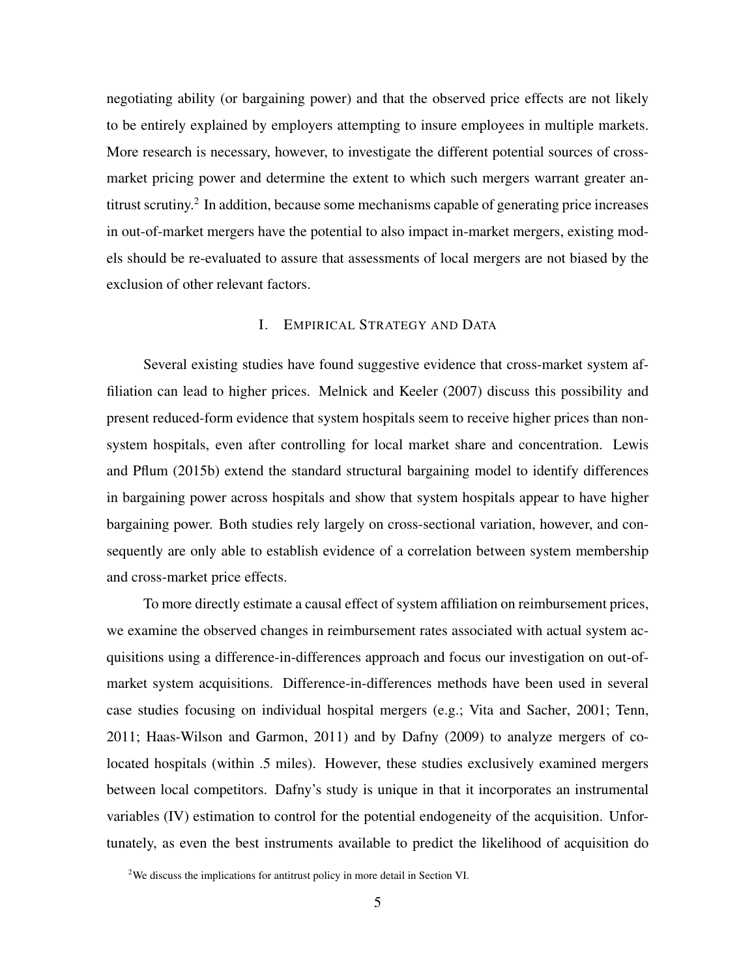negotiating ability (or bargaining power) and that the observed price effects are not likely to be entirely explained by employers attempting to insure employees in multiple markets. More research is necessary, however, to investigate the different potential sources of crossmarket pricing power and determine the extent to which such mergers warrant greater antitrust scrutiny.<sup>2</sup> In addition, because some mechanisms capable of generating price increases in out-of-market mergers have the potential to also impact in-market mergers, existing models should be re-evaluated to assure that assessments of local mergers are not biased by the exclusion of other relevant factors.

## I. EMPIRICAL STRATEGY AND DATA

Several existing studies have found suggestive evidence that cross-market system affiliation can lead to higher prices. Melnick and Keeler (2007) discuss this possibility and present reduced-form evidence that system hospitals seem to receive higher prices than nonsystem hospitals, even after controlling for local market share and concentration. Lewis and Pflum (2015b) extend the standard structural bargaining model to identify differences in bargaining power across hospitals and show that system hospitals appear to have higher bargaining power. Both studies rely largely on cross-sectional variation, however, and consequently are only able to establish evidence of a correlation between system membership and cross-market price effects.

To more directly estimate a causal effect of system affiliation on reimbursement prices, we examine the observed changes in reimbursement rates associated with actual system acquisitions using a difference-in-differences approach and focus our investigation on out-ofmarket system acquisitions. Difference-in-differences methods have been used in several case studies focusing on individual hospital mergers (e.g.; Vita and Sacher, 2001; Tenn, 2011; Haas-Wilson and Garmon, 2011) and by Dafny (2009) to analyze mergers of colocated hospitals (within .5 miles). However, these studies exclusively examined mergers between local competitors. Dafny's study is unique in that it incorporates an instrumental variables (IV) estimation to control for the potential endogeneity of the acquisition. Unfortunately, as even the best instruments available to predict the likelihood of acquisition do

<sup>&</sup>lt;sup>2</sup>We discuss the implications for antitrust policy in more detail in Section VI.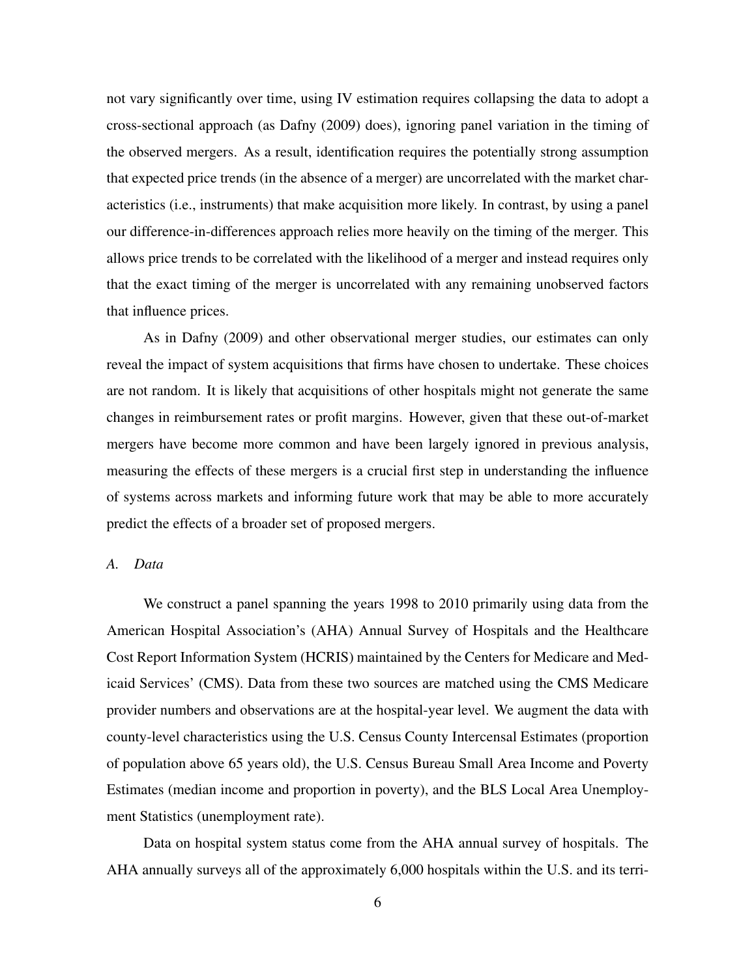not vary significantly over time, using IV estimation requires collapsing the data to adopt a cross-sectional approach (as Dafny (2009) does), ignoring panel variation in the timing of the observed mergers. As a result, identification requires the potentially strong assumption that expected price trends (in the absence of a merger) are uncorrelated with the market characteristics (i.e., instruments) that make acquisition more likely. In contrast, by using a panel our difference-in-differences approach relies more heavily on the timing of the merger. This allows price trends to be correlated with the likelihood of a merger and instead requires only that the exact timing of the merger is uncorrelated with any remaining unobserved factors that influence prices.

As in Dafny (2009) and other observational merger studies, our estimates can only reveal the impact of system acquisitions that firms have chosen to undertake. These choices are not random. It is likely that acquisitions of other hospitals might not generate the same changes in reimbursement rates or profit margins. However, given that these out-of-market mergers have become more common and have been largely ignored in previous analysis, measuring the effects of these mergers is a crucial first step in understanding the influence of systems across markets and informing future work that may be able to more accurately predict the effects of a broader set of proposed mergers.

## *A. Data*

We construct a panel spanning the years 1998 to 2010 primarily using data from the American Hospital Association's (AHA) Annual Survey of Hospitals and the Healthcare Cost Report Information System (HCRIS) maintained by the Centers for Medicare and Medicaid Services' (CMS). Data from these two sources are matched using the CMS Medicare provider numbers and observations are at the hospital-year level. We augment the data with county-level characteristics using the U.S. Census County Intercensal Estimates (proportion of population above 65 years old), the U.S. Census Bureau Small Area Income and Poverty Estimates (median income and proportion in poverty), and the BLS Local Area Unemployment Statistics (unemployment rate).

Data on hospital system status come from the AHA annual survey of hospitals. The AHA annually surveys all of the approximately 6,000 hospitals within the U.S. and its terri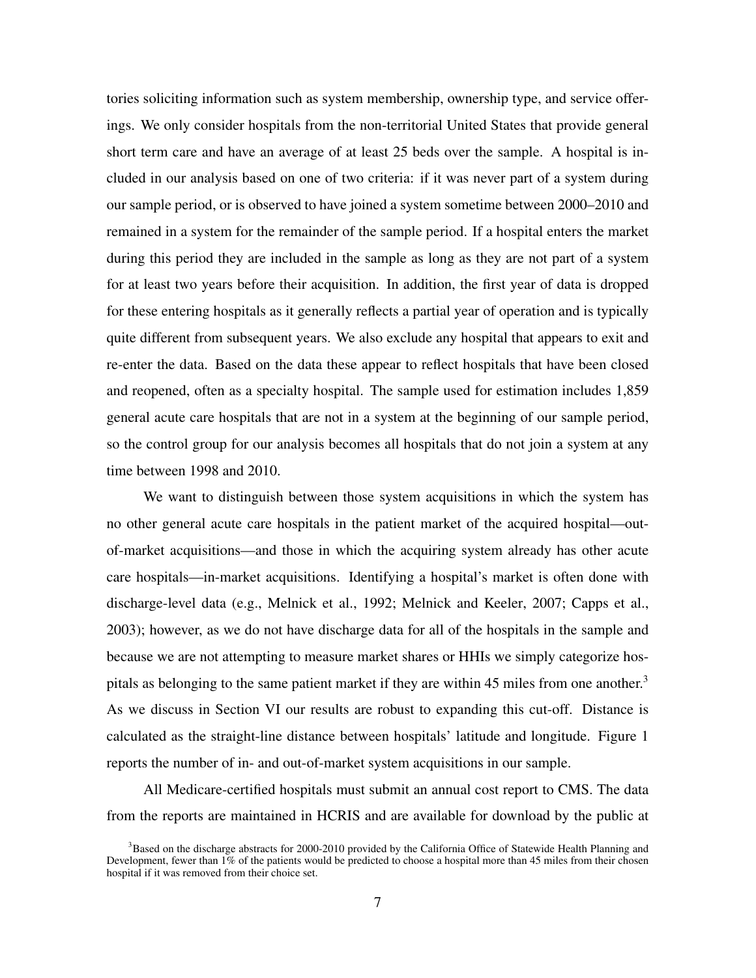tories soliciting information such as system membership, ownership type, and service offerings. We only consider hospitals from the non-territorial United States that provide general short term care and have an average of at least 25 beds over the sample. A hospital is included in our analysis based on one of two criteria: if it was never part of a system during our sample period, or is observed to have joined a system sometime between 2000–2010 and remained in a system for the remainder of the sample period. If a hospital enters the market during this period they are included in the sample as long as they are not part of a system for at least two years before their acquisition. In addition, the first year of data is dropped for these entering hospitals as it generally reflects a partial year of operation and is typically quite different from subsequent years. We also exclude any hospital that appears to exit and re-enter the data. Based on the data these appear to reflect hospitals that have been closed and reopened, often as a specialty hospital. The sample used for estimation includes 1,859 general acute care hospitals that are not in a system at the beginning of our sample period, so the control group for our analysis becomes all hospitals that do not join a system at any time between 1998 and 2010.

We want to distinguish between those system acquisitions in which the system has no other general acute care hospitals in the patient market of the acquired hospital—outof-market acquisitions—and those in which the acquiring system already has other acute care hospitals—in-market acquisitions. Identifying a hospital's market is often done with discharge-level data (e.g., Melnick et al., 1992; Melnick and Keeler, 2007; Capps et al., 2003); however, as we do not have discharge data for all of the hospitals in the sample and because we are not attempting to measure market shares or HHIs we simply categorize hospitals as belonging to the same patient market if they are within 45 miles from one another.<sup>3</sup> As we discuss in Section VI our results are robust to expanding this cut-off. Distance is calculated as the straight-line distance between hospitals' latitude and longitude. Figure 1 reports the number of in- and out-of-market system acquisitions in our sample.

All Medicare-certified hospitals must submit an annual cost report to CMS. The data from the reports are maintained in HCRIS and are available for download by the public at

<sup>&</sup>lt;sup>3</sup>Based on the discharge abstracts for 2000-2010 provided by the California Office of Statewide Health Planning and Development, fewer than  $1\%$  of the patients would be predicted to choose a hospital more than 45 miles from their chosen hospital if it was removed from their choice set.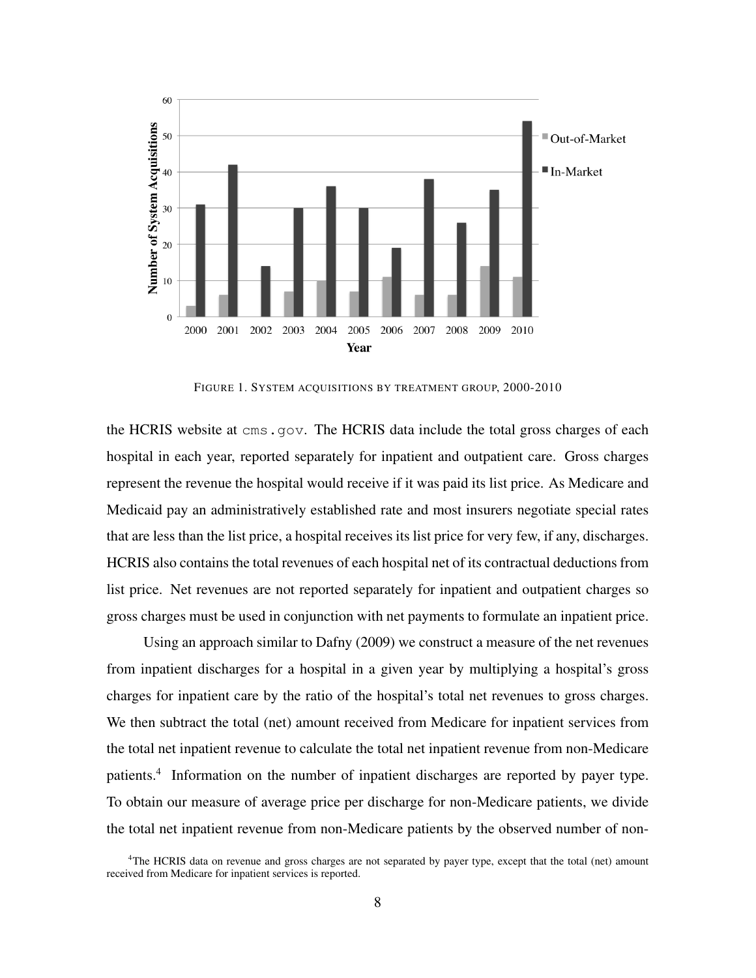

FIGURE 1. SYSTEM ACQUISITIONS BY TREATMENT GROUP, 2000-2010

the HCRIS website at cms.gov. The HCRIS data include the total gross charges of each hospital in each year, reported separately for inpatient and outpatient care. Gross charges represent the revenue the hospital would receive if it was paid its list price. As Medicare and Medicaid pay an administratively established rate and most insurers negotiate special rates that are less than the list price, a hospital receives its list price for very few, if any, discharges. HCRIS also contains the total revenues of each hospital net of its contractual deductions from list price. Net revenues are not reported separately for inpatient and outpatient charges so gross charges must be used in conjunction with net payments to formulate an inpatient price.

Using an approach similar to Dafny (2009) we construct a measure of the net revenues from inpatient discharges for a hospital in a given year by multiplying a hospital's gross charges for inpatient care by the ratio of the hospital's total net revenues to gross charges. We then subtract the total (net) amount received from Medicare for inpatient services from the total net inpatient revenue to calculate the total net inpatient revenue from non-Medicare patients.<sup>4</sup> Information on the number of inpatient discharges are reported by payer type. To obtain our measure of average price per discharge for non-Medicare patients, we divide the total net inpatient revenue from non-Medicare patients by the observed number of non-

<sup>4</sup>The HCRIS data on revenue and gross charges are not separated by payer type, except that the total (net) amount received from Medicare for inpatient services is reported.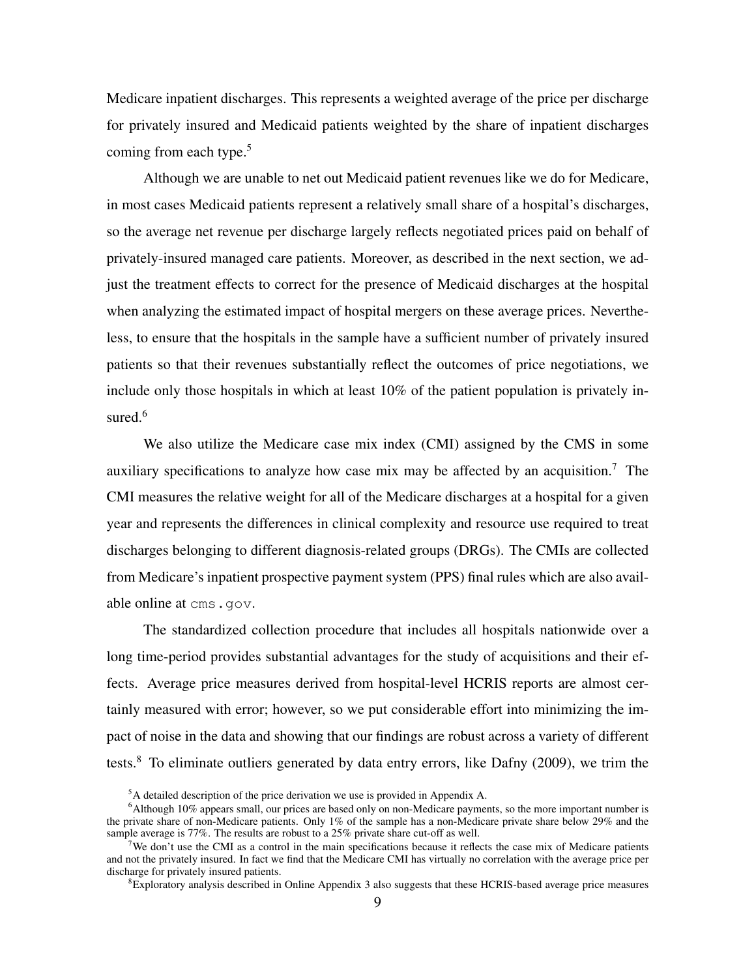Medicare inpatient discharges. This represents a weighted average of the price per discharge for privately insured and Medicaid patients weighted by the share of inpatient discharges coming from each type. $5$ 

Although we are unable to net out Medicaid patient revenues like we do for Medicare, in most cases Medicaid patients represent a relatively small share of a hospital's discharges, so the average net revenue per discharge largely reflects negotiated prices paid on behalf of privately-insured managed care patients. Moreover, as described in the next section, we adjust the treatment effects to correct for the presence of Medicaid discharges at the hospital when analyzing the estimated impact of hospital mergers on these average prices. Nevertheless, to ensure that the hospitals in the sample have a sufficient number of privately insured patients so that their revenues substantially reflect the outcomes of price negotiations, we include only those hospitals in which at least 10% of the patient population is privately insured. $6$ 

We also utilize the Medicare case mix index (CMI) assigned by the CMS in some auxiliary specifications to analyze how case mix may be affected by an acquisition.<sup>7</sup> The CMI measures the relative weight for all of the Medicare discharges at a hospital for a given year and represents the differences in clinical complexity and resource use required to treat discharges belonging to different diagnosis-related groups (DRGs). The CMIs are collected from Medicare's inpatient prospective payment system (PPS) final rules which are also available online at cms.gov.

The standardized collection procedure that includes all hospitals nationwide over a long time-period provides substantial advantages for the study of acquisitions and their effects. Average price measures derived from hospital-level HCRIS reports are almost certainly measured with error; however, so we put considerable effort into minimizing the impact of noise in the data and showing that our findings are robust across a variety of different tests.<sup>8</sup> To eliminate outliers generated by data entry errors, like Dafny (2009), we trim the

 ${}^8$ Exploratory analysis described in Online Appendix 3 also suggests that these HCRIS-based average price measures

<sup>&</sup>lt;sup>5</sup>A detailed description of the price derivation we use is provided in Appendix A.

<sup>&</sup>lt;sup>6</sup>Although 10% appears small, our prices are based only on non-Medicare payments, so the more important number is the private share of non-Medicare patients. Only 1% of the sample has a non-Medicare private share below 29% and the sample average is 77%. The results are robust to a 25% private share cut-off as well.

<sup>&</sup>lt;sup>7</sup>We don't use the CMI as a control in the main specifications because it reflects the case mix of Medicare patients and not the privately insured. In fact we find that the Medicare CMI has virtually no correlation with the average price per discharge for privately insured patients.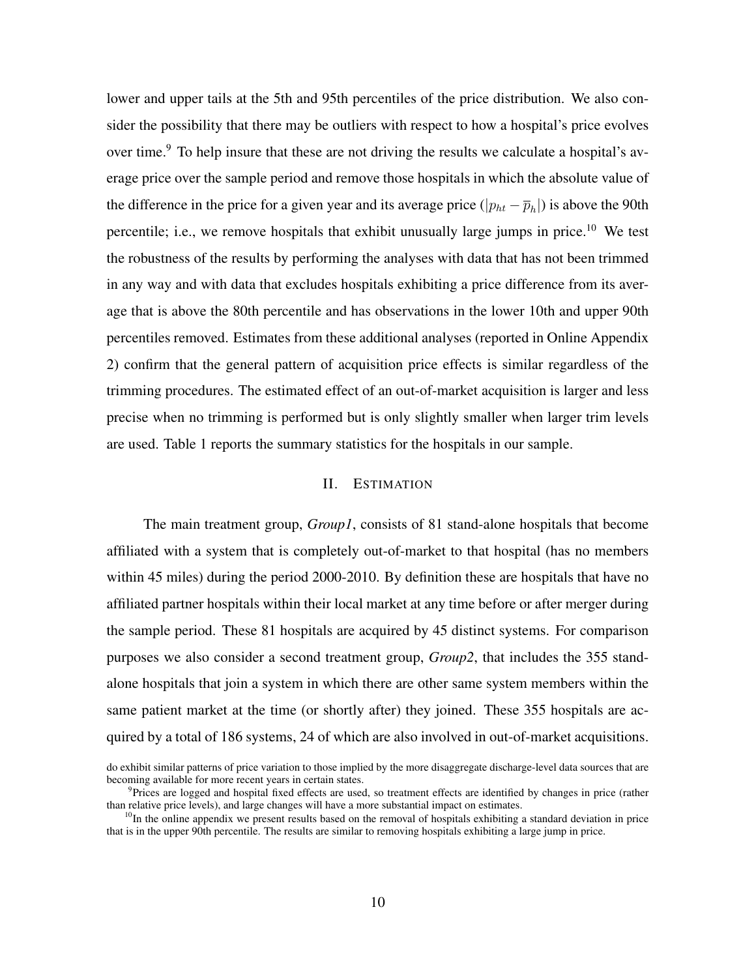lower and upper tails at the 5th and 95th percentiles of the price distribution. We also consider the possibility that there may be outliers with respect to how a hospital's price evolves over time.<sup>9</sup> To help insure that these are not driving the results we calculate a hospital's average price over the sample period and remove those hospitals in which the absolute value of the difference in the price for a given year and its average price  $(|p_{ht} - \overline{p}_h|)$  is above the 90th percentile; i.e., we remove hospitals that exhibit unusually large jumps in price.<sup>10</sup> We test the robustness of the results by performing the analyses with data that has not been trimmed in any way and with data that excludes hospitals exhibiting a price difference from its average that is above the 80th percentile and has observations in the lower 10th and upper 90th percentiles removed. Estimates from these additional analyses (reported in Online Appendix 2) confirm that the general pattern of acquisition price effects is similar regardless of the trimming procedures. The estimated effect of an out-of-market acquisition is larger and less precise when no trimming is performed but is only slightly smaller when larger trim levels are used. Table 1 reports the summary statistics for the hospitals in our sample.

## II. ESTIMATION

The main treatment group, *Group1*, consists of 81 stand-alone hospitals that become affiliated with a system that is completely out-of-market to that hospital (has no members within 45 miles) during the period 2000-2010. By definition these are hospitals that have no affiliated partner hospitals within their local market at any time before or after merger during the sample period. These 81 hospitals are acquired by 45 distinct systems. For comparison purposes we also consider a second treatment group, *Group2*, that includes the 355 standalone hospitals that join a system in which there are other same system members within the same patient market at the time (or shortly after) they joined. These 355 hospitals are acquired by a total of 186 systems, 24 of which are also involved in out-of-market acquisitions.

do exhibit similar patterns of price variation to those implied by the more disaggregate discharge-level data sources that are becoming available for more recent years in certain states.

<sup>&</sup>lt;sup>9</sup>Prices are logged and hospital fixed effects are used, so treatment effects are identified by changes in price (rather than relative price levels), and large changes will have a more substantial impact on estimates.

 $10$ In the online appendix we present results based on the removal of hospitals exhibiting a standard deviation in price that is in the upper 90th percentile. The results are similar to removing hospitals exhibiting a large jump in price.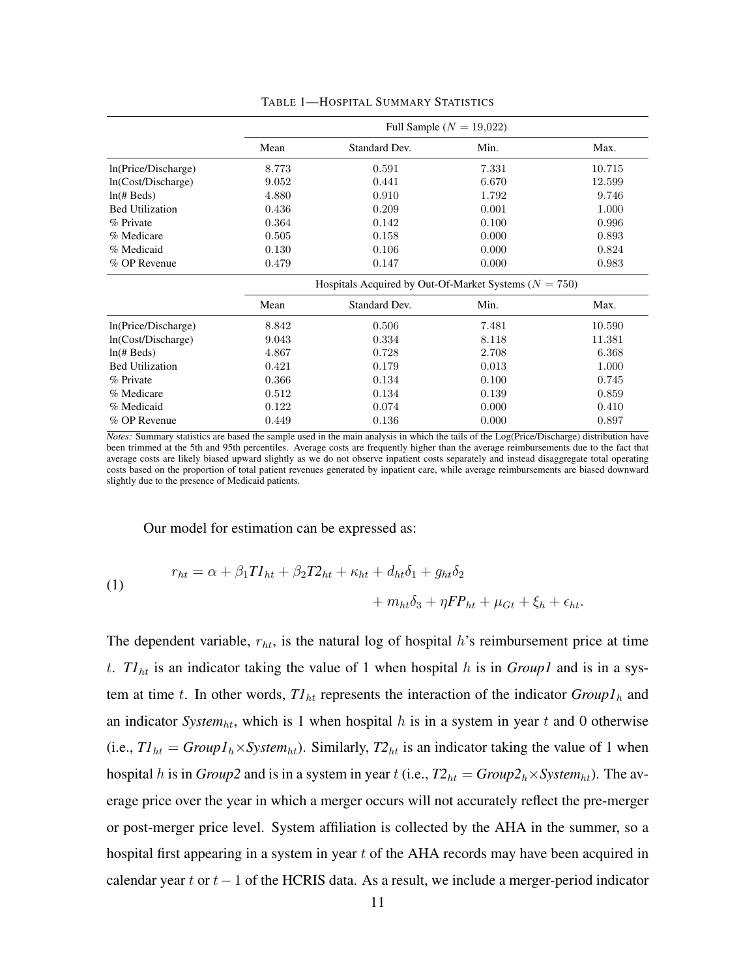|                        |       | Full Sample ( $N = 19,022$ )                              |       |        |  |  |  |  |
|------------------------|-------|-----------------------------------------------------------|-------|--------|--|--|--|--|
|                        | Mean  | Standard Dev.                                             | Min.  | Max.   |  |  |  |  |
| ln(Price/Discharge)    | 8.773 | 0.591                                                     | 7.331 | 10.715 |  |  |  |  |
| ln(Cost/Discharge)     | 9.052 | 0.441                                                     | 6.670 | 12.599 |  |  |  |  |
| $ln($ # Beds $)$       | 4.880 | 0.910                                                     | 1.792 | 9.746  |  |  |  |  |
| <b>Bed Utilization</b> | 0.436 | 0.209                                                     | 0.001 | 1.000  |  |  |  |  |
| % Private              | 0.364 | 0.142                                                     | 0.100 | 0.996  |  |  |  |  |
| % Medicare             | 0.505 | 0.158                                                     | 0.000 | 0.893  |  |  |  |  |
| % Medicaid             | 0.130 | 0.106                                                     | 0.000 | 0.824  |  |  |  |  |
| % OP Revenue           | 0.479 | 0.147                                                     | 0.000 | 0.983  |  |  |  |  |
|                        |       | Hospitals Acquired by Out-Of-Market Systems ( $N = 750$ ) |       |        |  |  |  |  |
|                        | Mean  | Standard Dev.                                             | Min.  | Max.   |  |  |  |  |
| ln(Price/Discharge)    | 8.842 | 0.506                                                     | 7.481 | 10.590 |  |  |  |  |
| ln(Cost/Discharge)     | 9.043 | 0.334                                                     | 8.118 | 11.381 |  |  |  |  |
| $ln($ # Beds $)$       | 4.867 | 0.728                                                     | 2.708 | 6.368  |  |  |  |  |
| <b>Bed Utilization</b> | 0.421 | 0.179                                                     | 0.013 | 1.000  |  |  |  |  |
| % Private              | 0.366 | 0.134                                                     | 0.100 | 0.745  |  |  |  |  |
| % Medicare             | 0.512 | 0.134                                                     | 0.139 | 0.859  |  |  |  |  |
| % Medicaid             | 0.122 | 0.074                                                     | 0.000 | 0.410  |  |  |  |  |
| % OP Revenue           | 0.449 | 0.136                                                     | 0.000 | 0.897  |  |  |  |  |

TABLE 1—HOSPITAL SUMMARY STATISTICS

*Notes:* Summary statistics are based the sample used in the main analysis in which the tails of the Log(Price/Discharge) distribution have been trimmed at the 5th and 95th percentiles. Average costs are frequently higher than the average reimbursements due to the fact that average costs are likely biased upward slightly as we do not observe inpatient costs separately and instead disaggregate total operating costs based on the proportion of total patient revenues generated by inpatient care, while average reimbursements are biased downward slightly due to the presence of Medicaid patients.

Our model for estimation can be expressed as:

(1)  
\n
$$
r_{ht} = \alpha + \beta_1 T I_{ht} + \beta_2 T 2_{ht} + \kappa_{ht} + d_{ht} \delta_1 + g_{ht} \delta_2
$$
\n
$$
+ m_{ht} \delta_3 + \eta F P_{ht} + \mu_{Gt} + \xi_h + \epsilon_{ht}.
$$

The dependent variable,  $r_{ht}$ , is the natural log of hospital  $h$ 's reimbursement price at time t.  $TI<sub>ht</sub>$  is an indicator taking the value of 1 when hospital h is in *Group1* and is in a system at time t. In other words,  $TI<sub>ht</sub>$  represents the interaction of the indicator  $GroupI<sub>h</sub>$  and an indicator *System*<sub>ht</sub>, which is 1 when hospital h is in a system in year t and 0 otherwise (i.e.,  $TI_{ht} = Group1_h \times System_{ht}$ ). Similarly,  $T2_{ht}$  is an indicator taking the value of 1 when hospital h is in *Group2* and is in a system in year t (i.e.,  $T2_{ht} = Group2_h \times System_{ht}$ ). The average price over the year in which a merger occurs will not accurately reflect the pre-merger or post-merger price level. System affiliation is collected by the AHA in the summer, so a hospital first appearing in a system in year t of the AHA records may have been acquired in calendar year t or  $t-1$  of the HCRIS data. As a result, we include a merger-period indicator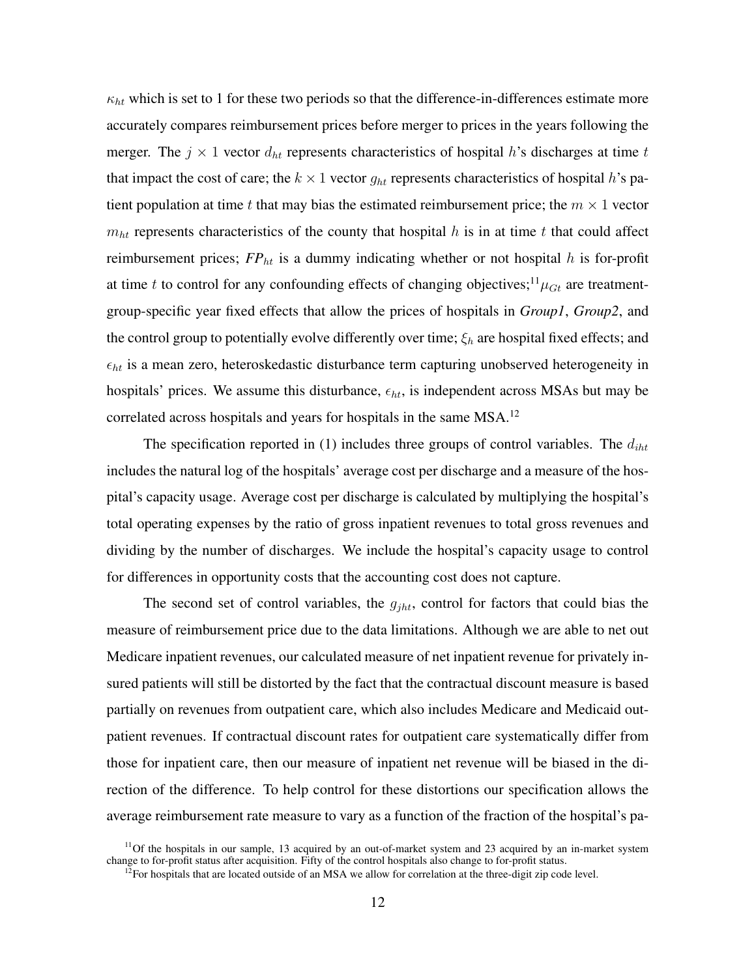$\kappa_{ht}$  which is set to 1 for these two periods so that the difference-in-differences estimate more accurately compares reimbursement prices before merger to prices in the years following the merger. The  $j \times 1$  vector  $d_{ht}$  represents characteristics of hospital h's discharges at time t that impact the cost of care; the  $k \times 1$  vector  $g_{ht}$  represents characteristics of hospital h's patient population at time t that may bias the estimated reimbursement price; the  $m \times 1$  vector  $m_{ht}$  represents characteristics of the county that hospital h is in at time t that could affect reimbursement prices;  $FP<sub>ht</sub>$  is a dummy indicating whether or not hospital h is for-profit at time t to control for any confounding effects of changing objectives;<sup>11</sup> $\mu_{Gt}$  are treatmentgroup-specific year fixed effects that allow the prices of hospitals in *Group1*, *Group2*, and the control group to potentially evolve differently over time;  $\xi_h$  are hospital fixed effects; and  $\epsilon_{ht}$  is a mean zero, heteroskedastic disturbance term capturing unobserved heterogeneity in hospitals' prices. We assume this disturbance,  $\epsilon_{ht}$ , is independent across MSAs but may be correlated across hospitals and years for hospitals in the same MSA.<sup>12</sup>

The specification reported in (1) includes three groups of control variables. The  $d_{iht}$ includes the natural log of the hospitals' average cost per discharge and a measure of the hospital's capacity usage. Average cost per discharge is calculated by multiplying the hospital's total operating expenses by the ratio of gross inpatient revenues to total gross revenues and dividing by the number of discharges. We include the hospital's capacity usage to control for differences in opportunity costs that the accounting cost does not capture.

The second set of control variables, the  $g_{jht}$ , control for factors that could bias the measure of reimbursement price due to the data limitations. Although we are able to net out Medicare inpatient revenues, our calculated measure of net inpatient revenue for privately insured patients will still be distorted by the fact that the contractual discount measure is based partially on revenues from outpatient care, which also includes Medicare and Medicaid outpatient revenues. If contractual discount rates for outpatient care systematically differ from those for inpatient care, then our measure of inpatient net revenue will be biased in the direction of the difference. To help control for these distortions our specification allows the average reimbursement rate measure to vary as a function of the fraction of the hospital's pa-

 $11$ Of the hospitals in our sample, 13 acquired by an out-of-market system and 23 acquired by an in-market system change to for-profit status after acquisition. Fifty of the control hospitals also change to for-profit status.

 $12$ For hospitals that are located outside of an MSA we allow for correlation at the three-digit zip code level.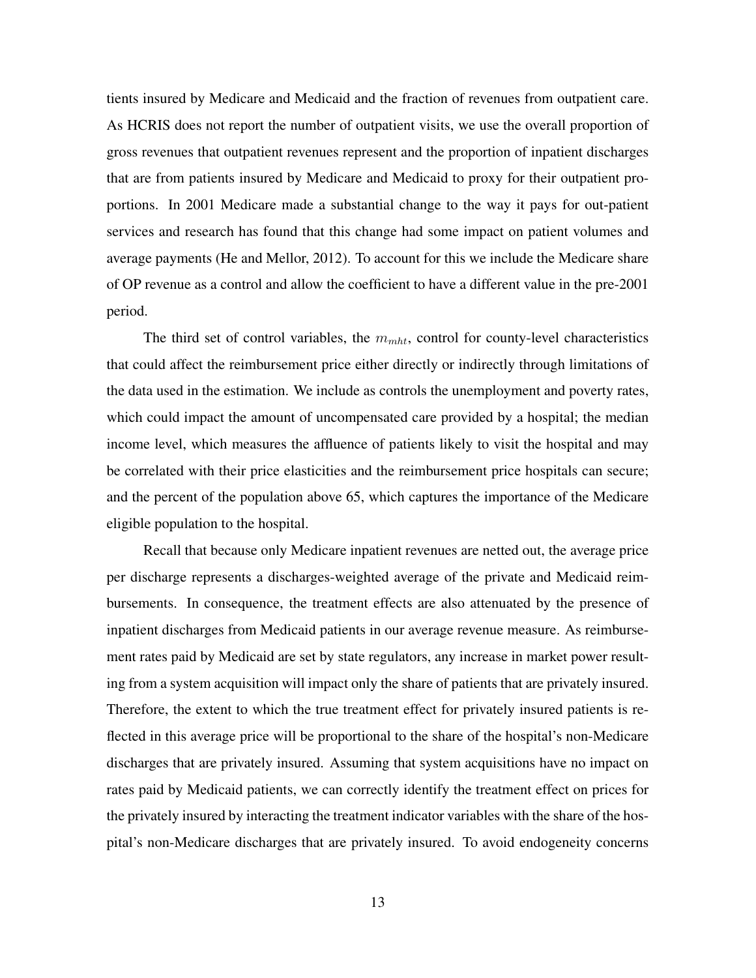tients insured by Medicare and Medicaid and the fraction of revenues from outpatient care. As HCRIS does not report the number of outpatient visits, we use the overall proportion of gross revenues that outpatient revenues represent and the proportion of inpatient discharges that are from patients insured by Medicare and Medicaid to proxy for their outpatient proportions. In 2001 Medicare made a substantial change to the way it pays for out-patient services and research has found that this change had some impact on patient volumes and average payments (He and Mellor, 2012). To account for this we include the Medicare share of OP revenue as a control and allow the coefficient to have a different value in the pre-2001 period.

The third set of control variables, the  $m_{mht}$ , control for county-level characteristics that could affect the reimbursement price either directly or indirectly through limitations of the data used in the estimation. We include as controls the unemployment and poverty rates, which could impact the amount of uncompensated care provided by a hospital; the median income level, which measures the affluence of patients likely to visit the hospital and may be correlated with their price elasticities and the reimbursement price hospitals can secure; and the percent of the population above 65, which captures the importance of the Medicare eligible population to the hospital.

Recall that because only Medicare inpatient revenues are netted out, the average price per discharge represents a discharges-weighted average of the private and Medicaid reimbursements. In consequence, the treatment effects are also attenuated by the presence of inpatient discharges from Medicaid patients in our average revenue measure. As reimbursement rates paid by Medicaid are set by state regulators, any increase in market power resulting from a system acquisition will impact only the share of patients that are privately insured. Therefore, the extent to which the true treatment effect for privately insured patients is reflected in this average price will be proportional to the share of the hospital's non-Medicare discharges that are privately insured. Assuming that system acquisitions have no impact on rates paid by Medicaid patients, we can correctly identify the treatment effect on prices for the privately insured by interacting the treatment indicator variables with the share of the hospital's non-Medicare discharges that are privately insured. To avoid endogeneity concerns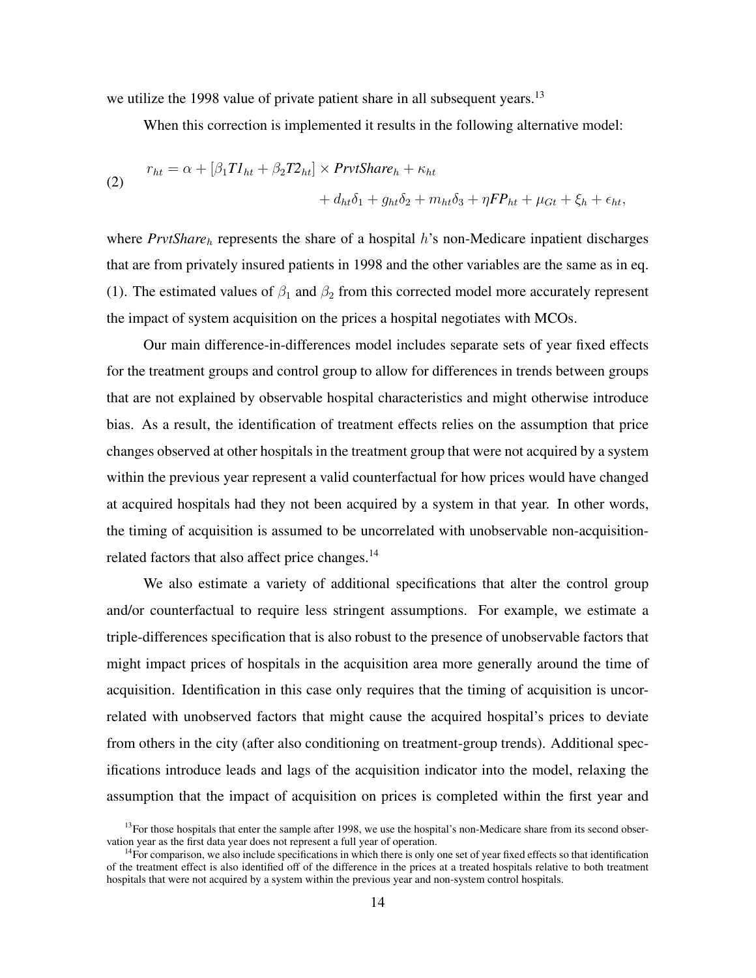we utilize the 1998 value of private patient share in all subsequent years.<sup>13</sup>

When this correction is implemented it results in the following alternative model:

(2) 
$$
r_{ht} = \alpha + [\beta_1 T I_{ht} + \beta_2 T 2_{ht}] \times PrvtShare_h + \kappa_{ht} + d_{ht}\delta_1 + g_{ht}\delta_2 + m_{ht}\delta_3 + \eta FP_{ht} + \mu_{Gt} + \xi_h + \epsilon_{ht},
$$

where *PrvtShare<sub>h</sub>* represents the share of a hospital h's non-Medicare inpatient discharges that are from privately insured patients in 1998 and the other variables are the same as in eq. (1). The estimated values of  $\beta_1$  and  $\beta_2$  from this corrected model more accurately represent the impact of system acquisition on the prices a hospital negotiates with MCOs.

Our main difference-in-differences model includes separate sets of year fixed effects for the treatment groups and control group to allow for differences in trends between groups that are not explained by observable hospital characteristics and might otherwise introduce bias. As a result, the identification of treatment effects relies on the assumption that price changes observed at other hospitals in the treatment group that were not acquired by a system within the previous year represent a valid counterfactual for how prices would have changed at acquired hospitals had they not been acquired by a system in that year. In other words, the timing of acquisition is assumed to be uncorrelated with unobservable non-acquisitionrelated factors that also affect price changes.<sup>14</sup>

We also estimate a variety of additional specifications that alter the control group and/or counterfactual to require less stringent assumptions. For example, we estimate a triple-differences specification that is also robust to the presence of unobservable factors that might impact prices of hospitals in the acquisition area more generally around the time of acquisition. Identification in this case only requires that the timing of acquisition is uncorrelated with unobserved factors that might cause the acquired hospital's prices to deviate from others in the city (after also conditioning on treatment-group trends). Additional specifications introduce leads and lags of the acquisition indicator into the model, relaxing the assumption that the impact of acquisition on prices is completed within the first year and

 $13$ For those hospitals that enter the sample after 1998, we use the hospital's non-Medicare share from its second observation year as the first data year does not represent a full year of operation.

 $14$ For comparison, we also include specifications in which there is only one set of year fixed effects so that identification of the treatment effect is also identified off of the difference in the prices at a treated hospitals relative to both treatment hospitals that were not acquired by a system within the previous year and non-system control hospitals.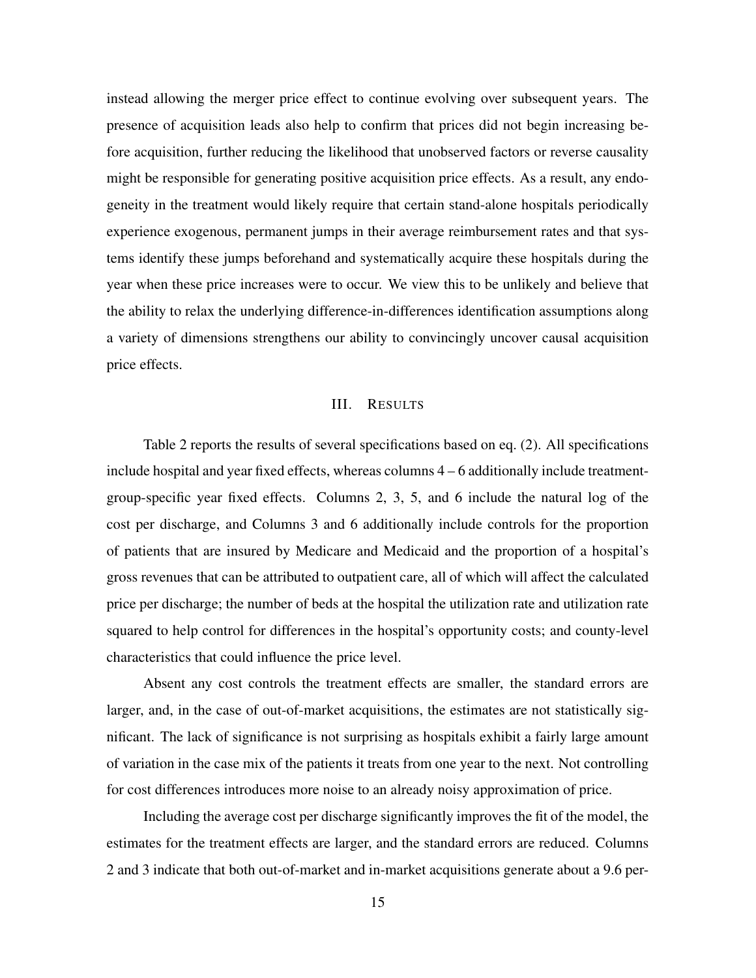instead allowing the merger price effect to continue evolving over subsequent years. The presence of acquisition leads also help to confirm that prices did not begin increasing before acquisition, further reducing the likelihood that unobserved factors or reverse causality might be responsible for generating positive acquisition price effects. As a result, any endogeneity in the treatment would likely require that certain stand-alone hospitals periodically experience exogenous, permanent jumps in their average reimbursement rates and that systems identify these jumps beforehand and systematically acquire these hospitals during the year when these price increases were to occur. We view this to be unlikely and believe that the ability to relax the underlying difference-in-differences identification assumptions along a variety of dimensions strengthens our ability to convincingly uncover causal acquisition price effects.

### III. RESULTS

Table 2 reports the results of several specifications based on eq. (2). All specifications include hospital and year fixed effects, whereas columns 4 – 6 additionally include treatmentgroup-specific year fixed effects. Columns 2, 3, 5, and 6 include the natural log of the cost per discharge, and Columns 3 and 6 additionally include controls for the proportion of patients that are insured by Medicare and Medicaid and the proportion of a hospital's gross revenues that can be attributed to outpatient care, all of which will affect the calculated price per discharge; the number of beds at the hospital the utilization rate and utilization rate squared to help control for differences in the hospital's opportunity costs; and county-level characteristics that could influence the price level.

Absent any cost controls the treatment effects are smaller, the standard errors are larger, and, in the case of out-of-market acquisitions, the estimates are not statistically significant. The lack of significance is not surprising as hospitals exhibit a fairly large amount of variation in the case mix of the patients it treats from one year to the next. Not controlling for cost differences introduces more noise to an already noisy approximation of price.

Including the average cost per discharge significantly improves the fit of the model, the estimates for the treatment effects are larger, and the standard errors are reduced. Columns 2 and 3 indicate that both out-of-market and in-market acquisitions generate about a 9.6 per-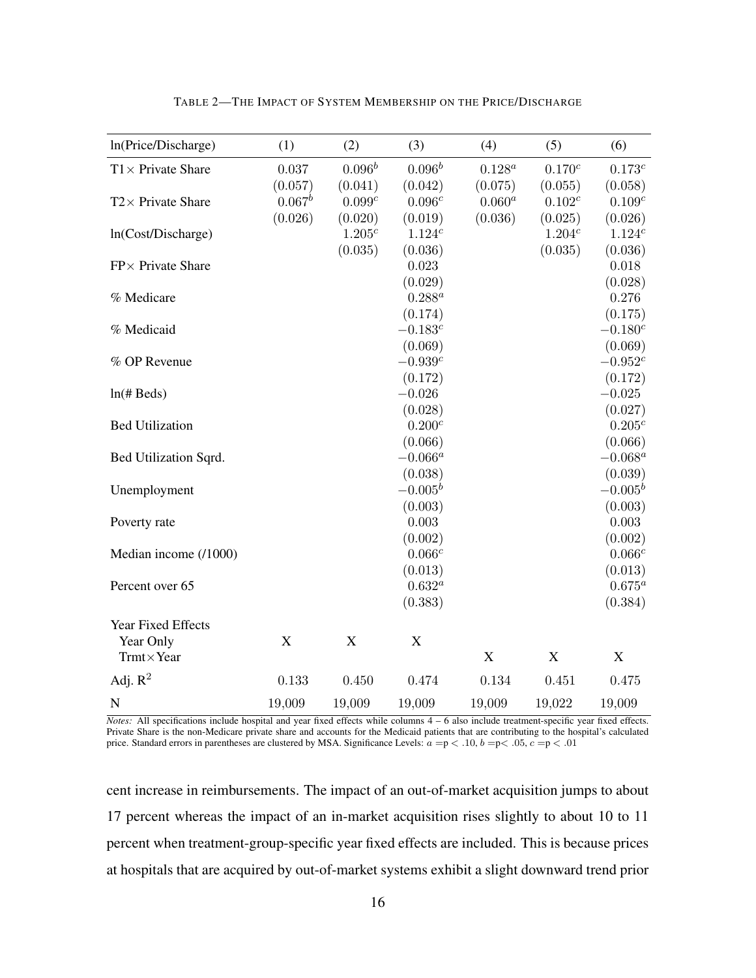| ln(Price/Discharge)                | (1)         | (2)       | (3)          | (4)         | (5)         | (6)                       |
|------------------------------------|-------------|-----------|--------------|-------------|-------------|---------------------------|
| $T1 \times$ Private Share          | 0.037       | $0.096^b$ | $0.096^b$    | $0.128^a$   | $0.170^c$   | $0.173^c$                 |
|                                    | (0.057)     | (0.041)   | (0.042)      | (0.075)     | (0.055)     | (0.058)                   |
| $T2 \times$ Private Share          | $0.067^b$   | 0.099c    | $0.096^c$    | $0.060^a$   | $0.102^c$   | $0.109^c$                 |
|                                    | (0.026)     | (0.020)   | (0.019)      | (0.036)     | (0.025)     | (0.026)                   |
| ln(Cost/Discharge)                 |             | $1.205^c$ | 1.124c       |             | $1.204^c$   | 1.124c                    |
|                                    |             | (0.035)   | (0.036)      |             | (0.035)     | (0.036)                   |
| $FP \times Private$ Share          |             |           | 0.023        |             |             | 0.018                     |
|                                    |             |           | (0.029)      |             |             | (0.028)                   |
| % Medicare                         |             |           | $0.288^a$    |             |             | 0.276                     |
|                                    |             |           | (0.174)      |             |             | (0.175)                   |
| % Medicaid                         |             |           | $-0.183^{c}$ |             |             | $-0.180^{c}$              |
|                                    |             |           | (0.069)      |             |             | (0.069)                   |
| % OP Revenue                       |             |           | $-0.939^{c}$ |             |             | $-0.952^c$                |
|                                    |             |           | (0.172)      |             |             | (0.172)                   |
| $ln($ # Beds $)$                   |             |           | $-0.026$     |             |             | $-0.025$                  |
|                                    |             |           | (0.028)      |             |             | (0.027)                   |
| <b>Bed Utilization</b>             |             |           | $0.200^c$    |             |             | $0.205^c$                 |
|                                    |             |           | (0.066)      |             |             | (0.066)                   |
| Bed Utilization Sqrd.              |             |           | $-0.066^a$   |             |             | $-0.068^a$                |
|                                    |             |           | (0.038)      |             |             | (0.039)                   |
| Unemployment                       |             |           | $-0.005^b$   |             |             | $-0.005^b$                |
|                                    |             |           | (0.003)      |             |             | (0.003)                   |
| Poverty rate                       |             |           | 0.003        |             |             | $\,0.003\,$               |
|                                    |             |           | (0.002)      |             |             | (0.002)                   |
| Median income (/1000)              |             |           | 0.066c       |             |             | $0.066^c$                 |
|                                    |             |           | (0.013)      |             |             | (0.013)                   |
| Percent over 65                    |             |           | $0.632^a$    |             |             | $0.675^a$                 |
|                                    |             |           | (0.383)      |             |             | (0.384)                   |
| Year Fixed Effects                 |             |           |              |             |             |                           |
| Year Only                          | $\mathbf X$ | X         | $\mathbf X$  |             |             |                           |
| $Trm\mathsf{t}\times\mathsf{Year}$ |             |           |              | $\mathbf X$ | $\mathbf X$ | $\boldsymbol{\mathrm{X}}$ |
| Adj. $R^2$                         | 0.133       | 0.450     | 0.474        | 0.134       | 0.451       | 0.475                     |
| $\mathbf N$                        | 19,009      | 19,009    | 19,009       | 19,009      | 19,022      | 19,009                    |

TABLE 2—THE IMPACT OF SYSTEM MEMBERSHIP ON THE PRICE/DISCHARGE

*Notes:* All specifications include hospital and year fixed effects while columns 4 – 6 also include treatment-specific year fixed effects. Private Share is the non-Medicare private share and accounts for the Medicaid patients that are contributing to the hospital's calculated price. Standard errors in parentheses are clustered by MSA. Significance Levels:  $a = p < .10$ ,  $b = p < .05$ ,  $c = p < .01$ 

cent increase in reimbursements. The impact of an out-of-market acquisition jumps to about 17 percent whereas the impact of an in-market acquisition rises slightly to about 10 to 11 percent when treatment-group-specific year fixed effects are included. This is because prices at hospitals that are acquired by out-of-market systems exhibit a slight downward trend prior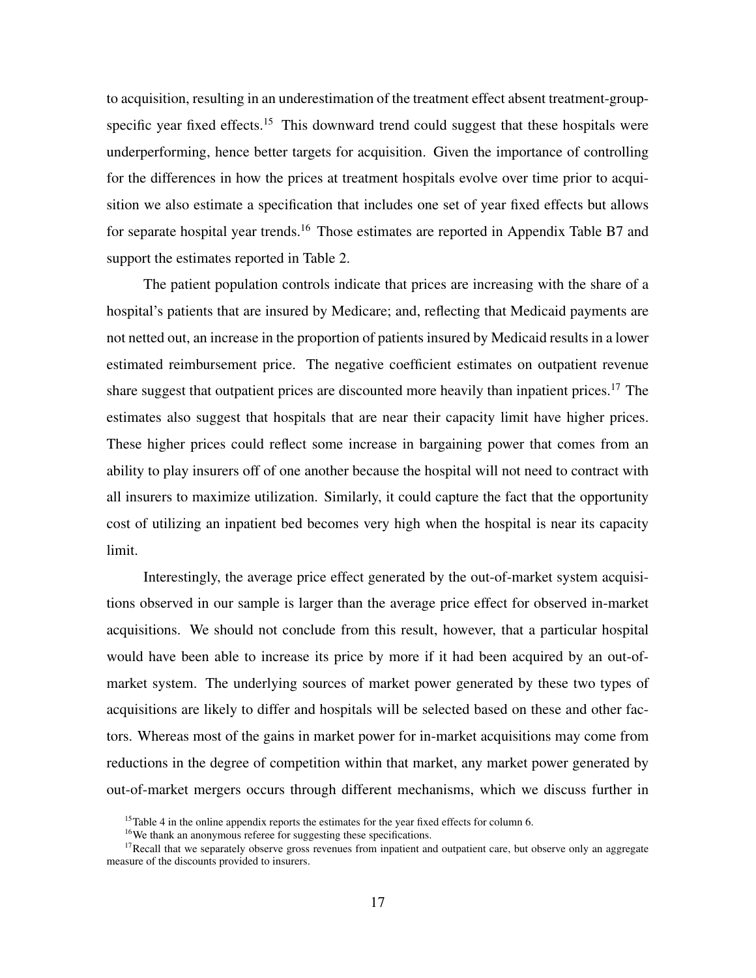to acquisition, resulting in an underestimation of the treatment effect absent treatment-groupspecific year fixed effects.<sup>15</sup> This downward trend could suggest that these hospitals were underperforming, hence better targets for acquisition. Given the importance of controlling for the differences in how the prices at treatment hospitals evolve over time prior to acquisition we also estimate a specification that includes one set of year fixed effects but allows for separate hospital year trends.<sup>16</sup> Those estimates are reported in Appendix Table B7 and support the estimates reported in Table 2.

The patient population controls indicate that prices are increasing with the share of a hospital's patients that are insured by Medicare; and, reflecting that Medicaid payments are not netted out, an increase in the proportion of patients insured by Medicaid results in a lower estimated reimbursement price. The negative coefficient estimates on outpatient revenue share suggest that outpatient prices are discounted more heavily than inpatient prices.<sup>17</sup> The estimates also suggest that hospitals that are near their capacity limit have higher prices. These higher prices could reflect some increase in bargaining power that comes from an ability to play insurers off of one another because the hospital will not need to contract with all insurers to maximize utilization. Similarly, it could capture the fact that the opportunity cost of utilizing an inpatient bed becomes very high when the hospital is near its capacity limit.

Interestingly, the average price effect generated by the out-of-market system acquisitions observed in our sample is larger than the average price effect for observed in-market acquisitions. We should not conclude from this result, however, that a particular hospital would have been able to increase its price by more if it had been acquired by an out-ofmarket system. The underlying sources of market power generated by these two types of acquisitions are likely to differ and hospitals will be selected based on these and other factors. Whereas most of the gains in market power for in-market acquisitions may come from reductions in the degree of competition within that market, any market power generated by out-of-market mergers occurs through different mechanisms, which we discuss further in

<sup>&</sup>lt;sup>15</sup>Table 4 in the online appendix reports the estimates for the year fixed effects for column 6.

<sup>&</sup>lt;sup>16</sup>We thank an anonymous referee for suggesting these specifications.

 $17$ Recall that we separately observe gross revenues from inpatient and outpatient care, but observe only an aggregate measure of the discounts provided to insurers.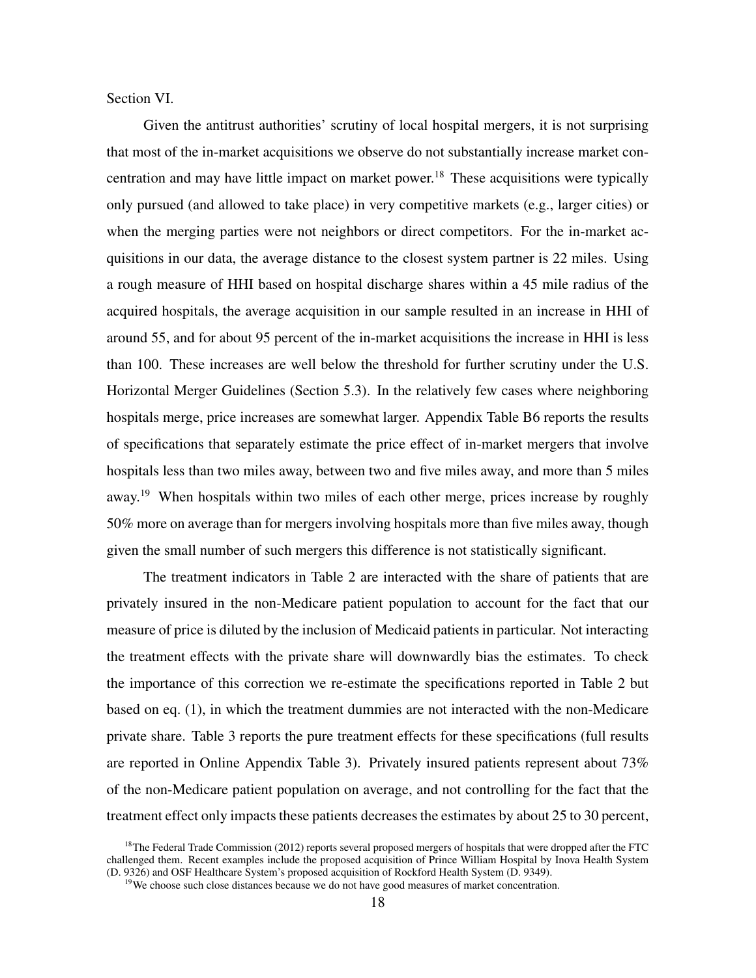Section VI.

Given the antitrust authorities' scrutiny of local hospital mergers, it is not surprising that most of the in-market acquisitions we observe do not substantially increase market concentration and may have little impact on market power.<sup>18</sup> These acquisitions were typically only pursued (and allowed to take place) in very competitive markets (e.g., larger cities) or when the merging parties were not neighbors or direct competitors. For the in-market acquisitions in our data, the average distance to the closest system partner is 22 miles. Using a rough measure of HHI based on hospital discharge shares within a 45 mile radius of the acquired hospitals, the average acquisition in our sample resulted in an increase in HHI of around 55, and for about 95 percent of the in-market acquisitions the increase in HHI is less than 100. These increases are well below the threshold for further scrutiny under the U.S. Horizontal Merger Guidelines (Section 5.3). In the relatively few cases where neighboring hospitals merge, price increases are somewhat larger. Appendix Table B6 reports the results of specifications that separately estimate the price effect of in-market mergers that involve hospitals less than two miles away, between two and five miles away, and more than 5 miles away.<sup>19</sup> When hospitals within two miles of each other merge, prices increase by roughly 50% more on average than for mergers involving hospitals more than five miles away, though given the small number of such mergers this difference is not statistically significant.

The treatment indicators in Table 2 are interacted with the share of patients that are privately insured in the non-Medicare patient population to account for the fact that our measure of price is diluted by the inclusion of Medicaid patients in particular. Not interacting the treatment effects with the private share will downwardly bias the estimates. To check the importance of this correction we re-estimate the specifications reported in Table 2 but based on eq. (1), in which the treatment dummies are not interacted with the non-Medicare private share. Table 3 reports the pure treatment effects for these specifications (full results are reported in Online Appendix Table 3). Privately insured patients represent about 73% of the non-Medicare patient population on average, and not controlling for the fact that the treatment effect only impacts these patients decreases the estimates by about 25 to 30 percent,

 $18$ The Federal Trade Commission (2012) reports several proposed mergers of hospitals that were dropped after the FTC challenged them. Recent examples include the proposed acquisition of Prince William Hospital by Inova Health System (D. 9326) and OSF Healthcare System's proposed acquisition of Rockford Health System (D. 9349).

 $19$ We choose such close distances because we do not have good measures of market concentration.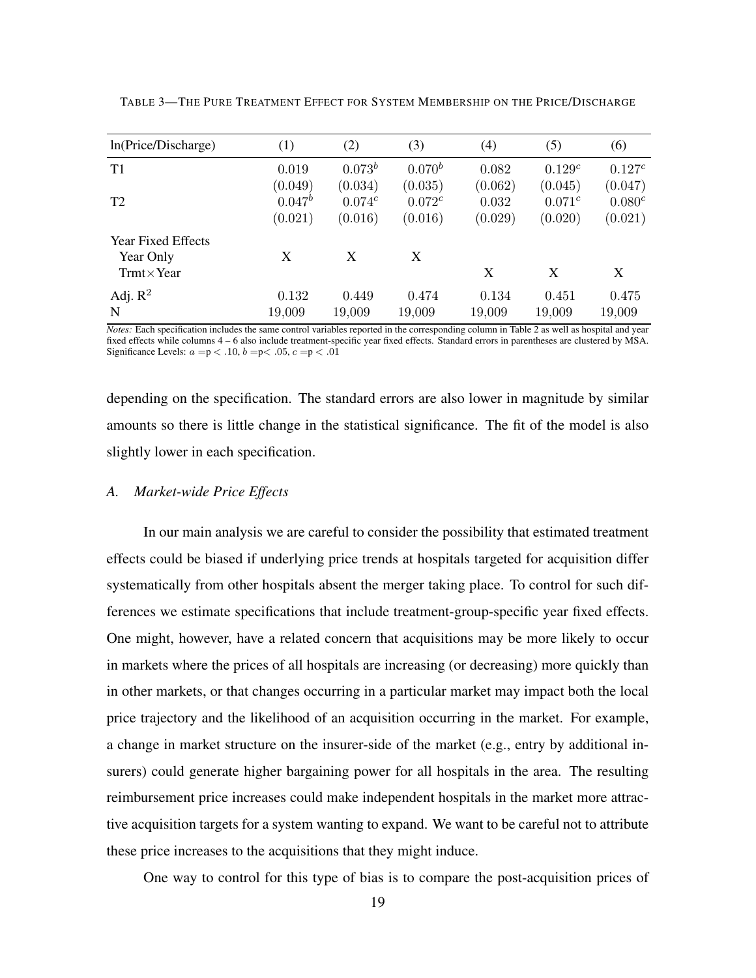| ln(Price/Discharge)       | (1)         | (2)       | (3)         | (4)     | (5)         | (6)                |
|---------------------------|-------------|-----------|-------------|---------|-------------|--------------------|
| T1                        | 0.019       | $0.073^b$ | $0.070^{b}$ | 0.082   | 0.129c      | $0.127^{c}$        |
|                           | (0.049)     | (0.034)   | (0.035)     | (0.062) | (0.045)     | (0.047)            |
| T <sub>2</sub>            | $0.047^{b}$ | 0.074c    | $0.072^{c}$ | 0.032   | $0.071^{c}$ | 0.080 <sup>c</sup> |
|                           | (0.021)     | (0.016)   | (0.016)     | (0.029) | (0.020)     | (0.021)            |
| <b>Year Fixed Effects</b> |             |           |             |         |             |                    |
| Year Only                 | X           | X         | X           |         |             |                    |
| $T$ rmt $\times$ Year     |             |           |             | X       | X           | X                  |
| Adj. $R^2$                | 0.132       | 0.449     | 0.474       | 0.134   | 0.451       | 0.475              |
| N                         | 19,009      | 19,009    | 19,009      | 19,009  | 19,009      | 19,009             |

TABLE 3—THE PURE TREATMENT EFFECT FOR SYSTEM MEMBERSHIP ON THE PRICE/DISCHARGE

*Notes*: Each specification includes the same control variables reported in the corresponding column in Table 2 as well as hospital and year fixed effects while columns 4 – 6 also include treatment-specific year fixed effects. Standard errors in parentheses are clustered by MSA. Significance Levels:  $a = p < .10$ ,  $b = p < .05$ ,  $c = p < .01$ 

depending on the specification. The standard errors are also lower in magnitude by similar amounts so there is little change in the statistical significance. The fit of the model is also slightly lower in each specification.

#### *A. Market-wide Price Effects*

In our main analysis we are careful to consider the possibility that estimated treatment effects could be biased if underlying price trends at hospitals targeted for acquisition differ systematically from other hospitals absent the merger taking place. To control for such differences we estimate specifications that include treatment-group-specific year fixed effects. One might, however, have a related concern that acquisitions may be more likely to occur in markets where the prices of all hospitals are increasing (or decreasing) more quickly than in other markets, or that changes occurring in a particular market may impact both the local price trajectory and the likelihood of an acquisition occurring in the market. For example, a change in market structure on the insurer-side of the market (e.g., entry by additional insurers) could generate higher bargaining power for all hospitals in the area. The resulting reimbursement price increases could make independent hospitals in the market more attractive acquisition targets for a system wanting to expand. We want to be careful not to attribute these price increases to the acquisitions that they might induce.

One way to control for this type of bias is to compare the post-acquisition prices of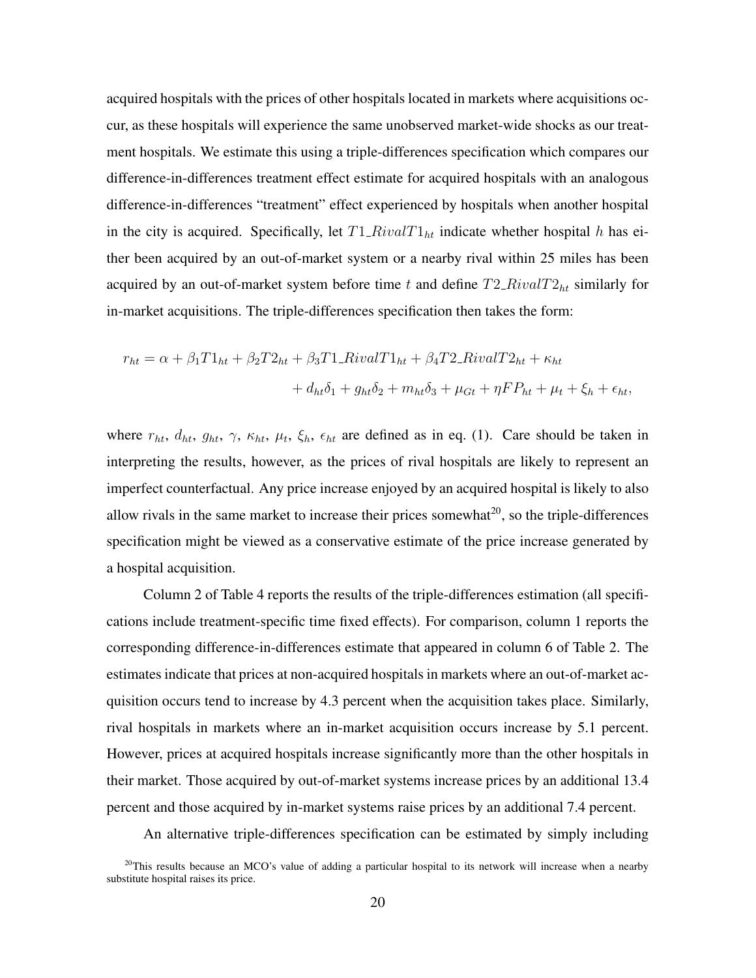acquired hospitals with the prices of other hospitals located in markets where acquisitions occur, as these hospitals will experience the same unobserved market-wide shocks as our treatment hospitals. We estimate this using a triple-differences specification which compares our difference-in-differences treatment effect estimate for acquired hospitals with an analogous difference-in-differences "treatment" effect experienced by hospitals when another hospital in the city is acquired. Specifically, let  $T1_R$  *RivalT* $1_{ht}$  indicate whether hospital h has either been acquired by an out-of-market system or a nearby rival within 25 miles has been acquired by an out-of-market system before time t and define  $T2_RivalT2_{ht}$  similarly for in-market acquisitions. The triple-differences specification then takes the form:

$$
r_{ht} = \alpha + \beta_1 T1_{ht} + \beta_2 T2_{ht} + \beta_3 T1_{\text{}
$$

where  $r_{ht}$ ,  $d_{ht}$ ,  $g_{ht}$ ,  $\gamma$ ,  $\kappa_{ht}$ ,  $\mu_t$ ,  $\xi_h$ ,  $\epsilon_{ht}$  are defined as in eq. (1). Care should be taken in interpreting the results, however, as the prices of rival hospitals are likely to represent an imperfect counterfactual. Any price increase enjoyed by an acquired hospital is likely to also allow rivals in the same market to increase their prices somewhat $20$ , so the triple-differences specification might be viewed as a conservative estimate of the price increase generated by a hospital acquisition.

Column 2 of Table 4 reports the results of the triple-differences estimation (all specifications include treatment-specific time fixed effects). For comparison, column 1 reports the corresponding difference-in-differences estimate that appeared in column 6 of Table 2. The estimates indicate that prices at non-acquired hospitals in markets where an out-of-market acquisition occurs tend to increase by 4.3 percent when the acquisition takes place. Similarly, rival hospitals in markets where an in-market acquisition occurs increase by 5.1 percent. However, prices at acquired hospitals increase significantly more than the other hospitals in their market. Those acquired by out-of-market systems increase prices by an additional 13.4 percent and those acquired by in-market systems raise prices by an additional 7.4 percent.

An alternative triple-differences specification can be estimated by simply including

 $^{20}$ This results because an MCO's value of adding a particular hospital to its network will increase when a nearby substitute hospital raises its price.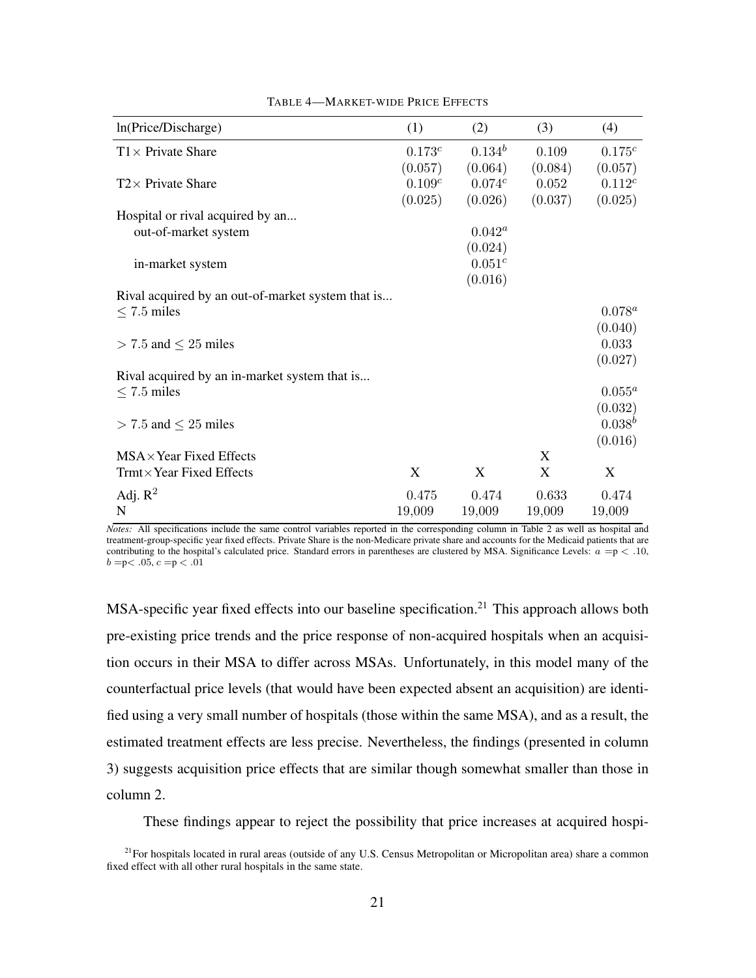| ln(Price/Discharge)                               | (1)         | (2)                | (3)     | (4)         |
|---------------------------------------------------|-------------|--------------------|---------|-------------|
| $T1 \times$ Private Share                         | $0.173^{c}$ | $0.134^{b}$        | 0.109   | $0.175^{c}$ |
|                                                   | (0.057)     | (0.064)            | (0.084) | (0.057)     |
| $T2 \times$ Private Share                         | $0.109^{c}$ | 0.074c             | 0.052   | $0.112^{c}$ |
|                                                   | (0.025)     | (0.026)            | (0.037) | (0.025)     |
| Hospital or rival acquired by an                  |             |                    |         |             |
| out-of-market system                              |             | $0.042^a$          |         |             |
|                                                   |             | (0.024)            |         |             |
| in-market system                                  |             | 0.051 <sup>c</sup> |         |             |
|                                                   |             | (0.016)            |         |             |
| Rival acquired by an out-of-market system that is |             |                    |         |             |
| $\leq$ 7.5 miles                                  |             |                    |         | $0.078^a$   |
|                                                   |             |                    |         | (0.040)     |
| $> 7.5$ and $\leq 25$ miles                       |             |                    |         | 0.033       |
|                                                   |             |                    |         | (0.027)     |
| Rival acquired by an in-market system that is     |             |                    |         |             |
| $\leq$ 7.5 miles                                  |             |                    |         | $0.055^a$   |
|                                                   |             |                    |         | (0.032)     |
| $> 7.5$ and $\leq 25$ miles                       |             |                    |         | $0.038^b$   |
|                                                   |             |                    |         | (0.016)     |
| $MSA \times Year$ Fixed Effects                   |             |                    | X       |             |
| Trmt×Year Fixed Effects                           | X           | X                  | X       | X           |
| Adj. $R^2$                                        | 0.475       | 0.474              | 0.633   | 0.474       |
| N                                                 | 19,009      | 19,009             | 19,009  | 19,009      |

TABLE 4—MARKET-WIDE PRICE EFFECTS

*Notes:* All specifications include the same control variables reported in the corresponding column in Table 2 as well as hospital and treatment-group-specific year fixed effects. Private Share is the non-Medicare private share and accounts for the Medicaid patients that are contributing to the hospital's calculated price. Standard errors in parentheses are clustered by MSA. Significance Levels:  $a = p < .10$ ,  $b = p < .05, c = p < .01$ 

MSA-specific year fixed effects into our baseline specification.<sup>21</sup> This approach allows both pre-existing price trends and the price response of non-acquired hospitals when an acquisition occurs in their MSA to differ across MSAs. Unfortunately, in this model many of the counterfactual price levels (that would have been expected absent an acquisition) are identified using a very small number of hospitals (those within the same MSA), and as a result, the estimated treatment effects are less precise. Nevertheless, the findings (presented in column 3) suggests acquisition price effects that are similar though somewhat smaller than those in column 2.

These findings appear to reject the possibility that price increases at acquired hospi-

 $^{21}$ For hospitals located in rural areas (outside of any U.S. Census Metropolitan or Micropolitan area) share a common fixed effect with all other rural hospitals in the same state.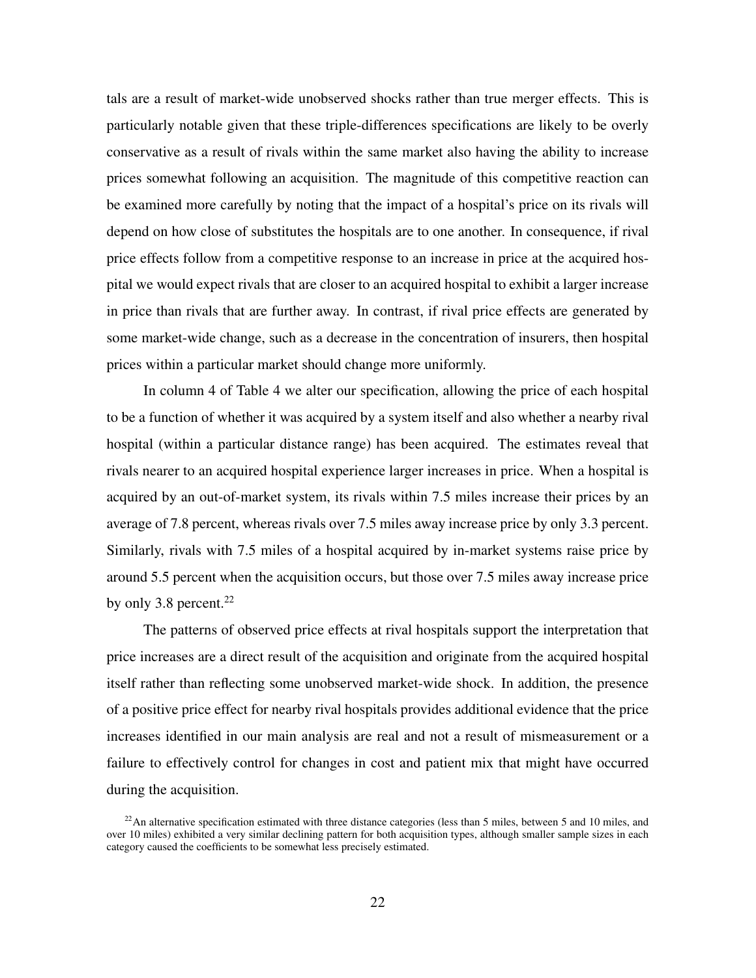tals are a result of market-wide unobserved shocks rather than true merger effects. This is particularly notable given that these triple-differences specifications are likely to be overly conservative as a result of rivals within the same market also having the ability to increase prices somewhat following an acquisition. The magnitude of this competitive reaction can be examined more carefully by noting that the impact of a hospital's price on its rivals will depend on how close of substitutes the hospitals are to one another. In consequence, if rival price effects follow from a competitive response to an increase in price at the acquired hospital we would expect rivals that are closer to an acquired hospital to exhibit a larger increase in price than rivals that are further away. In contrast, if rival price effects are generated by some market-wide change, such as a decrease in the concentration of insurers, then hospital prices within a particular market should change more uniformly.

In column 4 of Table 4 we alter our specification, allowing the price of each hospital to be a function of whether it was acquired by a system itself and also whether a nearby rival hospital (within a particular distance range) has been acquired. The estimates reveal that rivals nearer to an acquired hospital experience larger increases in price. When a hospital is acquired by an out-of-market system, its rivals within 7.5 miles increase their prices by an average of 7.8 percent, whereas rivals over 7.5 miles away increase price by only 3.3 percent. Similarly, rivals with 7.5 miles of a hospital acquired by in-market systems raise price by around 5.5 percent when the acquisition occurs, but those over 7.5 miles away increase price by only 3.8 percent. $22$ 

The patterns of observed price effects at rival hospitals support the interpretation that price increases are a direct result of the acquisition and originate from the acquired hospital itself rather than reflecting some unobserved market-wide shock. In addition, the presence of a positive price effect for nearby rival hospitals provides additional evidence that the price increases identified in our main analysis are real and not a result of mismeasurement or a failure to effectively control for changes in cost and patient mix that might have occurred during the acquisition.

 $^{22}$ An alternative specification estimated with three distance categories (less than 5 miles, between 5 and 10 miles, and over 10 miles) exhibited a very similar declining pattern for both acquisition types, although smaller sample sizes in each category caused the coefficients to be somewhat less precisely estimated.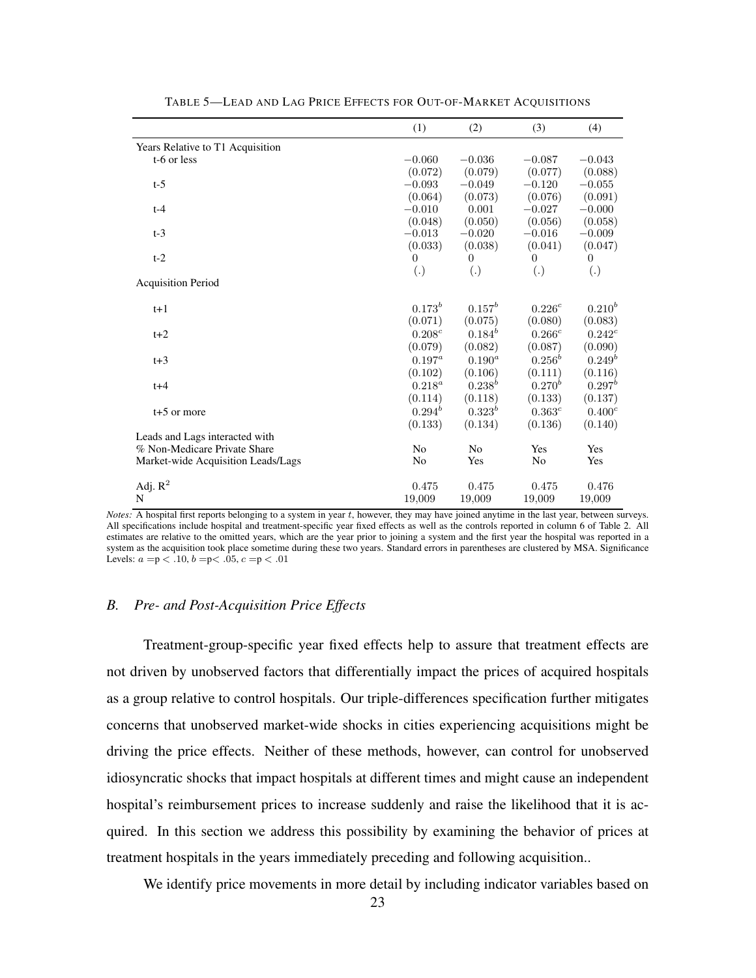|                                    | (1)            | (2)            | (3)            | (4)         |
|------------------------------------|----------------|----------------|----------------|-------------|
| Years Relative to T1 Acquisition   |                |                |                |             |
| t-6 or less                        | $-0.060$       | $-0.036$       | $-0.087$       | $-0.043$    |
|                                    | (0.072)        | (0.079)        | (0.077)        | (0.088)     |
| $t-5$                              | $-0.093$       | $-0.049$       | $-0.120$       | $-0.055$    |
|                                    | (0.064)        | (0.073)        | (0.076)        | (0.091)     |
| $t-4$                              | $-0.010$       | 0.001          | $-0.027$       | $-0.000$    |
|                                    | (0.048)        | (0.050)        | (0.056)        | (0.058)     |
| $t-3$                              | $-0.013$       | $-0.020$       | $-0.016$       | $-0.009$    |
|                                    | (0.033)        | (0.038)        | (0.041)        | (0.047)     |
| $t-2$                              | $\theta$       | $\theta$       | $\theta$       | $\theta$    |
|                                    | (.)            | (.)            | (.)            | (.)         |
| <b>Acquisition Period</b>          |                |                |                |             |
| $t+1$                              | $0.173^{b}$    | $0.157^{b}$    | $0.226^{c}$    | $0.210^{b}$ |
|                                    | (0.071)        | (0.075)        | (0.080)        | (0.083)     |
| $t+2$                              | $0.208^{c}$    | $0.184^{b}$    | $0.266^c$      | $0.242^c$   |
|                                    | (0.079)        | (0.082)        | (0.087)        | (0.090)     |
| $t+3$                              | $0.197^a$      | $0.190^a$      | $0.256^{b}$    | $0.249^{b}$ |
|                                    | (0.102)        | (0.106)        | (0.111)        | (0.116)     |
| $t + 4$                            | $0.218^a$      | $0.238^{b}$    | $0.270^{b}$    | $0.297^{b}$ |
|                                    | (0.114)        | (0.118)        | (0.133)        | (0.137)     |
| $t+5$ or more                      | $0.294^{b}$    | $0.323^{b}$    | $0.363^{c}$    | $0.400^c$   |
|                                    | (0.133)        | (0.134)        | (0.136)        | (0.140)     |
| Leads and Lags interacted with     |                |                |                |             |
| % Non-Medicare Private Share       | N <sub>0</sub> | N <sub>0</sub> | Yes            | Yes         |
| Market-wide Acquisition Leads/Lags | N <sub>0</sub> | Yes            | N <sub>0</sub> | Yes         |
| Adj. $R^2$                         | 0.475          | 0.475          | 0.475          | 0.476       |
| N                                  | 19,009         | 19,009         | 19,009         | 19,009      |

TABLE 5—LEAD AND LAG PRICE EFFECTS FOR OUT-OF-MARKET ACQUISITIONS

*Notes:* A hospital first reports belonging to a system in year t, however, they may have joined anytime in the last year, between surveys. All specifications include hospital and treatment-specific year fixed effects as well as the controls reported in column 6 of Table 2. All estimates are relative to the omitted years, which are the year prior to joining a system and the first year the hospital was reported in a system as the acquisition took place sometime during these two years. Standard errors in parentheses are clustered by MSA. Significance Levels:  $a = p < .10, b = p < .05, c = p < .01$ 

#### *B. Pre- and Post-Acquisition Price Effects*

Treatment-group-specific year fixed effects help to assure that treatment effects are not driven by unobserved factors that differentially impact the prices of acquired hospitals as a group relative to control hospitals. Our triple-differences specification further mitigates concerns that unobserved market-wide shocks in cities experiencing acquisitions might be driving the price effects. Neither of these methods, however, can control for unobserved idiosyncratic shocks that impact hospitals at different times and might cause an independent hospital's reimbursement prices to increase suddenly and raise the likelihood that it is acquired. In this section we address this possibility by examining the behavior of prices at treatment hospitals in the years immediately preceding and following acquisition..

We identify price movements in more detail by including indicator variables based on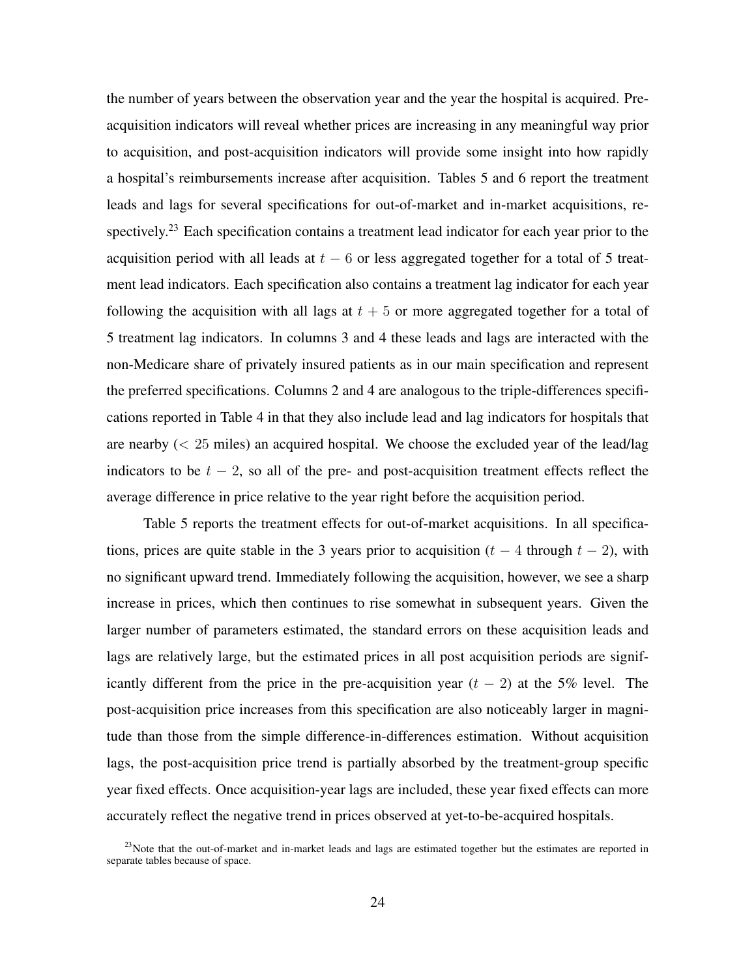the number of years between the observation year and the year the hospital is acquired. Preacquisition indicators will reveal whether prices are increasing in any meaningful way prior to acquisition, and post-acquisition indicators will provide some insight into how rapidly a hospital's reimbursements increase after acquisition. Tables 5 and 6 report the treatment leads and lags for several specifications for out-of-market and in-market acquisitions, respectively.<sup>23</sup> Each specification contains a treatment lead indicator for each year prior to the acquisition period with all leads at  $t - 6$  or less aggregated together for a total of 5 treatment lead indicators. Each specification also contains a treatment lag indicator for each year following the acquisition with all lags at  $t + 5$  or more aggregated together for a total of 5 treatment lag indicators. In columns 3 and 4 these leads and lags are interacted with the non-Medicare share of privately insured patients as in our main specification and represent the preferred specifications. Columns 2 and 4 are analogous to the triple-differences specifications reported in Table 4 in that they also include lead and lag indicators for hospitals that are nearby  $\ll$  25 miles) an acquired hospital. We choose the excluded year of the lead/lag indicators to be  $t - 2$ , so all of the pre- and post-acquisition treatment effects reflect the average difference in price relative to the year right before the acquisition period.

Table 5 reports the treatment effects for out-of-market acquisitions. In all specifications, prices are quite stable in the 3 years prior to acquisition  $(t - 4)$  through  $t - 2$ ), with no significant upward trend. Immediately following the acquisition, however, we see a sharp increase in prices, which then continues to rise somewhat in subsequent years. Given the larger number of parameters estimated, the standard errors on these acquisition leads and lags are relatively large, but the estimated prices in all post acquisition periods are significantly different from the price in the pre-acquisition year  $(t - 2)$  at the 5% level. The post-acquisition price increases from this specification are also noticeably larger in magnitude than those from the simple difference-in-differences estimation. Without acquisition lags, the post-acquisition price trend is partially absorbed by the treatment-group specific year fixed effects. Once acquisition-year lags are included, these year fixed effects can more accurately reflect the negative trend in prices observed at yet-to-be-acquired hospitals.

 $23$ Note that the out-of-market and in-market leads and lags are estimated together but the estimates are reported in separate tables because of space.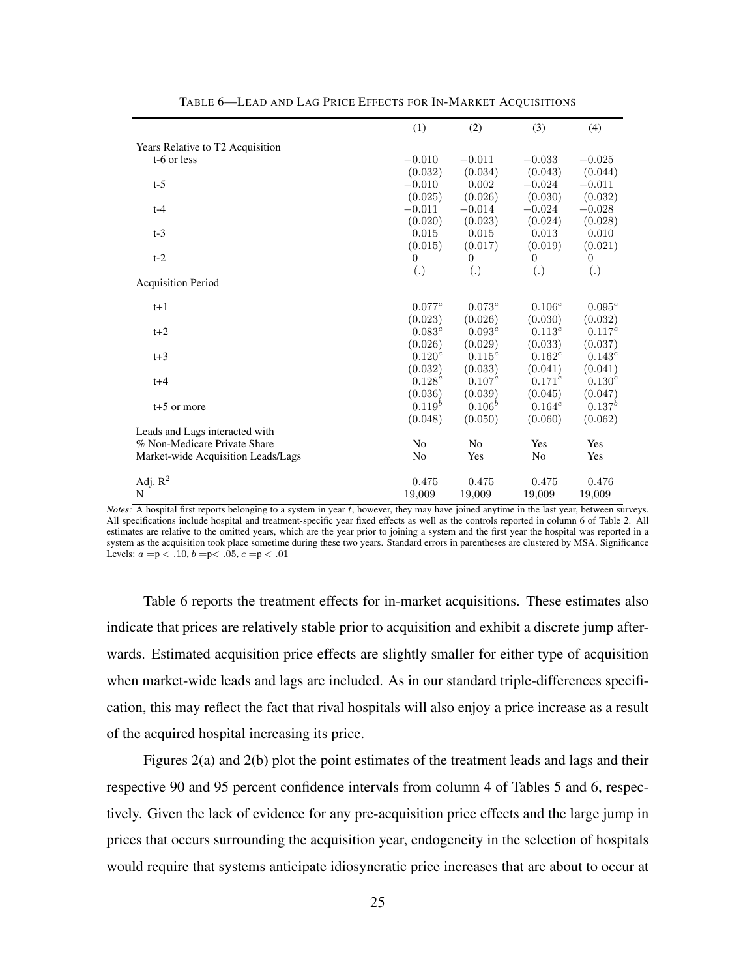|                                    | (1)                | (2)                | (3)            | (4)                |
|------------------------------------|--------------------|--------------------|----------------|--------------------|
| Years Relative to T2 Acquisition   |                    |                    |                |                    |
| t-6 or less                        | $-0.010$           | $-0.011$           | $-0.033$       | $-0.025$           |
|                                    | (0.032)            | (0.034)            | (0.043)        | (0.044)            |
| $t-5$                              | $-0.010$           | 0.002              | $-0.024$       | $-0.011$           |
|                                    | (0.025)            | (0.026)            | (0.030)        | (0.032)            |
| $t-4$                              | $-0.011$           | $-0.014$           | $-0.024$       | $-0.028$           |
|                                    | (0.020)            | (0.023)            | (0.024)        | (0.028)            |
| $t-3$                              | 0.015              | 0.015              | 0.013          | 0.010              |
|                                    | (0.015)            | (0.017)            | (0.019)        | (0.021)            |
| $t-2$                              | $\mathbf{0}$       | $\theta$           | $\overline{0}$ | $\boldsymbol{0}$   |
|                                    | (.)                | (.)                | (.)            | (.)                |
| <b>Acquisition Period</b>          |                    |                    |                |                    |
| $t+1$                              | $0.077^{c}$        | $0.073^c$          | $0.106^{c}$    | $0.095^c$          |
|                                    | (0.023)            | (0.026)            | (0.030)        | (0.032)            |
| $t+2$                              | 0.083 <sup>c</sup> | 0.093 <sup>c</sup> | $0.113^{c}$    | $0.117^{c}$        |
|                                    | (0.026)            | (0.029)            | (0.033)        | (0.037)            |
| $t+3$                              | $0.120^{c}$        | $0.115^{c}$        | $0.162^c$      | $0.143^{c}$        |
|                                    | (0.032)            | (0.033)            | (0.041)        | (0.041)            |
| $t + 4$                            | $0.128^{c}$        | $0.107^{c}$        | $0.171^{c}$    | 0.130 <sup>c</sup> |
|                                    | (0.036)            | (0.039)            | (0.045)        | (0.047)            |
| $t+5$ or more                      | $0.119^{b}$        | $0.106^b$          | $0.164^{c}$    | $0.137^{b}$        |
|                                    | (0.048)            | (0.050)            | (0.060)        | (0.062)            |
| Leads and Lags interacted with     |                    |                    |                |                    |
| % Non-Medicare Private Share       | N <sub>0</sub>     | N <sub>0</sub>     | Yes            | Yes                |
| Market-wide Acquisition Leads/Lags | N <sub>0</sub>     | Yes                | N <sub>0</sub> | Yes                |
| Adj. $R^2$                         | 0.475              | 0.475              | 0.475          | 0.476              |
| N                                  | 19,009             | 19,009             | 19,009         | 19,009             |

TABLE 6—LEAD AND LAG PRICE EFFECTS FOR IN-MARKET ACQUISITIONS

*Notes:* A hospital first reports belonging to a system in year t, however, they may have joined anytime in the last year, between surveys. All specifications include hospital and treatment-specific year fixed effects as well as the controls reported in column 6 of Table 2. All estimates are relative to the omitted years, which are the year prior to joining a system and the first year the hospital was reported in a system as the acquisition took place sometime during these two years. Standard errors in parentheses are clustered by MSA. Significance Levels:  $a = p < .10, b = p < .05, c = p < .01$ 

Table 6 reports the treatment effects for in-market acquisitions. These estimates also indicate that prices are relatively stable prior to acquisition and exhibit a discrete jump afterwards. Estimated acquisition price effects are slightly smaller for either type of acquisition when market-wide leads and lags are included. As in our standard triple-differences specification, this may reflect the fact that rival hospitals will also enjoy a price increase as a result of the acquired hospital increasing its price.

Figures 2(a) and 2(b) plot the point estimates of the treatment leads and lags and their respective 90 and 95 percent confidence intervals from column 4 of Tables 5 and 6, respectively. Given the lack of evidence for any pre-acquisition price effects and the large jump in prices that occurs surrounding the acquisition year, endogeneity in the selection of hospitals would require that systems anticipate idiosyncratic price increases that are about to occur at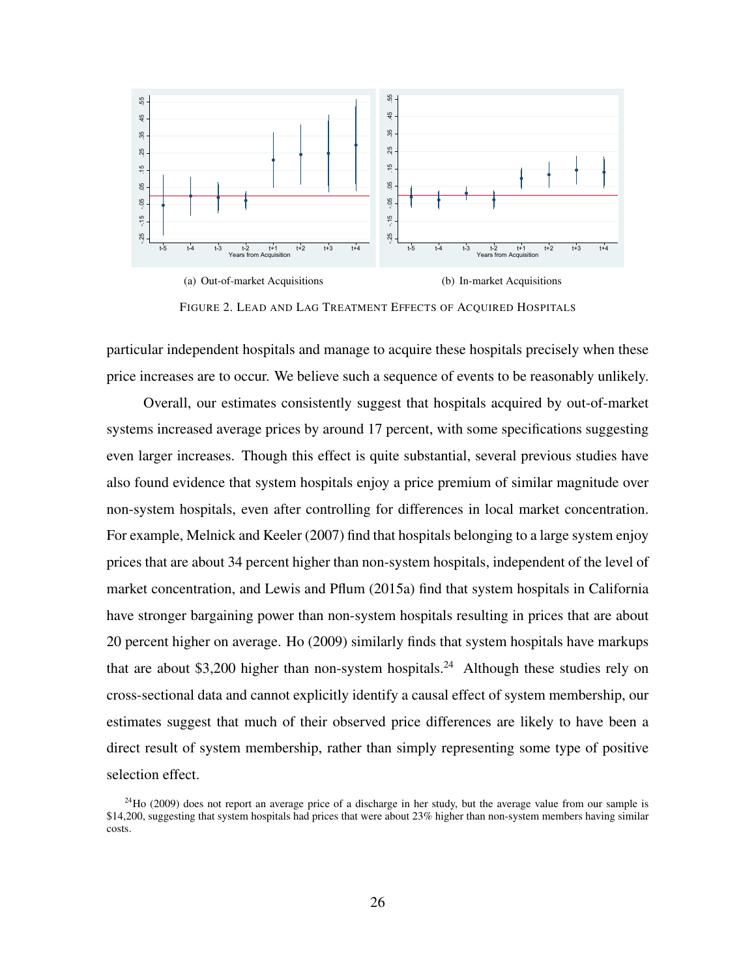

FIGURE 2. LEAD AND LAG TREATMENT EFFECTS OF ACQUIRED HOSPITALS

particular independent hospitals and manage to acquire these hospitals precisely when these price increases are to occur. We believe such a sequence of events to be reasonably unlikely.

Overall, our estimates consistently suggest that hospitals acquired by out-of-market systems increased average prices by around 17 percent, with some specifications suggesting even larger increases. Though this effect is quite substantial, several previous studies have also found evidence that system hospitals enjoy a price premium of similar magnitude over non-system hospitals, even after controlling for differences in local market concentration. For example, Melnick and Keeler (2007) find that hospitals belonging to a large system enjoy prices that are about 34 percent higher than non-system hospitals, independent of the level of market concentration, and Lewis and Pflum (2015a) find that system hospitals in California have stronger bargaining power than non-system hospitals resulting in prices that are about 20 percent higher on average. Ho (2009) similarly finds that system hospitals have markups that are about \$3,200 higher than non-system hospitals.<sup>24</sup> Although these studies rely on cross-sectional data and cannot explicitly identify a causal effect of system membership, our estimates suggest that much of their observed price differences are likely to have been a direct result of system membership, rather than simply representing some type of positive selection effect.

 $24$ Ho (2009) does not report an average price of a discharge in her study, but the average value from our sample is \$14,200, suggesting that system hospitals had prices that were about 23% higher than non-system members having similar costs.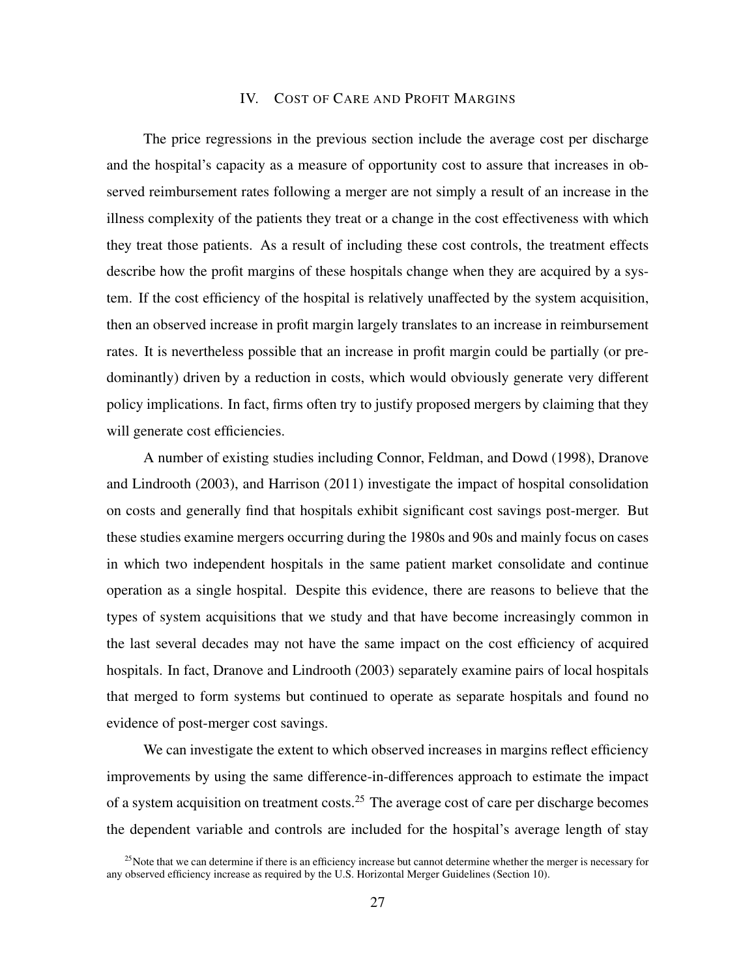## IV. COST OF CARE AND PROFIT MARGINS

The price regressions in the previous section include the average cost per discharge and the hospital's capacity as a measure of opportunity cost to assure that increases in observed reimbursement rates following a merger are not simply a result of an increase in the illness complexity of the patients they treat or a change in the cost effectiveness with which they treat those patients. As a result of including these cost controls, the treatment effects describe how the profit margins of these hospitals change when they are acquired by a system. If the cost efficiency of the hospital is relatively unaffected by the system acquisition, then an observed increase in profit margin largely translates to an increase in reimbursement rates. It is nevertheless possible that an increase in profit margin could be partially (or predominantly) driven by a reduction in costs, which would obviously generate very different policy implications. In fact, firms often try to justify proposed mergers by claiming that they will generate cost efficiencies.

A number of existing studies including Connor, Feldman, and Dowd (1998), Dranove and Lindrooth (2003), and Harrison (2011) investigate the impact of hospital consolidation on costs and generally find that hospitals exhibit significant cost savings post-merger. But these studies examine mergers occurring during the 1980s and 90s and mainly focus on cases in which two independent hospitals in the same patient market consolidate and continue operation as a single hospital. Despite this evidence, there are reasons to believe that the types of system acquisitions that we study and that have become increasingly common in the last several decades may not have the same impact on the cost efficiency of acquired hospitals. In fact, Dranove and Lindrooth (2003) separately examine pairs of local hospitals that merged to form systems but continued to operate as separate hospitals and found no evidence of post-merger cost savings.

We can investigate the extent to which observed increases in margins reflect efficiency improvements by using the same difference-in-differences approach to estimate the impact of a system acquisition on treatment costs.<sup>25</sup> The average cost of care per discharge becomes the dependent variable and controls are included for the hospital's average length of stay

 $25$ Note that we can determine if there is an efficiency increase but cannot determine whether the merger is necessary for any observed efficiency increase as required by the U.S. Horizontal Merger Guidelines (Section 10).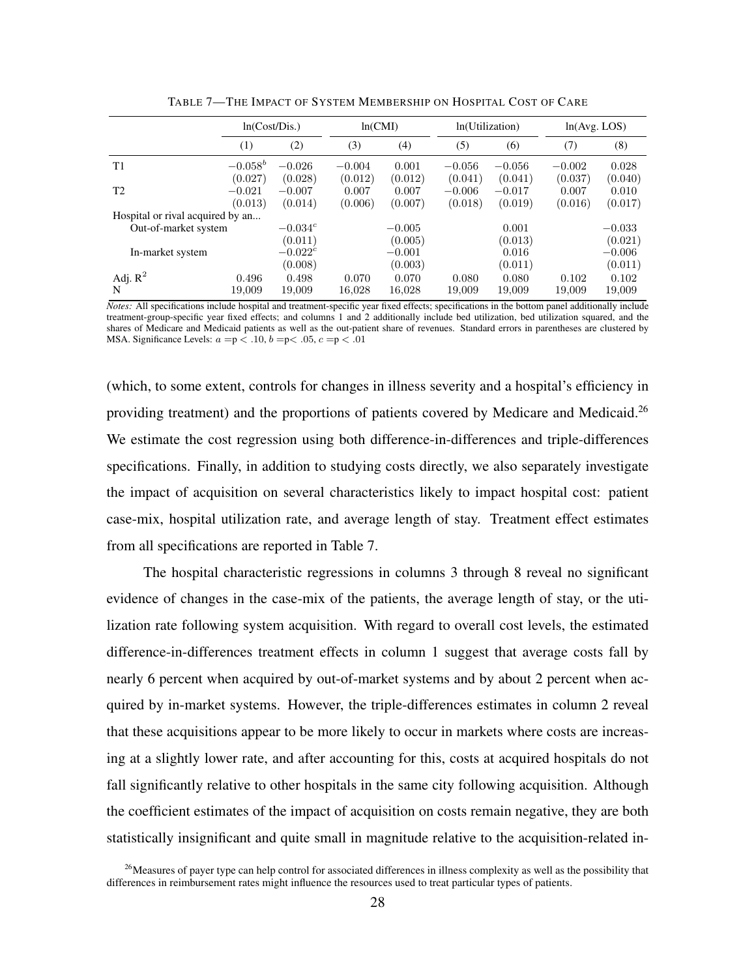|                                  | ln(Cost/Dis.) |              | ln(CMI)  |          | ln(Utilization) |          | ln(Avg, LOS) |          |
|----------------------------------|---------------|--------------|----------|----------|-----------------|----------|--------------|----------|
|                                  | (1)           | (2)          | (3)      | (4)      | (5)             | (6)      | (7)          | (8)      |
| T1                               | $-0.058^b$    | $-0.026$     | $-0.004$ | 0.001    | $-0.056$        | $-0.056$ | $-0.002$     | 0.028    |
|                                  | (0.027)       | (0.028)      | (0.012)  | (0.012)  | (0.041)         | (0.041)  | (0.037)      | (0.040)  |
| T <sub>2</sub>                   | $-0.021$      | $-0.007$     | 0.007    | 0.007    | $-0.006$        | $-0.017$ | 0.007        | 0.010    |
|                                  | (0.013)       | (0.014)      | (0.006)  | (0.007)  | (0.018)         | (0.019)  | (0.016)      | (0.017)  |
| Hospital or rival acquired by an |               |              |          |          |                 |          |              |          |
| Out-of-market system             |               | $-0.034^{c}$ |          | $-0.005$ |                 | 0.001    |              | $-0.033$ |
|                                  |               | (0.011)      |          | (0.005)  |                 | (0.013)  |              | (0.021)  |
| In-market system                 |               | $-0.022^c$   |          | $-0.001$ |                 | 0.016    |              | $-0.006$ |
|                                  |               | (0.008)      |          | (0.003)  |                 | (0.011)  |              | (0.011)  |
| Adj. $R^2$                       | 0.496         | 0.498        | 0.070    | 0.070    | 0.080           | 0.080    | 0.102        | 0.102    |
| N                                | 19.009        | 19,009       | 16,028   | 16,028   | 19,009          | 19,009   | 19.009       | 19,009   |

TABLE 7—THE IMPACT OF SYSTEM MEMBERSHIP ON HOSPITAL COST OF CARE

*Notes:* All specifications include hospital and treatment-specific year fixed effects; specifications in the bottom panel additionally include treatment-group-specific year fixed effects; and columns 1 and 2 additionally include bed utilization, bed utilization squared, and the shares of Medicare and Medicaid patients as well as the out-patient share of revenues. Standard errors in parentheses are clustered by MSA. Significance Levels:  $a = p < .10$ ,  $b = p < .05$ ,  $c = p < .01$ 

(which, to some extent, controls for changes in illness severity and a hospital's efficiency in providing treatment) and the proportions of patients covered by Medicare and Medicaid.<sup>26</sup> We estimate the cost regression using both difference-in-differences and triple-differences specifications. Finally, in addition to studying costs directly, we also separately investigate the impact of acquisition on several characteristics likely to impact hospital cost: patient case-mix, hospital utilization rate, and average length of stay. Treatment effect estimates from all specifications are reported in Table 7.

The hospital characteristic regressions in columns 3 through 8 reveal no significant evidence of changes in the case-mix of the patients, the average length of stay, or the utilization rate following system acquisition. With regard to overall cost levels, the estimated difference-in-differences treatment effects in column 1 suggest that average costs fall by nearly 6 percent when acquired by out-of-market systems and by about 2 percent when acquired by in-market systems. However, the triple-differences estimates in column 2 reveal that these acquisitions appear to be more likely to occur in markets where costs are increasing at a slightly lower rate, and after accounting for this, costs at acquired hospitals do not fall significantly relative to other hospitals in the same city following acquisition. Although the coefficient estimates of the impact of acquisition on costs remain negative, they are both statistically insignificant and quite small in magnitude relative to the acquisition-related in-

<sup>&</sup>lt;sup>26</sup>Measures of payer type can help control for associated differences in illness complexity as well as the possibility that differences in reimbursement rates might influence the resources used to treat particular types of patients.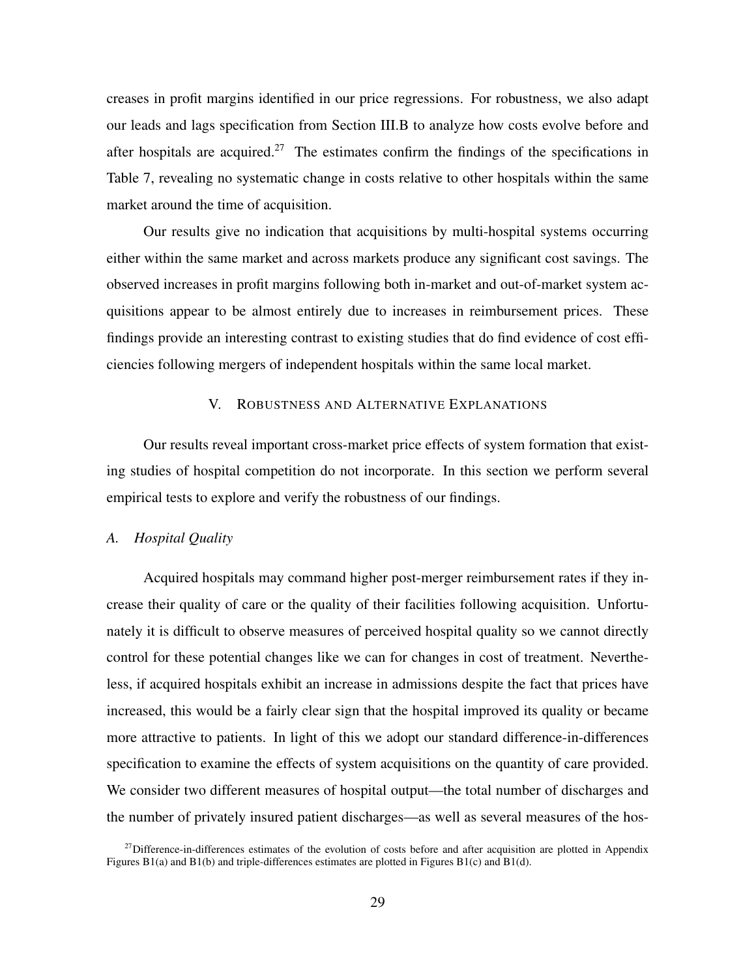creases in profit margins identified in our price regressions. For robustness, we also adapt our leads and lags specification from Section III.B to analyze how costs evolve before and after hospitals are acquired.<sup>27</sup> The estimates confirm the findings of the specifications in Table 7, revealing no systematic change in costs relative to other hospitals within the same market around the time of acquisition.

Our results give no indication that acquisitions by multi-hospital systems occurring either within the same market and across markets produce any significant cost savings. The observed increases in profit margins following both in-market and out-of-market system acquisitions appear to be almost entirely due to increases in reimbursement prices. These findings provide an interesting contrast to existing studies that do find evidence of cost efficiencies following mergers of independent hospitals within the same local market.

### V. ROBUSTNESS AND ALTERNATIVE EXPLANATIONS

Our results reveal important cross-market price effects of system formation that existing studies of hospital competition do not incorporate. In this section we perform several empirical tests to explore and verify the robustness of our findings.

#### *A. Hospital Quality*

Acquired hospitals may command higher post-merger reimbursement rates if they increase their quality of care or the quality of their facilities following acquisition. Unfortunately it is difficult to observe measures of perceived hospital quality so we cannot directly control for these potential changes like we can for changes in cost of treatment. Nevertheless, if acquired hospitals exhibit an increase in admissions despite the fact that prices have increased, this would be a fairly clear sign that the hospital improved its quality or became more attractive to patients. In light of this we adopt our standard difference-in-differences specification to examine the effects of system acquisitions on the quantity of care provided. We consider two different measures of hospital output—the total number of discharges and the number of privately insured patient discharges—as well as several measures of the hos-

 $27$ Difference-in-differences estimates of the evolution of costs before and after acquisition are plotted in Appendix Figures B1(a) and B1(b) and triple-differences estimates are plotted in Figures B1(c) and B1(d).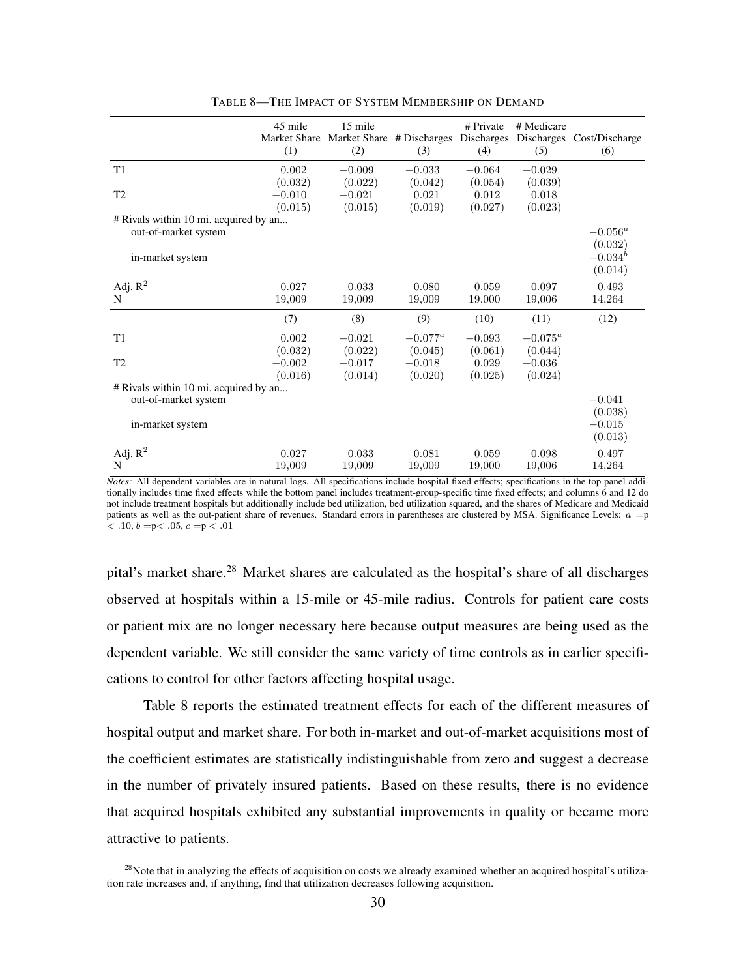|                                                               | 45 mile<br><b>Market Share</b><br>(1) | 15 mile<br>(2)      | Market Share # Discharges Discharges<br>(3) | # Private<br>(4)    | # Medicare<br>Discharges<br>(5) | Cost/Discharge<br>(6)          |
|---------------------------------------------------------------|---------------------------------------|---------------------|---------------------------------------------|---------------------|---------------------------------|--------------------------------|
| T <sub>1</sub>                                                | 0.002                                 | $-0.009$            | $-0.033$                                    | $-0.064$            | $-0.029$                        |                                |
|                                                               | (0.032)                               | (0.022)             | (0.042)                                     | (0.054)             | (0.039)                         |                                |
| T <sub>2</sub>                                                | $-0.010$                              | $-0.021$            | 0.021                                       | 0.012               | 0.018                           |                                |
|                                                               | (0.015)                               | (0.015)             | (0.019)                                     | (0.027)             | (0.023)                         |                                |
| # Rivals within 10 mi. acquired by an<br>out-of-market system |                                       |                     |                                             |                     |                                 | $-0.056^a$<br>(0.032)          |
| in-market system                                              |                                       |                     |                                             |                     |                                 | $-0.034^{b}$<br>(0.014)        |
| Adj. $R^2$                                                    | 0.027                                 | 0.033               | 0.080                                       | 0.059               | 0.097                           | 0.493                          |
| N                                                             | 19,009                                | 19,009              | 19,009                                      | 19,000              | 19,006                          | 14,264                         |
|                                                               | (7)                                   | (8)                 | (9)                                         | (10)                | (11)                            | (12)                           |
| T1                                                            | 0.002<br>(0.032)                      | $-0.021$<br>(0.022) | $-0.077^a$<br>(0.045)                       | $-0.093$<br>(0.061) | $-0.075^{\circ}$<br>(0.044)     |                                |
| T <sub>2</sub>                                                | $-0.002$                              | $-0.017$            | $-0.018$                                    | 0.029               | $-0.036$                        |                                |
|                                                               | (0.016)                               | (0.014)             | (0.020)                                     | (0.025)             | (0.024)                         |                                |
| # Rivals within 10 mi. acquired by an                         |                                       |                     |                                             |                     |                                 |                                |
| out-of-market system                                          |                                       |                     |                                             |                     |                                 | $-0.041$                       |
| in-market system                                              |                                       |                     |                                             |                     |                                 | (0.038)<br>$-0.015$<br>(0.013) |
| Adj. $R^2$                                                    | 0.027                                 | 0.033               | 0.081                                       | 0.059               | 0.098                           | 0.497                          |
| N                                                             | 19,009                                | 19,009              | 19,009                                      | 19,000              | 19,006                          | 14,264                         |

TABLE 8—THE IMPACT OF SYSTEM MEMBERSHIP ON DEMAND

*Notes:* All dependent variables are in natural logs. All specifications include hospital fixed effects; specifications in the top panel additionally includes time fixed effects while the bottom panel includes treatment-group-specific time fixed effects; and columns 6 and 12 do not include treatment hospitals but additionally include bed utilization, bed utilization squared, and the shares of Medicare and Medicaid patients as well as the out-patient share of revenues. Standard errors in parentheses are clustered by MSA. Significance Levels:  $a = p$  $\leq$  .10,  $b = p \leq 0.05$ ,  $c = p \leq 0.01$ 

pital's market share.<sup>28</sup> Market shares are calculated as the hospital's share of all discharges observed at hospitals within a 15-mile or 45-mile radius. Controls for patient care costs or patient mix are no longer necessary here because output measures are being used as the dependent variable. We still consider the same variety of time controls as in earlier specifications to control for other factors affecting hospital usage.

Table 8 reports the estimated treatment effects for each of the different measures of hospital output and market share. For both in-market and out-of-market acquisitions most of the coefficient estimates are statistically indistinguishable from zero and suggest a decrease in the number of privately insured patients. Based on these results, there is no evidence that acquired hospitals exhibited any substantial improvements in quality or became more attractive to patients.

 $28$ Note that in analyzing the effects of acquisition on costs we already examined whether an acquired hospital's utilization rate increases and, if anything, find that utilization decreases following acquisition.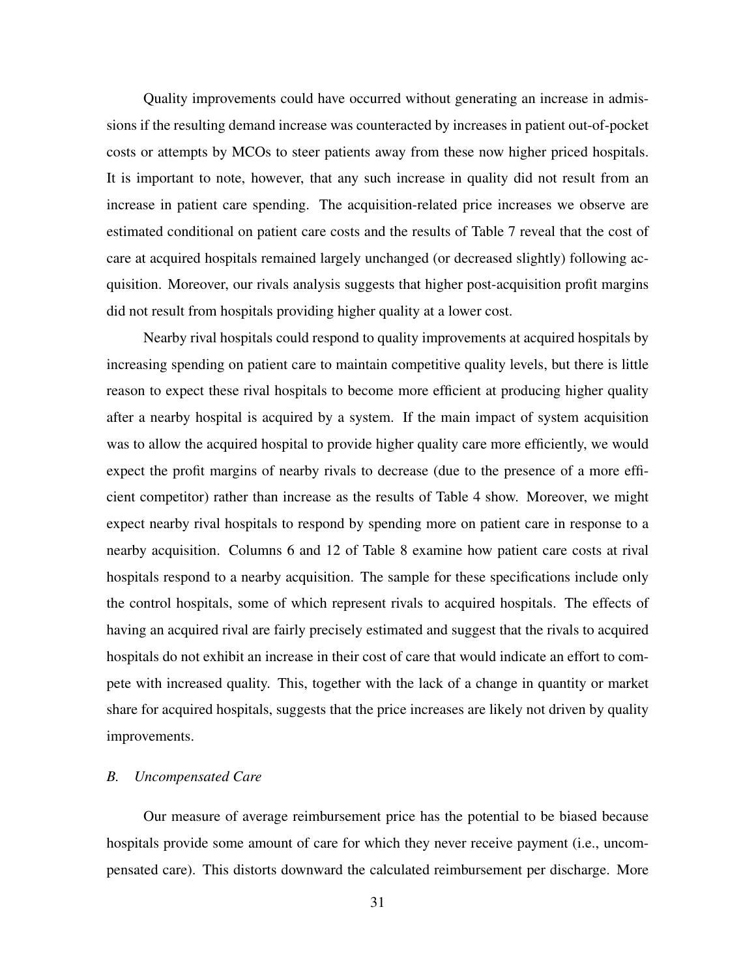Quality improvements could have occurred without generating an increase in admissions if the resulting demand increase was counteracted by increases in patient out-of-pocket costs or attempts by MCOs to steer patients away from these now higher priced hospitals. It is important to note, however, that any such increase in quality did not result from an increase in patient care spending. The acquisition-related price increases we observe are estimated conditional on patient care costs and the results of Table 7 reveal that the cost of care at acquired hospitals remained largely unchanged (or decreased slightly) following acquisition. Moreover, our rivals analysis suggests that higher post-acquisition profit margins did not result from hospitals providing higher quality at a lower cost.

Nearby rival hospitals could respond to quality improvements at acquired hospitals by increasing spending on patient care to maintain competitive quality levels, but there is little reason to expect these rival hospitals to become more efficient at producing higher quality after a nearby hospital is acquired by a system. If the main impact of system acquisition was to allow the acquired hospital to provide higher quality care more efficiently, we would expect the profit margins of nearby rivals to decrease (due to the presence of a more efficient competitor) rather than increase as the results of Table 4 show. Moreover, we might expect nearby rival hospitals to respond by spending more on patient care in response to a nearby acquisition. Columns 6 and 12 of Table 8 examine how patient care costs at rival hospitals respond to a nearby acquisition. The sample for these specifications include only the control hospitals, some of which represent rivals to acquired hospitals. The effects of having an acquired rival are fairly precisely estimated and suggest that the rivals to acquired hospitals do not exhibit an increase in their cost of care that would indicate an effort to compete with increased quality. This, together with the lack of a change in quantity or market share for acquired hospitals, suggests that the price increases are likely not driven by quality improvements.

## *B. Uncompensated Care*

Our measure of average reimbursement price has the potential to be biased because hospitals provide some amount of care for which they never receive payment (i.e., uncompensated care). This distorts downward the calculated reimbursement per discharge. More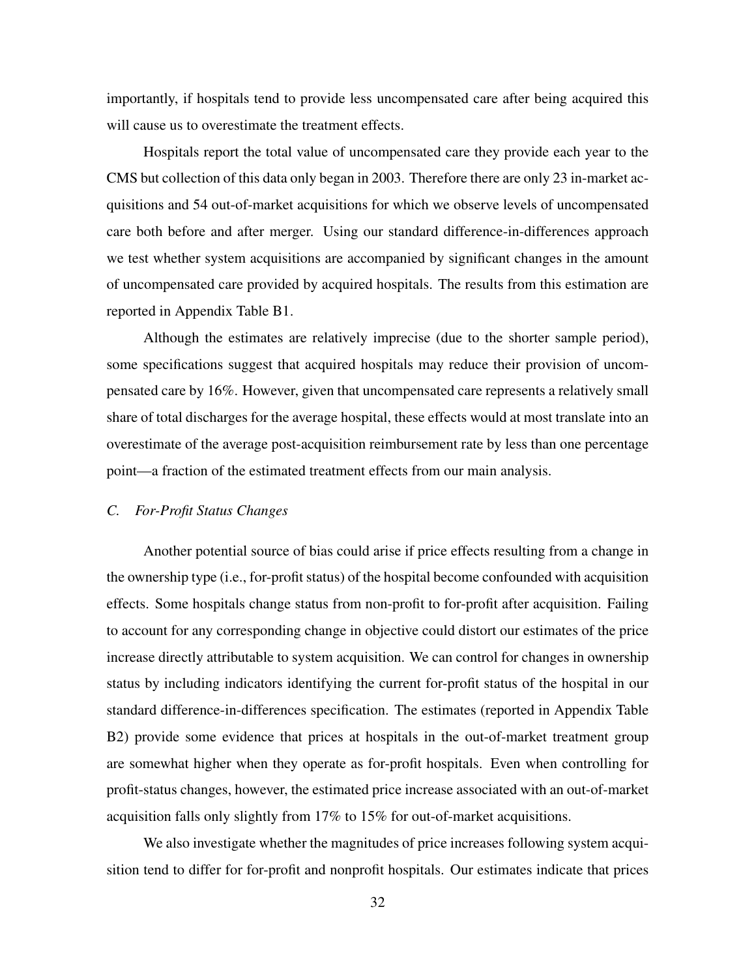importantly, if hospitals tend to provide less uncompensated care after being acquired this will cause us to overestimate the treatment effects.

Hospitals report the total value of uncompensated care they provide each year to the CMS but collection of this data only began in 2003. Therefore there are only 23 in-market acquisitions and 54 out-of-market acquisitions for which we observe levels of uncompensated care both before and after merger. Using our standard difference-in-differences approach we test whether system acquisitions are accompanied by significant changes in the amount of uncompensated care provided by acquired hospitals. The results from this estimation are reported in Appendix Table B1.

Although the estimates are relatively imprecise (due to the shorter sample period), some specifications suggest that acquired hospitals may reduce their provision of uncompensated care by 16%. However, given that uncompensated care represents a relatively small share of total discharges for the average hospital, these effects would at most translate into an overestimate of the average post-acquisition reimbursement rate by less than one percentage point—a fraction of the estimated treatment effects from our main analysis.

## *C. For-Profit Status Changes*

Another potential source of bias could arise if price effects resulting from a change in the ownership type (i.e., for-profit status) of the hospital become confounded with acquisition effects. Some hospitals change status from non-profit to for-profit after acquisition. Failing to account for any corresponding change in objective could distort our estimates of the price increase directly attributable to system acquisition. We can control for changes in ownership status by including indicators identifying the current for-profit status of the hospital in our standard difference-in-differences specification. The estimates (reported in Appendix Table B2) provide some evidence that prices at hospitals in the out-of-market treatment group are somewhat higher when they operate as for-profit hospitals. Even when controlling for profit-status changes, however, the estimated price increase associated with an out-of-market acquisition falls only slightly from 17% to 15% for out-of-market acquisitions.

We also investigate whether the magnitudes of price increases following system acquisition tend to differ for for-profit and nonprofit hospitals. Our estimates indicate that prices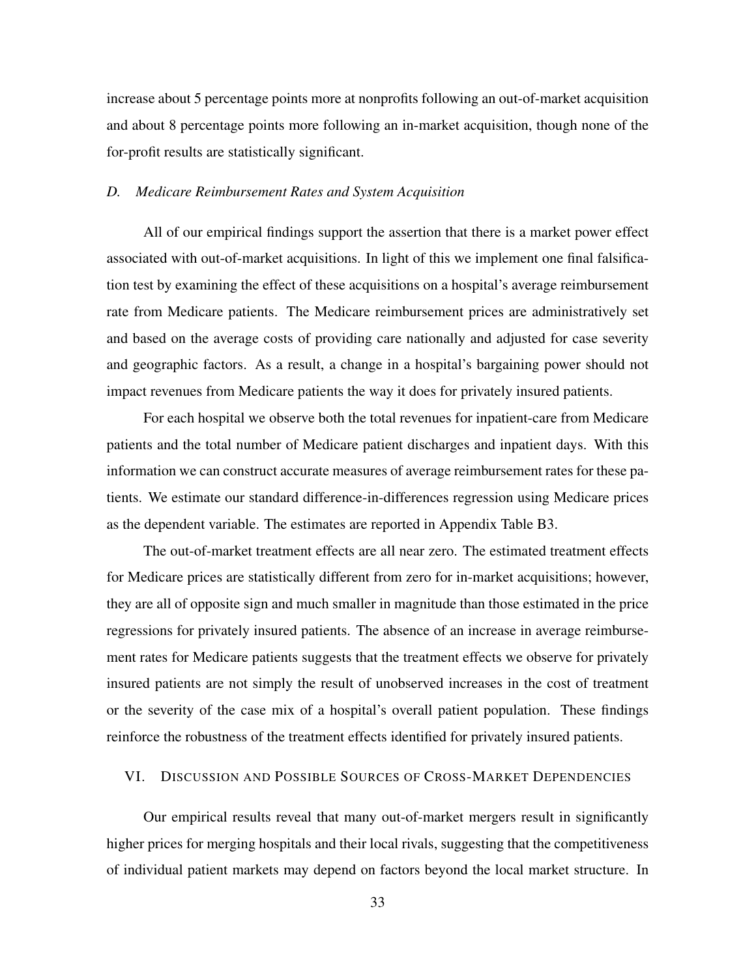increase about 5 percentage points more at nonprofits following an out-of-market acquisition and about 8 percentage points more following an in-market acquisition, though none of the for-profit results are statistically significant.

## *D. Medicare Reimbursement Rates and System Acquisition*

All of our empirical findings support the assertion that there is a market power effect associated with out-of-market acquisitions. In light of this we implement one final falsification test by examining the effect of these acquisitions on a hospital's average reimbursement rate from Medicare patients. The Medicare reimbursement prices are administratively set and based on the average costs of providing care nationally and adjusted for case severity and geographic factors. As a result, a change in a hospital's bargaining power should not impact revenues from Medicare patients the way it does for privately insured patients.

For each hospital we observe both the total revenues for inpatient-care from Medicare patients and the total number of Medicare patient discharges and inpatient days. With this information we can construct accurate measures of average reimbursement rates for these patients. We estimate our standard difference-in-differences regression using Medicare prices as the dependent variable. The estimates are reported in Appendix Table B3.

The out-of-market treatment effects are all near zero. The estimated treatment effects for Medicare prices are statistically different from zero for in-market acquisitions; however, they are all of opposite sign and much smaller in magnitude than those estimated in the price regressions for privately insured patients. The absence of an increase in average reimbursement rates for Medicare patients suggests that the treatment effects we observe for privately insured patients are not simply the result of unobserved increases in the cost of treatment or the severity of the case mix of a hospital's overall patient population. These findings reinforce the robustness of the treatment effects identified for privately insured patients.

## VI. DISCUSSION AND POSSIBLE SOURCES OF CROSS-MARKET DEPENDENCIES

Our empirical results reveal that many out-of-market mergers result in significantly higher prices for merging hospitals and their local rivals, suggesting that the competitiveness of individual patient markets may depend on factors beyond the local market structure. In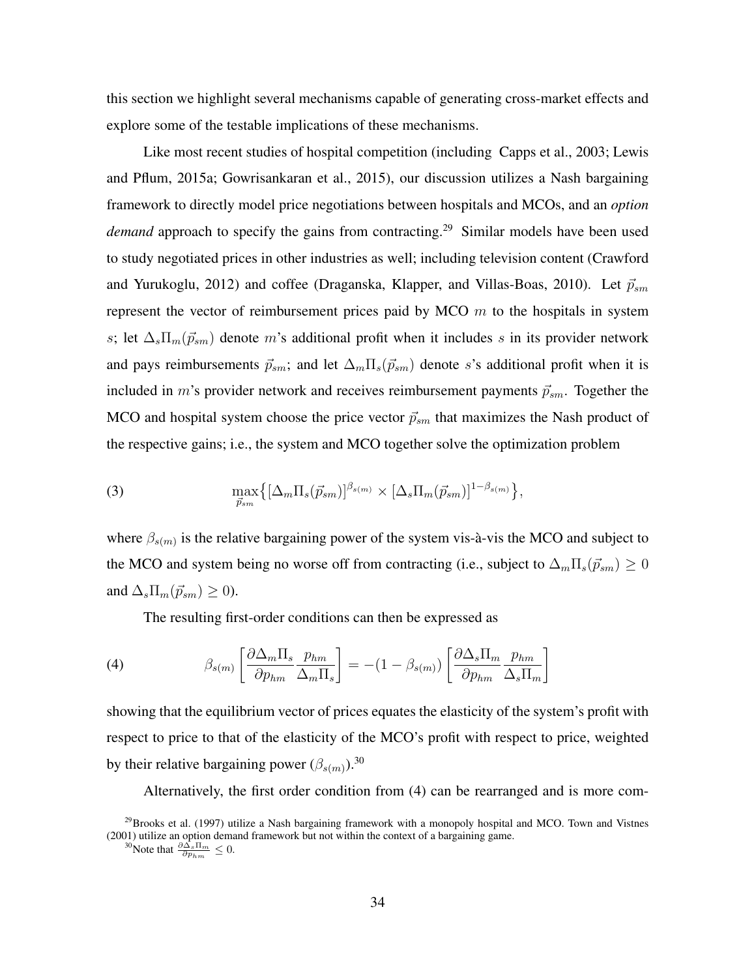this section we highlight several mechanisms capable of generating cross-market effects and explore some of the testable implications of these mechanisms.

Like most recent studies of hospital competition (including Capps et al., 2003; Lewis and Pflum, 2015a; Gowrisankaran et al., 2015), our discussion utilizes a Nash bargaining framework to directly model price negotiations between hospitals and MCOs, and an *option demand* approach to specify the gains from contracting.<sup>29</sup> Similar models have been used to study negotiated prices in other industries as well; including television content (Crawford and Yurukoglu, 2012) and coffee (Draganska, Klapper, and Villas-Boas, 2010). Let  $\vec{p}_{sm}$ represent the vector of reimbursement prices paid by MCO  $m$  to the hospitals in system s; let  $\Delta_s \Pi_m(\vec{p}_{sm})$  denote m's additional profit when it includes s in its provider network and pays reimbursements  $\vec{p}_{sm}$ ; and let  $\Delta_m \Pi_s(\vec{p}_{sm})$  denote s's additional profit when it is included in m's provider network and receives reimbursement payments  $\vec{p}_{sm}$ . Together the MCO and hospital system choose the price vector  $\vec{p}_{sm}$  that maximizes the Nash product of the respective gains; i.e., the system and MCO together solve the optimization problem

(3) 
$$
\max_{\vec{p}_{sm}} \{[\Delta_m \Pi_s(\vec{p}_{sm})]^{\beta_{s(m)}} \times [\Delta_s \Pi_m(\vec{p}_{sm})]^{1-\beta_{s(m)}}\},
$$

where  $\beta_{s(m)}$  is the relative bargaining power of the system vis-à-vis the MCO and subject to the MCO and system being no worse off from contracting (i.e., subject to  $\Delta_m \Pi_s(\vec{p}_{sm}) \geq 0$ and  $\Delta_s \Pi_m(\vec{p}_{sm}) \geq 0$ ).

The resulting first-order conditions can then be expressed as

(4) 
$$
\beta_{s(m)} \left[ \frac{\partial \Delta_m \Pi_s}{\partial p_{hm}} \frac{p_{hm}}{\Delta_m \Pi_s} \right] = -(1 - \beta_{s(m)}) \left[ \frac{\partial \Delta_s \Pi_m}{\partial p_{hm}} \frac{p_{hm}}{\Delta_s \Pi_m} \right]
$$

showing that the equilibrium vector of prices equates the elasticity of the system's profit with respect to price to that of the elasticity of the MCO's profit with respect to price, weighted by their relative bargaining power  $(\beta_{s(m)})$ .<sup>30</sup>

Alternatively, the first order condition from (4) can be rearranged and is more com-

<sup>30</sup>Note that  $\frac{\partial \Delta_s \Pi_m}{\partial p_{hm}} \leq 0$ .

 $^{29}$ Brooks et al. (1997) utilize a Nash bargaining framework with a monopoly hospital and MCO. Town and Vistnes (2001) utilize an option demand framework but not within the context of a bargaining game.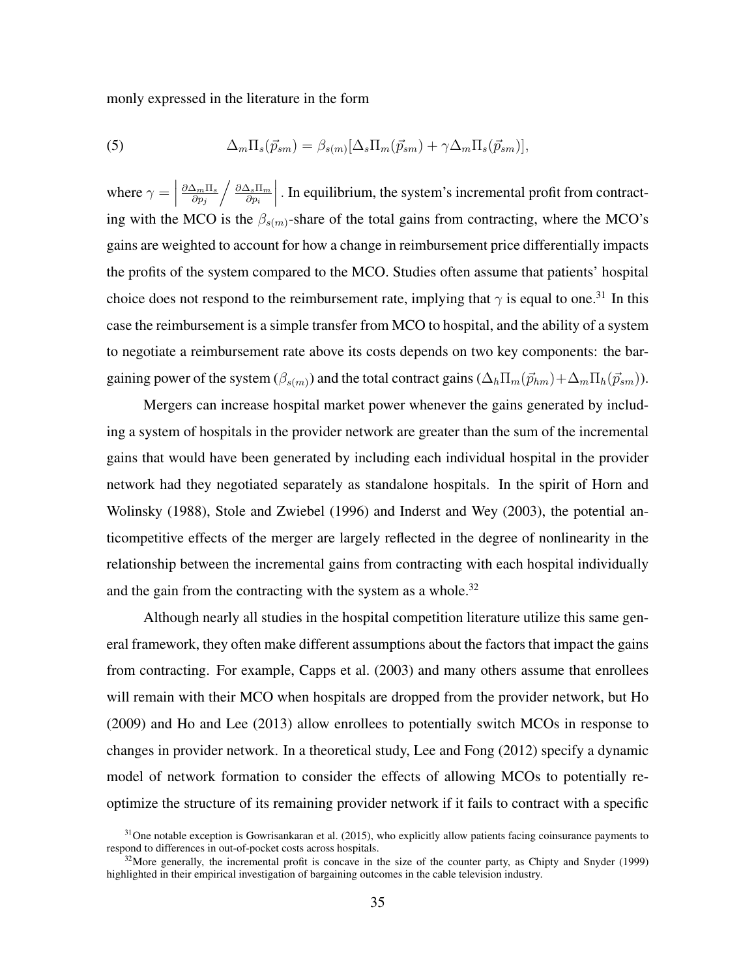monly expressed in the literature in the form

(5) 
$$
\Delta_m \Pi_s(\vec{p}_{sm}) = \beta_{s(m)}[\Delta_s \Pi_m(\vec{p}_{sm}) + \gamma \Delta_m \Pi_s(\vec{p}_{sm})],
$$

where  $\gamma =$  $\partial \Delta_m \Pi_s$  $\partial p_j$  $/ \rho \Delta_s \Pi_m$  $\partial p_i$    . In equilibrium, the system's incremental profit from contracting with the MCO is the  $\beta_{s(m)}$ -share of the total gains from contracting, where the MCO's gains are weighted to account for how a change in reimbursement price differentially impacts the profits of the system compared to the MCO. Studies often assume that patients' hospital choice does not respond to the reimbursement rate, implying that  $\gamma$  is equal to one.<sup>31</sup> In this case the reimbursement is a simple transfer from MCO to hospital, and the ability of a system to negotiate a reimbursement rate above its costs depends on two key components: the bargaining power of the system  $(\beta_{s(m)})$  and the total contract gains  $(\Delta_h \Pi_m(\vec{p}_{hm})+\Delta_m \Pi_h(\vec{p}_{sm}))$ .

Mergers can increase hospital market power whenever the gains generated by including a system of hospitals in the provider network are greater than the sum of the incremental gains that would have been generated by including each individual hospital in the provider network had they negotiated separately as standalone hospitals. In the spirit of Horn and Wolinsky (1988), Stole and Zwiebel (1996) and Inderst and Wey (2003), the potential anticompetitive effects of the merger are largely reflected in the degree of nonlinearity in the relationship between the incremental gains from contracting with each hospital individually and the gain from the contracting with the system as a whole. $32$ 

Although nearly all studies in the hospital competition literature utilize this same general framework, they often make different assumptions about the factors that impact the gains from contracting. For example, Capps et al. (2003) and many others assume that enrollees will remain with their MCO when hospitals are dropped from the provider network, but Ho (2009) and Ho and Lee (2013) allow enrollees to potentially switch MCOs in response to changes in provider network. In a theoretical study, Lee and Fong (2012) specify a dynamic model of network formation to consider the effects of allowing MCOs to potentially reoptimize the structure of its remaining provider network if it fails to contract with a specific

 $31$ One notable exception is Gowrisankaran et al. (2015), who explicitly allow patients facing coinsurance payments to respond to differences in out-of-pocket costs across hospitals.

 $32$ More generally, the incremental profit is concave in the size of the counter party, as Chipty and Snyder (1999) highlighted in their empirical investigation of bargaining outcomes in the cable television industry.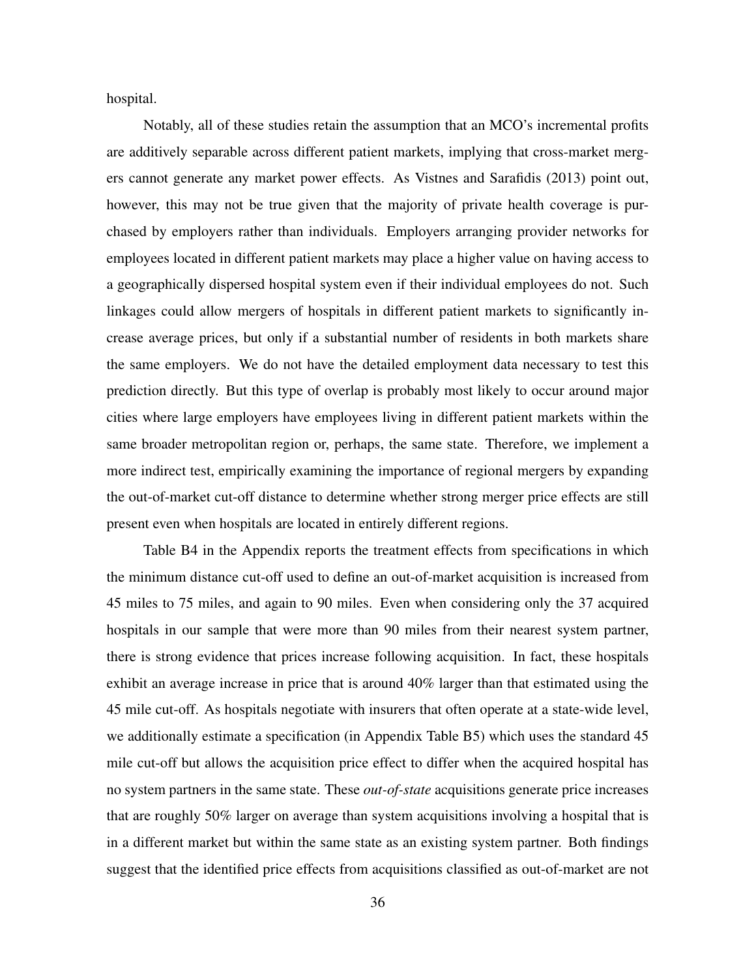hospital.

Notably, all of these studies retain the assumption that an MCO's incremental profits are additively separable across different patient markets, implying that cross-market mergers cannot generate any market power effects. As Vistnes and Sarafidis (2013) point out, however, this may not be true given that the majority of private health coverage is purchased by employers rather than individuals. Employers arranging provider networks for employees located in different patient markets may place a higher value on having access to a geographically dispersed hospital system even if their individual employees do not. Such linkages could allow mergers of hospitals in different patient markets to significantly increase average prices, but only if a substantial number of residents in both markets share the same employers. We do not have the detailed employment data necessary to test this prediction directly. But this type of overlap is probably most likely to occur around major cities where large employers have employees living in different patient markets within the same broader metropolitan region or, perhaps, the same state. Therefore, we implement a more indirect test, empirically examining the importance of regional mergers by expanding the out-of-market cut-off distance to determine whether strong merger price effects are still present even when hospitals are located in entirely different regions.

Table B4 in the Appendix reports the treatment effects from specifications in which the minimum distance cut-off used to define an out-of-market acquisition is increased from 45 miles to 75 miles, and again to 90 miles. Even when considering only the 37 acquired hospitals in our sample that were more than 90 miles from their nearest system partner, there is strong evidence that prices increase following acquisition. In fact, these hospitals exhibit an average increase in price that is around 40% larger than that estimated using the 45 mile cut-off. As hospitals negotiate with insurers that often operate at a state-wide level, we additionally estimate a specification (in Appendix Table B5) which uses the standard 45 mile cut-off but allows the acquisition price effect to differ when the acquired hospital has no system partners in the same state. These *out-of-state* acquisitions generate price increases that are roughly 50% larger on average than system acquisitions involving a hospital that is in a different market but within the same state as an existing system partner. Both findings suggest that the identified price effects from acquisitions classified as out-of-market are not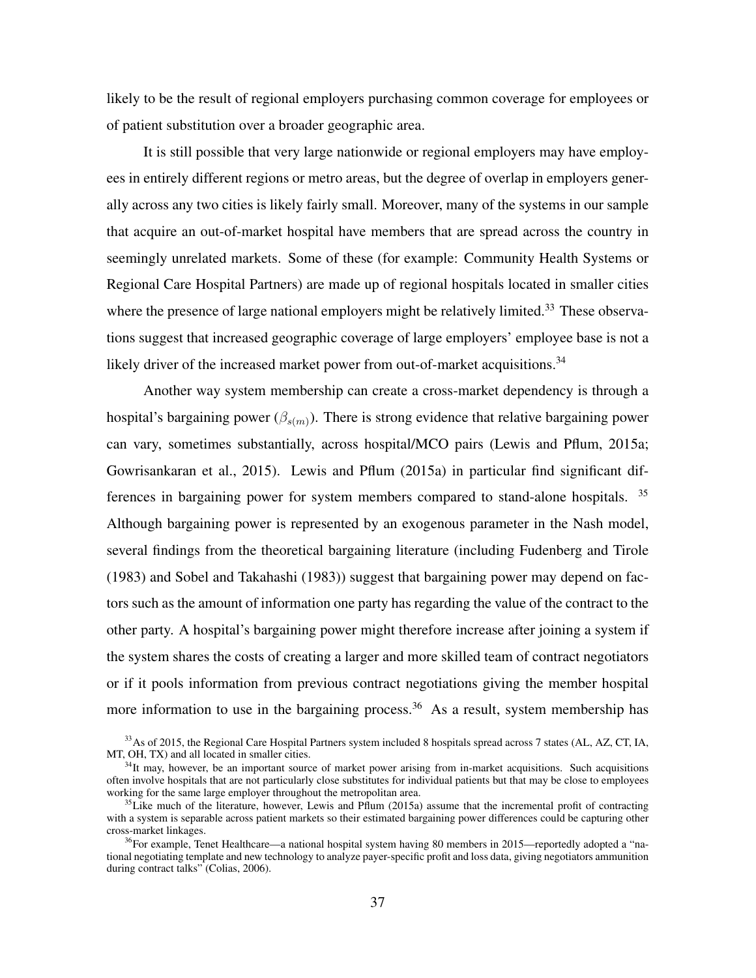likely to be the result of regional employers purchasing common coverage for employees or of patient substitution over a broader geographic area.

It is still possible that very large nationwide or regional employers may have employees in entirely different regions or metro areas, but the degree of overlap in employers generally across any two cities is likely fairly small. Moreover, many of the systems in our sample that acquire an out-of-market hospital have members that are spread across the country in seemingly unrelated markets. Some of these (for example: Community Health Systems or Regional Care Hospital Partners) are made up of regional hospitals located in smaller cities where the presence of large national employers might be relatively limited.<sup>33</sup> These observations suggest that increased geographic coverage of large employers' employee base is not a likely driver of the increased market power from out-of-market acquisitions.<sup>34</sup>

Another way system membership can create a cross-market dependency is through a hospital's bargaining power ( $\beta_{s(m)}$ ). There is strong evidence that relative bargaining power can vary, sometimes substantially, across hospital/MCO pairs (Lewis and Pflum, 2015a; Gowrisankaran et al., 2015). Lewis and Pflum (2015a) in particular find significant differences in bargaining power for system members compared to stand-alone hospitals. <sup>35</sup> Although bargaining power is represented by an exogenous parameter in the Nash model, several findings from the theoretical bargaining literature (including Fudenberg and Tirole (1983) and Sobel and Takahashi (1983)) suggest that bargaining power may depend on factors such as the amount of information one party has regarding the value of the contract to the other party. A hospital's bargaining power might therefore increase after joining a system if the system shares the costs of creating a larger and more skilled team of contract negotiators or if it pools information from previous contract negotiations giving the member hospital more information to use in the bargaining process.<sup>36</sup> As a result, system membership has

<sup>33</sup>As of 2015, the Regional Care Hospital Partners system included 8 hospitals spread across 7 states (AL, AZ, CT, IA, MT, OH, TX) and all located in smaller cities.

 $34$ It may, however, be an important source of market power arising from in-market acquisitions. Such acquisitions often involve hospitals that are not particularly close substitutes for individual patients but that may be close to employees working for the same large employer throughout the metropolitan area.

 $35$ Like much of the literature, however, Lewis and Pflum (2015a) assume that the incremental profit of contracting with a system is separable across patient markets so their estimated bargaining power differences could be capturing other cross-market linkages.

<sup>&</sup>lt;sup>36</sup>For example, Tenet Healthcare—a national hospital system having 80 members in 2015—reportedly adopted a "national negotiating template and new technology to analyze payer-specific profit and loss data, giving negotiators ammunition during contract talks" (Colias, 2006).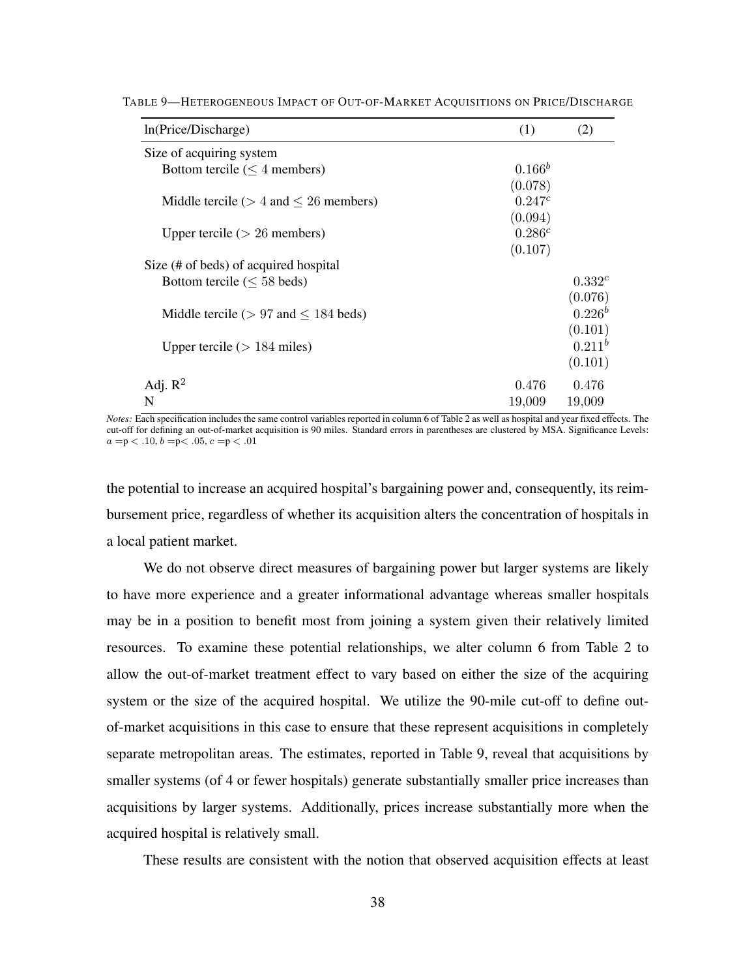| ln(Price/Discharge)                           | (1)         | (2)         |
|-----------------------------------------------|-------------|-------------|
| Size of acquiring system                      |             |             |
| Bottom tercile ( $\leq 4$ members)            | $0.166^b$   |             |
|                                               | (0.078)     |             |
| Middle tercile ( $> 4$ and $\leq 26$ members) | $0.247^{c}$ |             |
|                                               | (0.094)     |             |
| Upper tercile $(> 26$ members)                | $0.286^c$   |             |
|                                               | (0.107)     |             |
| Size (# of beds) of acquired hospital         |             |             |
| Bottom tercile $(< 58$ beds)                  |             | $0.332^{c}$ |
|                                               |             | (0.076)     |
| Middle tercile ( $> 97$ and $\leq 184$ beds)  |             | $0.226^b$   |
|                                               |             | (0.101)     |
| Upper tercile $($ > 184 miles)                |             | $0.211^{b}$ |
|                                               |             | (0.101)     |
| Adj. $R^2$                                    | 0.476       | 0.476       |
| N                                             | 19,009      | 19,009      |

TABLE 9—HETEROGENEOUS IMPACT OF OUT-OF-MARKET ACQUISITIONS ON PRICE/DISCHARGE

*Notes:* Each specification includes the same control variables reported in column 6 of Table 2 as well as hospital and year fixed effects. The cut-off for defining an out-of-market acquisition is 90 miles. Standard errors in parentheses are clustered by MSA. Significance Levels:  $a = p < .10, b = p < .05, c = p < .01$ 

the potential to increase an acquired hospital's bargaining power and, consequently, its reimbursement price, regardless of whether its acquisition alters the concentration of hospitals in a local patient market.

We do not observe direct measures of bargaining power but larger systems are likely to have more experience and a greater informational advantage whereas smaller hospitals may be in a position to benefit most from joining a system given their relatively limited resources. To examine these potential relationships, we alter column 6 from Table 2 to allow the out-of-market treatment effect to vary based on either the size of the acquiring system or the size of the acquired hospital. We utilize the 90-mile cut-off to define outof-market acquisitions in this case to ensure that these represent acquisitions in completely separate metropolitan areas. The estimates, reported in Table 9, reveal that acquisitions by smaller systems (of 4 or fewer hospitals) generate substantially smaller price increases than acquisitions by larger systems. Additionally, prices increase substantially more when the acquired hospital is relatively small.

These results are consistent with the notion that observed acquisition effects at least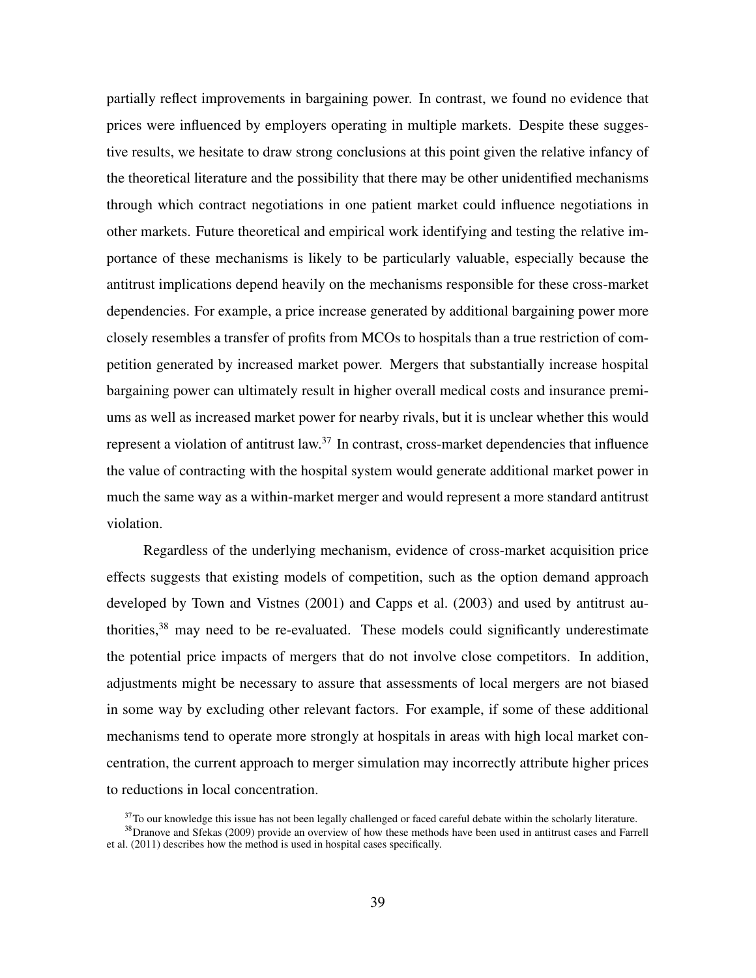partially reflect improvements in bargaining power. In contrast, we found no evidence that prices were influenced by employers operating in multiple markets. Despite these suggestive results, we hesitate to draw strong conclusions at this point given the relative infancy of the theoretical literature and the possibility that there may be other unidentified mechanisms through which contract negotiations in one patient market could influence negotiations in other markets. Future theoretical and empirical work identifying and testing the relative importance of these mechanisms is likely to be particularly valuable, especially because the antitrust implications depend heavily on the mechanisms responsible for these cross-market dependencies. For example, a price increase generated by additional bargaining power more closely resembles a transfer of profits from MCOs to hospitals than a true restriction of competition generated by increased market power. Mergers that substantially increase hospital bargaining power can ultimately result in higher overall medical costs and insurance premiums as well as increased market power for nearby rivals, but it is unclear whether this would represent a violation of antitrust law.<sup>37</sup> In contrast, cross-market dependencies that influence the value of contracting with the hospital system would generate additional market power in much the same way as a within-market merger and would represent a more standard antitrust violation.

Regardless of the underlying mechanism, evidence of cross-market acquisition price effects suggests that existing models of competition, such as the option demand approach developed by Town and Vistnes (2001) and Capps et al. (2003) and used by antitrust authorities, $38$  may need to be re-evaluated. These models could significantly underestimate the potential price impacts of mergers that do not involve close competitors. In addition, adjustments might be necessary to assure that assessments of local mergers are not biased in some way by excluding other relevant factors. For example, if some of these additional mechanisms tend to operate more strongly at hospitals in areas with high local market concentration, the current approach to merger simulation may incorrectly attribute higher prices to reductions in local concentration.

 $37$ To our knowledge this issue has not been legally challenged or faced careful debate within the scholarly literature.

<sup>&</sup>lt;sup>38</sup>Dranove and Sfekas (2009) provide an overview of how these methods have been used in antitrust cases and Farrell et al. (2011) describes how the method is used in hospital cases specifically.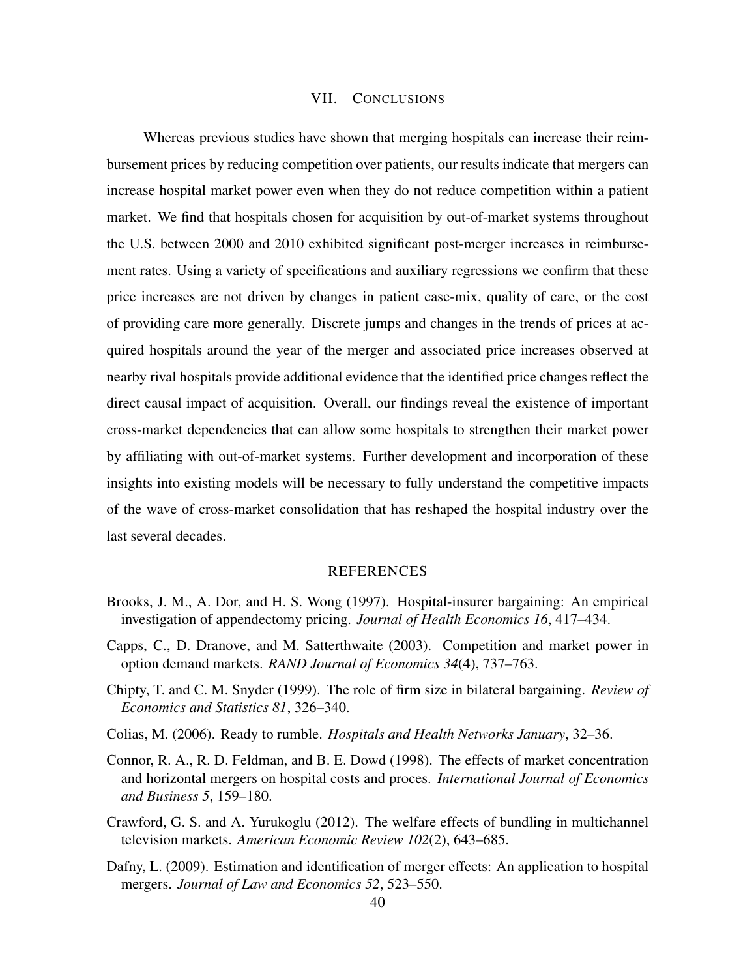#### VII. CONCLUSIONS

Whereas previous studies have shown that merging hospitals can increase their reimbursement prices by reducing competition over patients, our results indicate that mergers can increase hospital market power even when they do not reduce competition within a patient market. We find that hospitals chosen for acquisition by out-of-market systems throughout the U.S. between 2000 and 2010 exhibited significant post-merger increases in reimbursement rates. Using a variety of specifications and auxiliary regressions we confirm that these price increases are not driven by changes in patient case-mix, quality of care, or the cost of providing care more generally. Discrete jumps and changes in the trends of prices at acquired hospitals around the year of the merger and associated price increases observed at nearby rival hospitals provide additional evidence that the identified price changes reflect the direct causal impact of acquisition. Overall, our findings reveal the existence of important cross-market dependencies that can allow some hospitals to strengthen their market power by affiliating with out-of-market systems. Further development and incorporation of these insights into existing models will be necessary to fully understand the competitive impacts of the wave of cross-market consolidation that has reshaped the hospital industry over the last several decades.

#### **REFERENCES**

- Brooks, J. M., A. Dor, and H. S. Wong (1997). Hospital-insurer bargaining: An empirical investigation of appendectomy pricing. *Journal of Health Economics 16*, 417–434.
- Capps, C., D. Dranove, and M. Satterthwaite (2003). Competition and market power in option demand markets. *RAND Journal of Economics 34*(4), 737–763.
- Chipty, T. and C. M. Snyder (1999). The role of firm size in bilateral bargaining. *Review of Economics and Statistics 81*, 326–340.
- Colias, M. (2006). Ready to rumble. *Hospitals and Health Networks January*, 32–36.
- Connor, R. A., R. D. Feldman, and B. E. Dowd (1998). The effects of market concentration and horizontal mergers on hospital costs and proces. *International Journal of Economics and Business 5*, 159–180.
- Crawford, G. S. and A. Yurukoglu (2012). The welfare effects of bundling in multichannel television markets. *American Economic Review 102*(2), 643–685.
- Dafny, L. (2009). Estimation and identification of merger effects: An application to hospital mergers. *Journal of Law and Economics 52*, 523–550.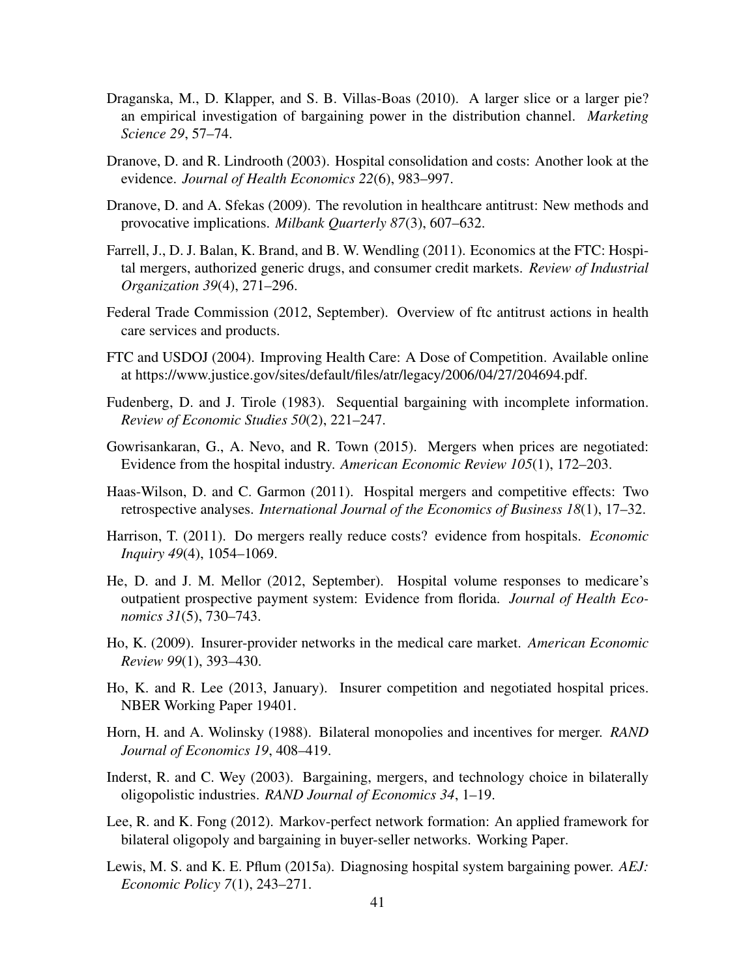- Draganska, M., D. Klapper, and S. B. Villas-Boas (2010). A larger slice or a larger pie? an empirical investigation of bargaining power in the distribution channel. *Marketing Science 29*, 57–74.
- Dranove, D. and R. Lindrooth (2003). Hospital consolidation and costs: Another look at the evidence. *Journal of Health Economics 22*(6), 983–997.
- Dranove, D. and A. Sfekas (2009). The revolution in healthcare antitrust: New methods and provocative implications. *Milbank Quarterly 87*(3), 607–632.
- Farrell, J., D. J. Balan, K. Brand, and B. W. Wendling (2011). Economics at the FTC: Hospital mergers, authorized generic drugs, and consumer credit markets. *Review of Industrial Organization 39*(4), 271–296.
- Federal Trade Commission (2012, September). Overview of ftc antitrust actions in health care services and products.
- FTC and USDOJ (2004). Improving Health Care: A Dose of Competition. Available online at https://www.justice.gov/sites/default/files/atr/legacy/2006/04/27/204694.pdf.
- Fudenberg, D. and J. Tirole (1983). Sequential bargaining with incomplete information. *Review of Economic Studies 50*(2), 221–247.
- Gowrisankaran, G., A. Nevo, and R. Town (2015). Mergers when prices are negotiated: Evidence from the hospital industry. *American Economic Review 105*(1), 172–203.
- Haas-Wilson, D. and C. Garmon (2011). Hospital mergers and competitive effects: Two retrospective analyses. *International Journal of the Economics of Business 18*(1), 17–32.
- Harrison, T. (2011). Do mergers really reduce costs? evidence from hospitals. *Economic Inquiry 49*(4), 1054–1069.
- He, D. and J. M. Mellor (2012, September). Hospital volume responses to medicare's outpatient prospective payment system: Evidence from florida. *Journal of Health Economics 31*(5), 730–743.
- Ho, K. (2009). Insurer-provider networks in the medical care market. *American Economic Review 99*(1), 393–430.
- Ho, K. and R. Lee (2013, January). Insurer competition and negotiated hospital prices. NBER Working Paper 19401.
- Horn, H. and A. Wolinsky (1988). Bilateral monopolies and incentives for merger. *RAND Journal of Economics 19*, 408–419.
- Inderst, R. and C. Wey (2003). Bargaining, mergers, and technology choice in bilaterally oligopolistic industries. *RAND Journal of Economics 34*, 1–19.
- Lee, R. and K. Fong (2012). Markov-perfect network formation: An applied framework for bilateral oligopoly and bargaining in buyer-seller networks. Working Paper.
- Lewis, M. S. and K. E. Pflum (2015a). Diagnosing hospital system bargaining power. *AEJ: Economic Policy 7*(1), 243–271.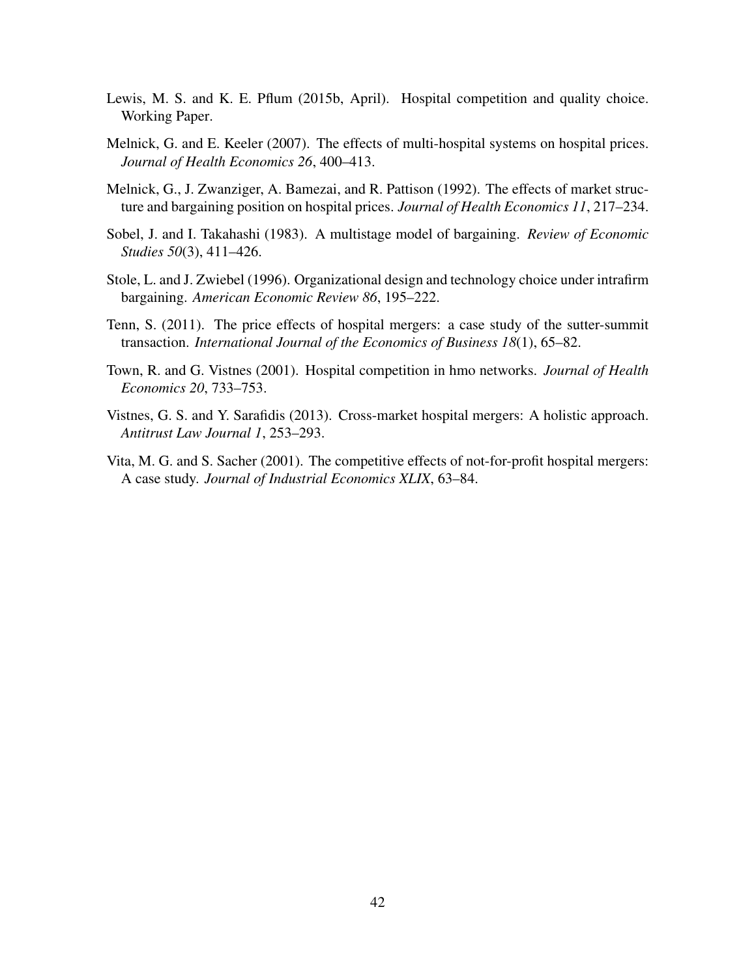- Lewis, M. S. and K. E. Pflum (2015b, April). Hospital competition and quality choice. Working Paper.
- Melnick, G. and E. Keeler (2007). The effects of multi-hospital systems on hospital prices. *Journal of Health Economics 26*, 400–413.
- Melnick, G., J. Zwanziger, A. Bamezai, and R. Pattison (1992). The effects of market structure and bargaining position on hospital prices. *Journal of Health Economics 11*, 217–234.
- Sobel, J. and I. Takahashi (1983). A multistage model of bargaining. *Review of Economic Studies 50*(3), 411–426.
- Stole, L. and J. Zwiebel (1996). Organizational design and technology choice under intrafirm bargaining. *American Economic Review 86*, 195–222.
- Tenn, S. (2011). The price effects of hospital mergers: a case study of the sutter-summit transaction. *International Journal of the Economics of Business 18*(1), 65–82.
- Town, R. and G. Vistnes (2001). Hospital competition in hmo networks. *Journal of Health Economics 20*, 733–753.
- Vistnes, G. S. and Y. Sarafidis (2013). Cross-market hospital mergers: A holistic approach. *Antitrust Law Journal 1*, 253–293.
- Vita, M. G. and S. Sacher (2001). The competitive effects of not-for-profit hospital mergers: A case study. *Journal of Industrial Economics XLIX*, 63–84.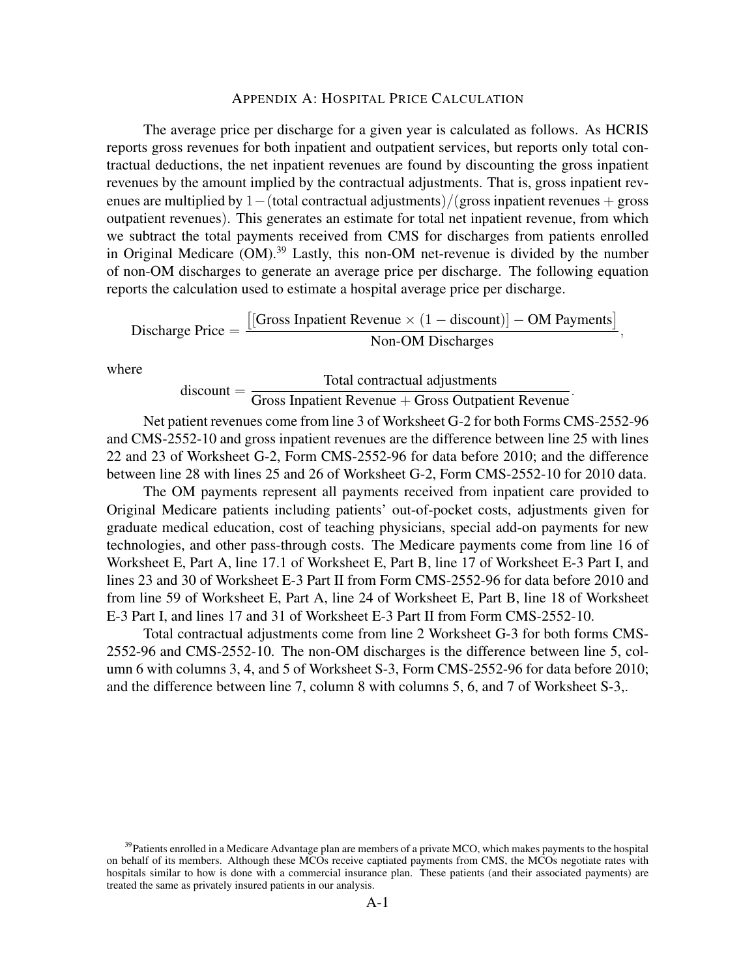#### APPENDIX A: HOSPITAL PRICE CALCULATION

The average price per discharge for a given year is calculated as follows. As HCRIS reports gross revenues for both inpatient and outpatient services, but reports only total contractual deductions, the net inpatient revenues are found by discounting the gross inpatient revenues by the amount implied by the contractual adjustments. That is, gross inpatient revenues are multiplied by 1−(total contractual adjustments)/(gross inpatient revenues + gross outpatient revenues). This generates an estimate for total net inpatient revenue, from which we subtract the total payments received from CMS for discharges from patients enrolled in Original Medicare (OM).<sup>39</sup> Lastly, this non-OM net-revenue is divided by the number of non-OM discharges to generate an average price per discharge. The following equation reports the calculation used to estimate a hospital average price per discharge.

$$
Discharge Price = \frac{[(Gross Inpatient Revenue \times (1 - discount)] - OM Payments]}{Non-OM Discharges},
$$

where

 $discount =$ Total contractual adjustments Gross Inpatient Revenue + Gross Outpatient Revenue

.

Net patient revenues come from line 3 of Worksheet G-2 for both Forms CMS-2552-96 and CMS-2552-10 and gross inpatient revenues are the difference between line 25 with lines 22 and 23 of Worksheet G-2, Form CMS-2552-96 for data before 2010; and the difference between line 28 with lines 25 and 26 of Worksheet G-2, Form CMS-2552-10 for 2010 data.

The OM payments represent all payments received from inpatient care provided to Original Medicare patients including patients' out-of-pocket costs, adjustments given for graduate medical education, cost of teaching physicians, special add-on payments for new technologies, and other pass-through costs. The Medicare payments come from line 16 of Worksheet E, Part A, line 17.1 of Worksheet E, Part B, line 17 of Worksheet E-3 Part I, and lines 23 and 30 of Worksheet E-3 Part II from Form CMS-2552-96 for data before 2010 and from line 59 of Worksheet E, Part A, line 24 of Worksheet E, Part B, line 18 of Worksheet E-3 Part I, and lines 17 and 31 of Worksheet E-3 Part II from Form CMS-2552-10.

Total contractual adjustments come from line 2 Worksheet G-3 for both forms CMS-2552-96 and CMS-2552-10. The non-OM discharges is the difference between line 5, column 6 with columns 3, 4, and 5 of Worksheet S-3, Form CMS-2552-96 for data before 2010; and the difference between line 7, column 8 with columns 5, 6, and 7 of Worksheet S-3,.

<sup>&</sup>lt;sup>39</sup>Patients enrolled in a Medicare Advantage plan are members of a private MCO, which makes payments to the hospital on behalf of its members. Although these MCOs receive captiated payments from CMS, the MCOs negotiate rates with hospitals similar to how is done with a commercial insurance plan. These patients (and their associated payments) are treated the same as privately insured patients in our analysis.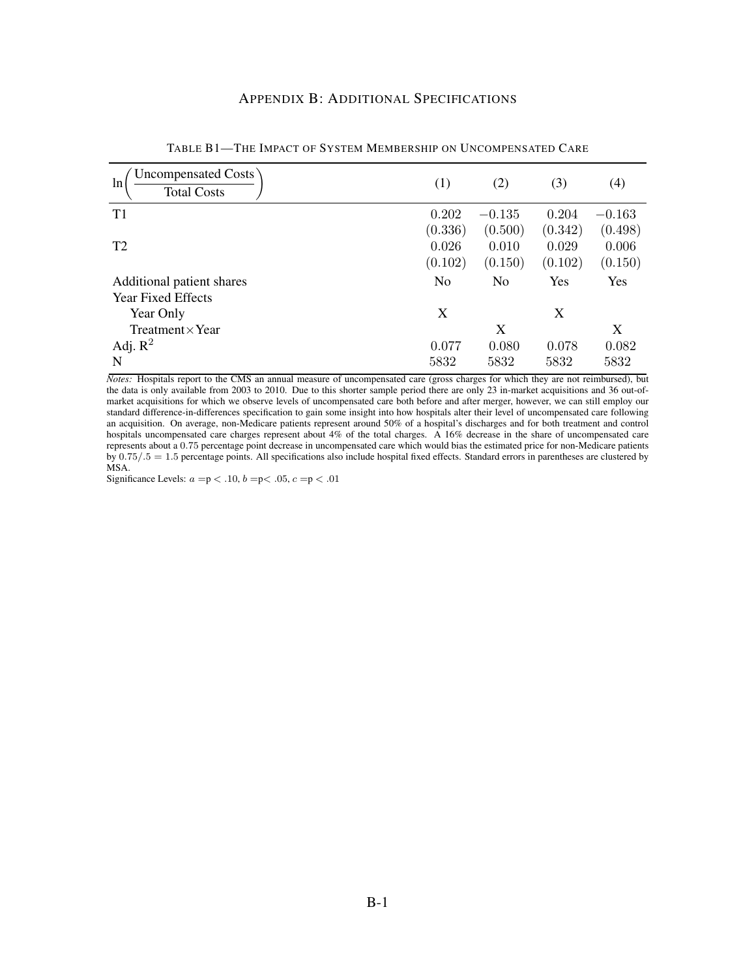## APPENDIX B: ADDITIONAL SPECIFICATIONS

| Uncompensated Costs<br><sup>1</sup> n<br><b>Total Costs</b> | (1)     | (2)            | (3)     | (4)      |
|-------------------------------------------------------------|---------|----------------|---------|----------|
| T1                                                          | 0.202   | $-0.135$       | 0.204   | $-0.163$ |
|                                                             | (0.336) | (0.500)        | (0.342) | (0.498)  |
| T <sub>2</sub>                                              | 0.026   | 0.010          | 0.029   | 0.006    |
|                                                             | (0.102) | (0.150)        | (0.102) | (0.150)  |
| Additional patient shares                                   | No      | N <sub>0</sub> | Yes     | Yes      |
| <b>Year Fixed Effects</b>                                   |         |                |         |          |
| Year Only                                                   | X       |                | X       |          |
| Treatment $\times$ Year                                     |         | X              |         | X        |
| Adj. $R^2$                                                  | 0.077   | 0.080          | 0.078   | 0.082    |
| N                                                           | 5832    | 5832           | 5832    | 5832     |

#### TABLE B1—THE IMPACT OF SYSTEM MEMBERSHIP ON UNCOMPENSATED CARE

*Notes:* Hospitals report to the CMS an annual measure of uncompensated care (gross charges for which they are not reimbursed), but the data is only available from 2003 to 2010. Due to this shorter sample period there are only 23 in-market acquisitions and 36 out-ofmarket acquisitions for which we observe levels of uncompensated care both before and after merger, however, we can still employ our standard difference-in-differences specification to gain some insight into how hospitals alter their level of uncompensated care following an acquisition. On average, non-Medicare patients represent around 50% of a hospital's discharges and for both treatment and control hospitals uncompensated care charges represent about 4% of the total charges. A 16% decrease in the share of uncompensated care represents about a 0.75 percentage point decrease in uncompensated care which would bias the estimated price for non-Medicare patients by 0.75/.5 = 1.5 percentage points. All specifications also include hospital fixed effects. Standard errors in parentheses are clustered by MSA.

Significance Levels:  $a = p < .10$ ,  $b = p < .05$ ,  $c = p < .01$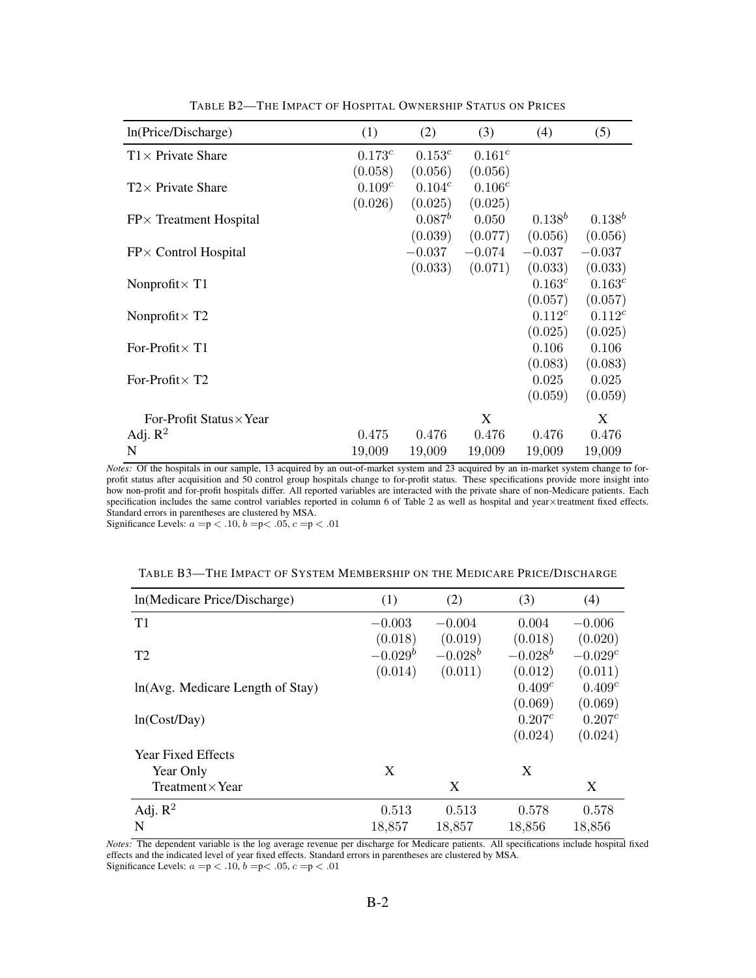| ln(Price/Discharge)             | (1)                | (2)         | (3)                | (4)         | (5)         |
|---------------------------------|--------------------|-------------|--------------------|-------------|-------------|
| $T1 \times$ Private Share       | $0.173^{c}$        | $0.153^{c}$ | $0.161^c$          |             |             |
|                                 | (0.058)            | (0.056)     | (0.056)            |             |             |
| $T2 \times$ Private Share       | 0.109 <sup>c</sup> | 0.104c      | 0.106 <sup>c</sup> |             |             |
|                                 | (0.026)            | (0.025)     | (0.025)            |             |             |
| $FP \times$ Treatment Hospital  |                    | $0.087^b$   | 0.050              | $0.138^{b}$ | $0.138^{b}$ |
|                                 |                    | (0.039)     | (0.077)            | (0.056)     | (0.056)     |
| $FP \times$ Control Hospital    |                    | $-0.037$    | $-0.074$           | $-0.037$    | $-0.037$    |
|                                 |                    | (0.033)     | (0.071)            | (0.033)     | (0.033)     |
| Nonprofit $\times$ T1           |                    |             |                    | 0.163c      | $0.163^c$   |
|                                 |                    |             |                    | (0.057)     | (0.057)     |
| Nonprofit $\times$ T2           |                    |             |                    | $0.112^{c}$ | $0.112^{c}$ |
|                                 |                    |             |                    | (0.025)     | (0.025)     |
| For-Profit $\times$ T1          |                    |             |                    | 0.106       | 0.106       |
|                                 |                    |             |                    | (0.083)     | (0.083)     |
| For-Profit $\times$ T2          |                    |             |                    | 0.025       | 0.025       |
|                                 |                    |             |                    | (0.059)     | (0.059)     |
| For-Profit Status $\times$ Year |                    |             | X                  |             | X           |
| Adj. $R^2$                      | 0.475              | 0.476       | 0.476              | 0.476       | 0.476       |
| N                               | 19,009             | 19,009      | 19,009             | 19,009      | 19,009      |

TABLE B2—THE IMPACT OF HOSPITAL OWNERSHIP STATUS ON PRICES

*Notes:* Of the hospitals in our sample, 13 acquired by an out-of-market system and 23 acquired by an in-market system change to forprofit status after acquisition and 50 control group hospitals change to for-profit status. These specifications provide more insight into how non-profit and for-profit hospitals differ. All reported variables are interacted with the private share of non-Medicare patients. Each specification includes the same control variables reported in column 6 of Table 2 as well as hospital and year×treatment fixed effects. Standard errors in parentheses are clustered by MSA.

Significance Levels:  $a = p < .10$ ,  $b = p < .05$ ,  $c = p < .01$ 

| In(Medicare Price/Discharge)      | (1)        | (2)        | (3)                | (4)       |
|-----------------------------------|------------|------------|--------------------|-----------|
| T1                                | $-0.003$   | $-0.004$   | 0.004              | $-0.006$  |
|                                   | (0.018)    | (0.019)    | (0.018)            | (0.020)   |
| T <sub>2</sub>                    | $-0.029^b$ | $-0.028^b$ | $-0.028^b$         | $-0.029c$ |
|                                   | (0.014)    | (0.011)    | (0.012)            | (0.011)   |
| In (Avg. Medicare Length of Stay) |            |            | 0.409 <sup>c</sup> | 0.409c    |
|                                   |            |            | (0.069)            | (0.069)   |
| ln(Cost/Day)                      |            |            | 0.207c             | 0.207c    |
|                                   |            |            | (0.024)            | (0.024)   |
| <b>Year Fixed Effects</b>         |            |            |                    |           |
| Year Only                         | X          |            | X                  |           |
| $Treatment \times Year$           |            | X          |                    | X         |
| Adj. $R^2$                        | 0.513      | 0.513      | 0.578              | 0.578     |
| N                                 | 18,857     | 18,857     | 18,856             | 18,856    |

TABLE B3—THE IMPACT OF SYSTEM MEMBERSHIP ON THE MEDICARE PRICE/DISCHARGE

*Notes:* The dependent variable is the log average revenue per discharge for Medicare patients. All specifications include hospital fixed effects and the indicated level of year fixed effects. Standard errors in parentheses are clustered by MSA. Significance Levels:  $a = p < .10$ ,  $b = p < .05$ ,  $c = p < .01$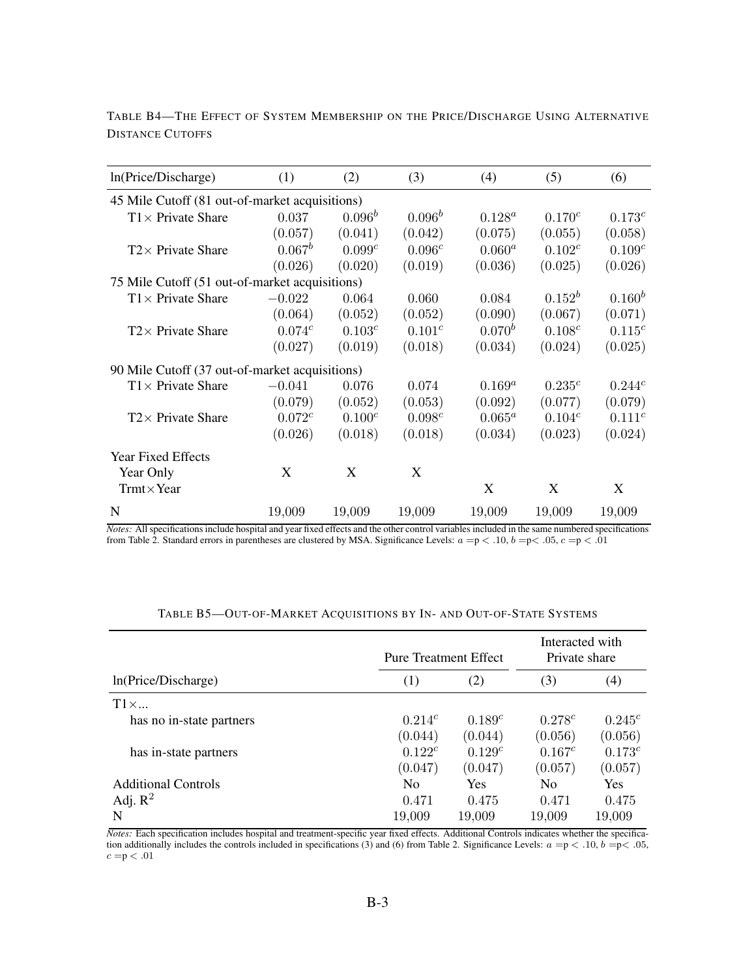| ln(Price/Discharge)                            | (1)         | (2)       | (3)         | (4)         | (5)         | (6)                |
|------------------------------------------------|-------------|-----------|-------------|-------------|-------------|--------------------|
| 45 Mile Cutoff (81 out-of-market acquisitions) |             |           |             |             |             |                    |
| $T1 \times$ Private Share                      | 0.037       | $0.096^b$ | $0.096^b$   | $0.128^a$   | $0.170^{c}$ | $0.173^{c}$        |
|                                                | (0.057)     | (0.041)   | (0.042)     | (0.075)     | (0.055)     | (0.058)            |
| $T2 \times$ Private Share                      | $0.067^b$   | 0.099c    | 0.096c      | $0.060^{a}$ | $0.102^{c}$ | 0.109 <sup>c</sup> |
|                                                | (0.026)     | (0.020)   | (0.019)     | (0.036)     | (0.025)     | (0.026)            |
| 75 Mile Cutoff (51 out-of-market acquisitions) |             |           |             |             |             |                    |
| $T1 \times$ Private Share                      | $-0.022$    | 0.064     | 0.060       | 0.084       | $0.152^{b}$ | $0.160^{b}$        |
|                                                | (0.064)     | (0.052)   | (0.052)     | (0.090)     | (0.067)     | (0.071)            |
| $T2 \times$ Private Share                      | 0.074c      | $0.103^c$ | $0.101^c$   | $0.070^{b}$ | $0.108^{c}$ | $0.115^{c}$        |
|                                                | (0.027)     | (0.019)   | (0.018)     | (0.034)     | (0.024)     | (0.025)            |
| 90 Mile Cutoff (37 out-of-market acquisitions) |             |           |             |             |             |                    |
| $T1 \times$ Private Share                      | $-0.041$    | 0.076     | 0.074       | $0.169^a$   | $0.235^c$   | 0.244c             |
|                                                | (0.079)     | (0.052)   | (0.053)     | (0.092)     | (0.077)     | (0.079)            |
| $T2 \times$ Private Share                      | $0.072^{c}$ | $0.100^c$ | $0.098^{c}$ | $0.065^a$   | $0.104^{c}$ | $0.111^{c}$        |
|                                                | (0.026)     | (0.018)   | (0.018)     | (0.034)     | (0.023)     | (0.024)            |
| <b>Year Fixed Effects</b>                      |             |           |             |             |             |                    |
| Year Only                                      | X           | X         | X           |             |             |                    |
| $T$ rmt $\times$ Year                          |             |           |             | X           | X           | X                  |
| N                                              | 19,009      | 19,009    | 19,009      | 19,009      | 19,009      | 19,009             |

TABLE B4—THE EFFECT OF SYSTEM MEMBERSHIP ON THE PRICE/DISCHARGE USING ALTERNATIVE DISTANCE CUTOFFS

*Notes:* All specifications include hospital and year fixed effects and the other control variables included in the same numbered specifications from Table 2. Standard errors in parentheses are clustered by MSA. Significance Levels:  $a = p < .10, b = p < .05, c = p < .01$ 

|                            | <b>Pure Treatment Effect</b> | Interacted with<br>Private share |                |             |
|----------------------------|------------------------------|----------------------------------|----------------|-------------|
| ln(Price/Discharge)        | (1)                          | (2)                              | (3)            | (4)         |
| $T1 \times $               |                              |                                  |                |             |
| has no in-state partners   | $0.214^{c}$                  | 0.189 <sup>c</sup>               | $0.278^{c}$    | $0.245^{c}$ |
|                            | (0.044)                      | (0.044)                          | (0.056)        | (0.056)     |
| has in-state partners      | $0.122^c$                    | $0.129^{c}$                      | $0.167^{c}$    | $0.173^{c}$ |
|                            | (0.047)                      | (0.047)                          | (0.057)        | (0.057)     |
| <b>Additional Controls</b> | N <sub>0</sub>               | Yes                              | N <sub>0</sub> | Yes         |
| Adj. $\mathbb{R}^2$        | 0.471                        | 0.475                            | 0.471          | 0.475       |
| N                          | 19,009                       | 19,009                           | 19,009         | 19,009      |

TABLE B5—OUT-OF-MARKET ACQUISITIONS BY IN- AND OUT-OF-STATE SYSTEMS

*Notes:* Each specification includes hospital and treatment-specific year fixed effects. Additional Controls indicates whether the specification additionally includes the controls included in specifications (3) and (6) from Table 2. Significance Levels:  $a = p < .10$ ,  $b = p < .05$ ,  $c = \! \mathrm{p} < .01$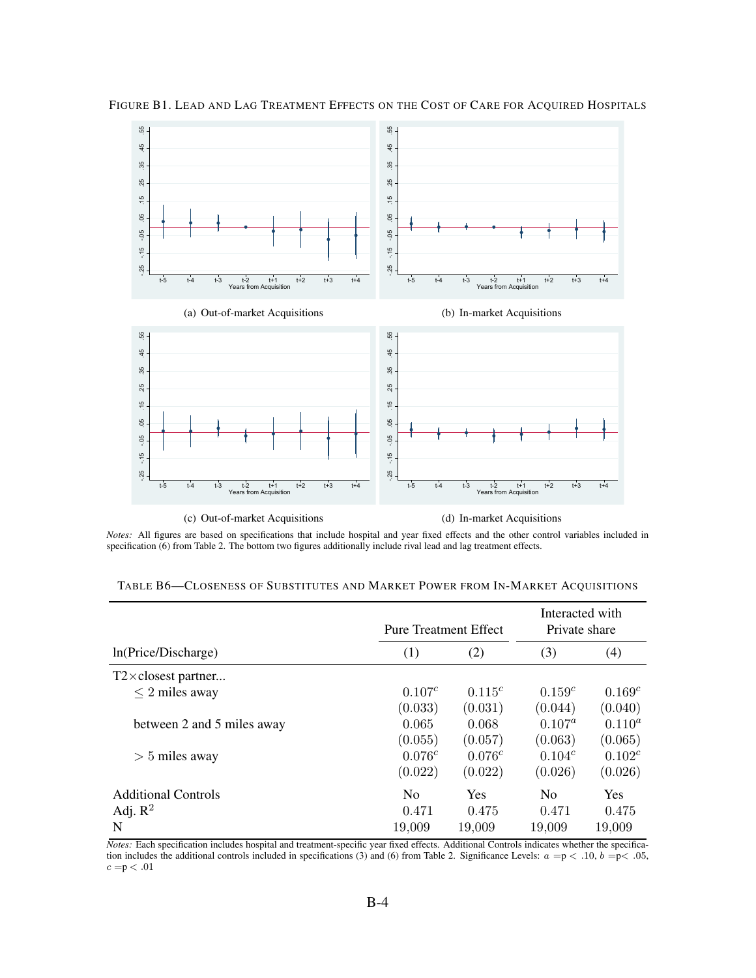

FIGURE B1. LEAD AND LAG TREATMENT EFFECTS ON THE COST OF CARE FOR ACQUIRED HOSPITALS

(d) In-market Acquisitions

*Notes:* All figures are based on specifications that include hospital and year fixed effects and the other control variables included in specification (6) from Table 2. The bottom two figures additionally include rival lead and lag treatment effects.

| TABLE B6—CLOSENESS OF SUBSTITUTES AND MARKET POWER FROM IN-MARKET ACOUISITIONS |  |
|--------------------------------------------------------------------------------|--|
|--------------------------------------------------------------------------------|--|

|                             | <b>Pure Treatment Effect</b> | Interacted with<br>Private share |                |                    |
|-----------------------------|------------------------------|----------------------------------|----------------|--------------------|
| ln(Price/Discharge)         | (1)                          | (2)                              | (3)            | (4)                |
| $T2 \times$ closest partner |                              |                                  |                |                    |
| $\leq$ 2 miles away         | $0.107^{c}$                  | $0.115^{c}$                      | $0.159^{c}$    | 0.169 <sup>c</sup> |
|                             | (0.033)                      | (0.031)                          | (0.044)        | (0.040)            |
| between 2 and 5 miles away  | 0.065                        | 0.068                            | $0.107^a$      | $0.110^a$          |
|                             | (0.055)                      | (0.057)                          | (0.063)        | (0.065)            |
| $> 5$ miles away            | 0.076c                       | 0.076c                           | $0.104^{c}$    | $0.102^{c}$        |
|                             | (0.022)                      | (0.022)                          | (0.026)        | (0.026)            |
| <b>Additional Controls</b>  | N <sub>0</sub>               | <b>Yes</b>                       | N <sub>0</sub> | <b>Yes</b>         |
| Adj. $R^2$                  | 0.471                        | 0.475                            | 0.471          | 0.475              |
| N                           | 19,009                       | 19,009                           | 19,009         | 19,009             |

*Notes:* Each specification includes hospital and treatment-specific year fixed effects. Additional Controls indicates whether the specification includes the additional controls included in specifications (3) and (6) from Table 2. Significance Levels:  $a = p < .10$ ,  $b = p < .05$ ,  $c = p < .01$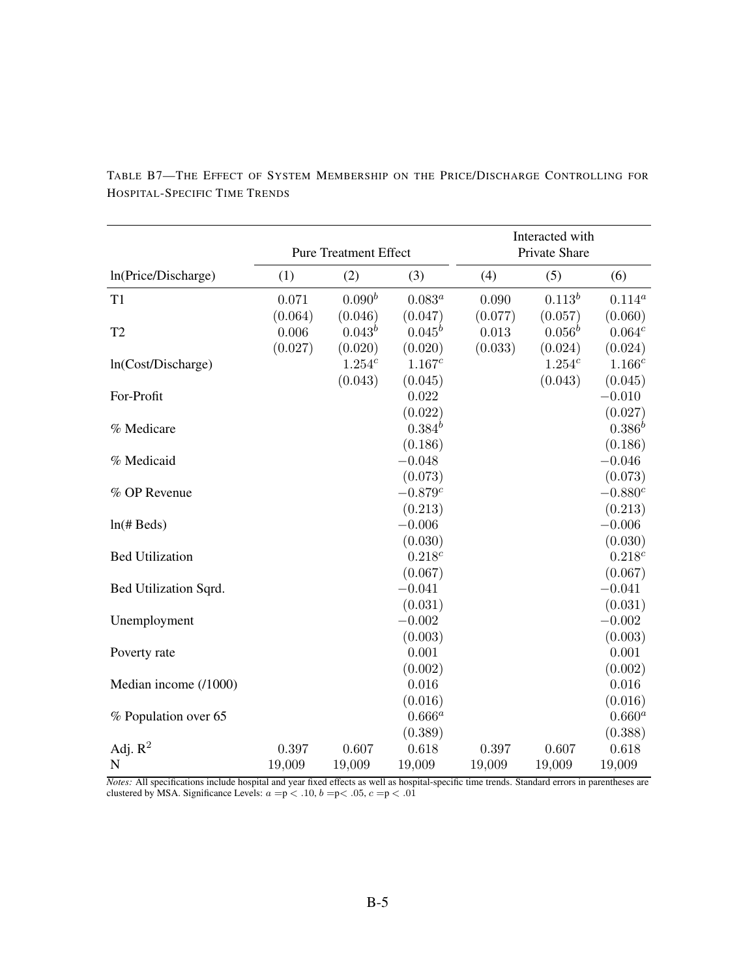|                        | <b>Pure Treatment Effect</b> |             |              | Interacted with<br>Private Share |             |              |
|------------------------|------------------------------|-------------|--------------|----------------------------------|-------------|--------------|
| ln(Price/Discharge)    | (1)                          | (2)         | (3)          | (4)                              | (5)         | (6)          |
| T1                     | 0.071                        | $0.090^{b}$ | $0.083^{a}$  | 0.090                            | $0.113^{b}$ | $0.114^{a}$  |
|                        | (0.064)                      | (0.046)     | (0.047)      | (0.077)                          | (0.057)     | (0.060)      |
| T <sub>2</sub>         | 0.006                        | $0.043^b$   | $0.045^b$    | 0.013                            | $0.056^b$   | $0.064^c$    |
|                        | (0.027)                      | (0.020)     | (0.020)      | (0.033)                          | (0.024)     | (0.024)      |
| ln(Cost/Discharge)     |                              | 1.254c      | 1.167c       |                                  | $1.254^c$   | 1.166c       |
|                        |                              | (0.043)     | (0.045)      |                                  | (0.043)     | (0.045)      |
| For-Profit             |                              |             | 0.022        |                                  |             | $-0.010$     |
|                        |                              |             | (0.022)      |                                  |             | (0.027)      |
| % Medicare             |                              |             | $0.384^{b}$  |                                  |             | $0.386^{b}$  |
|                        |                              |             | (0.186)      |                                  |             | (0.186)      |
| % Medicaid             |                              |             | $-0.048$     |                                  |             | $-0.046$     |
|                        |                              |             | (0.073)      |                                  |             | (0.073)      |
| % OP Revenue           |                              |             | $-0.879^{c}$ |                                  |             | $-0.880^{c}$ |
|                        |                              |             | (0.213)      |                                  |             | (0.213)      |
| $ln($ # Beds $)$       |                              |             | $-0.006$     |                                  |             | $-0.006$     |
|                        |                              |             | (0.030)      |                                  |             | (0.030)      |
| <b>Bed Utilization</b> |                              |             | $0.218^{c}$  |                                  |             | $0.218^c$    |
|                        |                              |             | (0.067)      |                                  |             | (0.067)      |
| Bed Utilization Sqrd.  |                              |             | $-0.041$     |                                  |             | $-0.041$     |
|                        |                              |             | (0.031)      |                                  |             | (0.031)      |
| Unemployment           |                              |             | $-0.002$     |                                  |             | $-0.002$     |
|                        |                              |             | (0.003)      |                                  |             | (0.003)      |
| Poverty rate           |                              |             | 0.001        |                                  |             | 0.001        |
|                        |                              |             | (0.002)      |                                  |             | (0.002)      |
| Median income (/1000)  |                              |             | 0.016        |                                  |             | $0.016\,$    |
|                        |                              |             | (0.016)      |                                  |             | (0.016)      |
| % Population over 65   |                              |             | $0.666^{a}$  |                                  |             | $0.660^a$    |
|                        |                              |             | (0.389)      |                                  |             | (0.388)      |
| Adj. $R^2$             | 0.397                        | 0.607       | 0.618        | 0.397                            | 0.607       | 0.618        |
| $\mathbf N$            | 19,009                       | 19,009      | 19,009       | 19,009                           | 19,009      | 19,009       |

TABLE B7—THE EFFECT OF SYSTEM MEMBERSHIP ON THE PRICE/DISCHARGE CONTROLLING FOR HOSPITAL-SPECIFIC TIME TRENDS

*Notes:* All specifications include hospital and year fixed effects as well as hospital-specific time trends. Standard errors in parentheses are clustered by MSA. Significance Levels:  $a = p < .10$ ,  $b = p < .05$ ,  $c = p < .01$